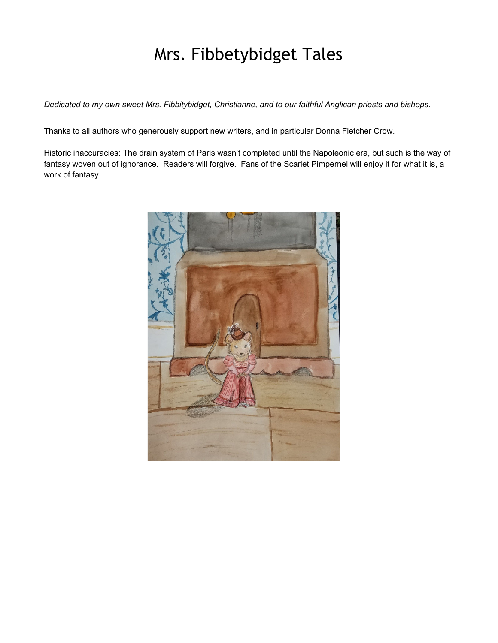# Mrs. Fibbetybidget Tales

*Dedicated to my own sweet Mrs. Fibbitybidget, Christianne, and to our faithful Anglican priests and bishops.*

Thanks to all authors who generously support new writers, and in particular Donna Fletcher Crow.

Historic inaccuracies: The drain system of Paris wasn't completed until the Napoleonic era, but such is the way of fantasy woven out of ignorance. Readers will forgive. Fans of the Scarlet Pimpernel will enjoy it for what it is, a work of fantasy.

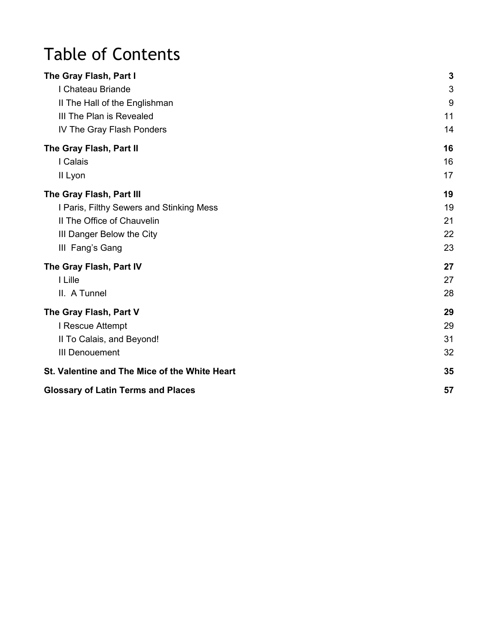# Table of Contents

| The Gray Flash, Part I                        | 3  |
|-----------------------------------------------|----|
| I Chateau Briande                             | 3  |
| II The Hall of the Englishman                 | 9  |
| III The Plan is Revealed                      | 11 |
| IV The Gray Flash Ponders                     | 14 |
| The Gray Flash, Part II                       | 16 |
| I Calais                                      | 16 |
| II Lyon                                       | 17 |
| The Gray Flash, Part III                      | 19 |
| I Paris, Filthy Sewers and Stinking Mess      | 19 |
| II The Office of Chauvelin                    | 21 |
| III Danger Below the City                     | 22 |
| III Fang's Gang                               | 23 |
| The Gray Flash, Part IV                       | 27 |
| I Lille                                       | 27 |
| II. A Tunnel                                  | 28 |
| The Gray Flash, Part V                        | 29 |
| I Rescue Attempt                              | 29 |
| II To Calais, and Beyond!                     | 31 |
| <b>III Denouement</b>                         | 32 |
| St. Valentine and The Mice of the White Heart | 35 |
| <b>Glossary of Latin Terms and Places</b>     | 57 |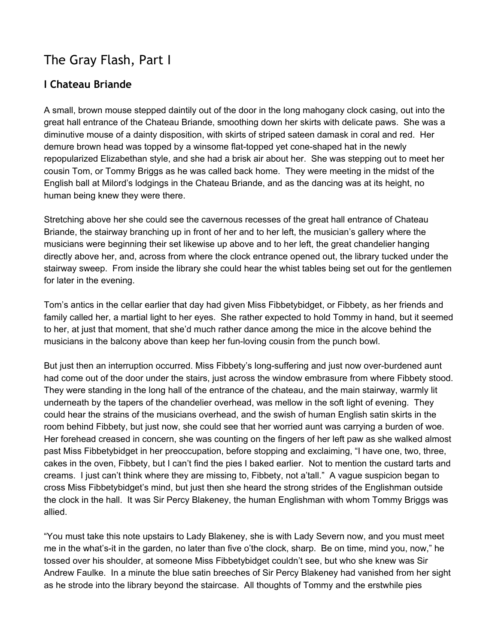# <span id="page-2-0"></span>The Gray Flash, Part I

# <span id="page-2-1"></span>**I Chateau Briande**

A small, brown mouse stepped daintily out of the door in the long mahogany clock casing, out into the great hall entrance of the Chateau Briande, smoothing down her skirts with delicate paws. She was a diminutive mouse of a dainty disposition, with skirts of striped sateen damask in coral and red. Her demure brown head was topped by a winsome flat-topped yet cone-shaped hat in the newly repopularized Elizabethan style, and she had a brisk air about her. She was stepping out to meet her cousin Tom, or Tommy Briggs as he was called back home. They were meeting in the midst of the English ball at Milord's lodgings in the Chateau Briande, and as the dancing was at its height, no human being knew they were there.

Stretching above her she could see the cavernous recesses of the great hall entrance of Chateau Briande, the stairway branching up in front of her and to her left, the musician's gallery where the musicians were beginning their set likewise up above and to her left, the great chandelier hanging directly above her, and, across from where the clock entrance opened out, the library tucked under the stairway sweep. From inside the library she could hear the whist tables being set out for the gentlemen for later in the evening.

Tom's antics in the cellar earlier that day had given Miss Fibbetybidget, or Fibbety, as her friends and family called her, a martial light to her eyes. She rather expected to hold Tommy in hand, but it seemed to her, at just that moment, that she'd much rather dance among the mice in the alcove behind the musicians in the balcony above than keep her fun-loving cousin from the punch bowl.

But just then an interruption occurred. Miss Fibbety's long-suffering and just now over-burdened aunt had come out of the door under the stairs, just across the window embrasure from where Fibbety stood. They were standing in the long hall of the entrance of the chateau, and the main stairway, warmly lit underneath by the tapers of the chandelier overhead, was mellow in the soft light of evening. They could hear the strains of the musicians overhead, and the swish of human English satin skirts in the room behind Fibbety, but just now, she could see that her worried aunt was carrying a burden of woe. Her forehead creased in concern, she was counting on the fingers of her left paw as she walked almost past Miss Fibbetybidget in her preoccupation, before stopping and exclaiming, "I have one, two, three, cakes in the oven, Fibbety, but I can't find the pies I baked earlier. Not to mention the custard tarts and creams. I just can't think where they are missing to, Fibbety, not a'tall." A vague suspicion began to cross Miss Fibbetybidget's mind, but just then she heard the strong strides of the Englishman outside the clock in the hall. It was Sir Percy Blakeney, the human Englishman with whom Tommy Briggs was allied.

"You must take this note upstairs to Lady Blakeney, she is with Lady Severn now, and you must meet me in the what's-it in the garden, no later than five o'the clock, sharp. Be on time, mind you, now," he tossed over his shoulder, at someone Miss Fibbetybidget couldn't see, but who she knew was Sir Andrew Faulke. In a minute the blue satin breeches of Sir Percy Blakeney had vanished from her sight as he strode into the library beyond the staircase. All thoughts of Tommy and the erstwhile pies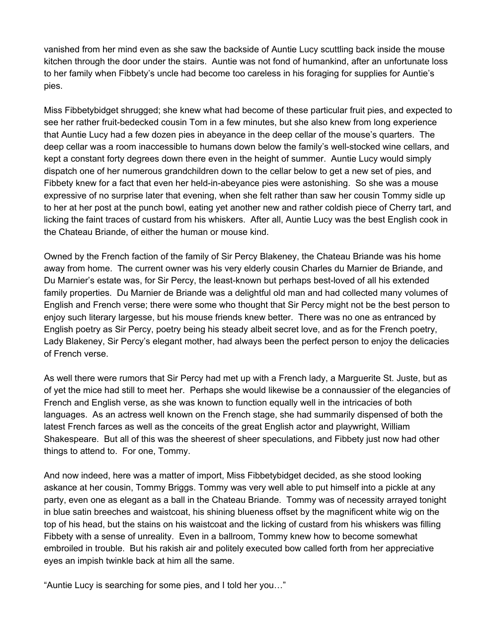vanished from her mind even as she saw the backside of Auntie Lucy scuttling back inside the mouse kitchen through the door under the stairs. Auntie was not fond of humankind, after an unfortunate loss to her family when Fibbety's uncle had become too careless in his foraging for supplies for Auntie's pies.

Miss Fibbetybidget shrugged; she knew what had become of these particular fruit pies, and expected to see her rather fruit-bedecked cousin Tom in a few minutes, but she also knew from long experience that Auntie Lucy had a few dozen pies in abeyance in the deep cellar of the mouse's quarters. The deep cellar was a room inaccessible to humans down below the family's well-stocked wine cellars, and kept a constant forty degrees down there even in the height of summer. Auntie Lucy would simply dispatch one of her numerous grandchildren down to the cellar below to get a new set of pies, and Fibbety knew for a fact that even her held-in-abeyance pies were astonishing. So she was a mouse expressive of no surprise later that evening, when she felt rather than saw her cousin Tommy sidle up to her at her post at the punch bowl, eating yet another new and rather coldish piece of Cherry tart, and licking the faint traces of custard from his whiskers. After all, Auntie Lucy was the best English cook in the Chateau Briande, of either the human or mouse kind.

Owned by the French faction of the family of Sir Percy Blakeney, the Chateau Briande was his home away from home. The current owner was his very elderly cousin Charles du Marnier de Briande, and Du Marnier's estate was, for Sir Percy, the least-known but perhaps best-loved of all his extended family properties. Du Marnier de Briande was a delightful old man and had collected many volumes of English and French verse; there were some who thought that Sir Percy might not be the best person to enjoy such literary largesse, but his mouse friends knew better. There was no one as entranced by English poetry as Sir Percy, poetry being his steady albeit secret love, and as for the French poetry, Lady Blakeney, Sir Percy's elegant mother, had always been the perfect person to enjoy the delicacies of French verse.

As well there were rumors that Sir Percy had met up with a French lady, a Marguerite St. Juste, but as of yet the mice had still to meet her. Perhaps she would likewise be a connaussier of the elegancies of French and English verse, as she was known to function equally well in the intricacies of both languages. As an actress well known on the French stage, she had summarily dispensed of both the latest French farces as well as the conceits of the great English actor and playwright, William Shakespeare. But all of this was the sheerest of sheer speculations, and Fibbety just now had other things to attend to. For one, Tommy.

And now indeed, here was a matter of import, Miss Fibbetybidget decided, as she stood looking askance at her cousin, Tommy Briggs. Tommy was very well able to put himself into a pickle at any party, even one as elegant as a ball in the Chateau Briande. Tommy was of necessity arrayed tonight in blue satin breeches and waistcoat, his shining blueness offset by the magnificent white wig on the top of his head, but the stains on his waistcoat and the licking of custard from his whiskers was filling Fibbety with a sense of unreality. Even in a ballroom, Tommy knew how to become somewhat embroiled in trouble. But his rakish air and politely executed bow called forth from her appreciative eyes an impish twinkle back at him all the same.

"Auntie Lucy is searching for some pies, and I told her you…"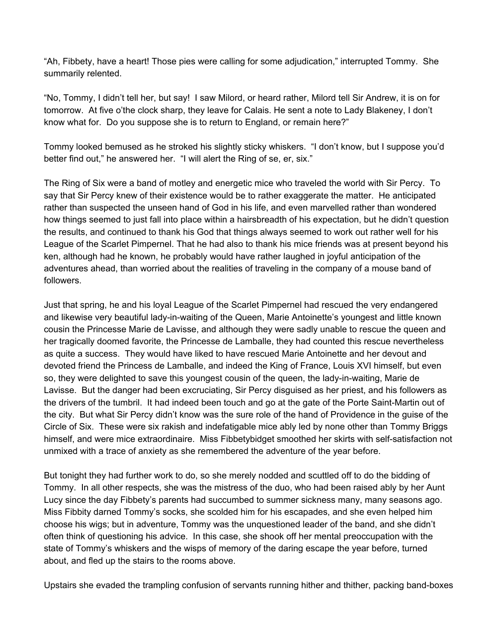"Ah, Fibbety, have a heart! Those pies were calling for some adjudication," interrupted Tommy. She summarily relented.

"No, Tommy, I didn't tell her, but say! I saw Milord, or heard rather, Milord tell Sir Andrew, it is on for tomorrow. At five o'the clock sharp, they leave for Calais. He sent a note to Lady Blakeney, I don't know what for. Do you suppose she is to return to England, or remain here?"

Tommy looked bemused as he stroked his slightly sticky whiskers. "I don't know, but I suppose you'd better find out," he answered her. "I will alert the Ring of se, er, six."

The Ring of Six were a band of motley and energetic mice who traveled the world with Sir Percy. To say that Sir Percy knew of their existence would be to rather exaggerate the matter. He anticipated rather than suspected the unseen hand of God in his life, and even marvelled rather than wondered how things seemed to just fall into place within a hairsbreadth of his expectation, but he didn't question the results, and continued to thank his God that things always seemed to work out rather well for his League of the Scarlet Pimpernel. That he had also to thank his mice friends was at present beyond his ken, although had he known, he probably would have rather laughed in joyful anticipation of the adventures ahead, than worried about the realities of traveling in the company of a mouse band of followers.

Just that spring, he and his loyal League of the Scarlet Pimpernel had rescued the very endangered and likewise very beautiful lady-in-waiting of the Queen, Marie Antoinette's youngest and little known cousin the Princesse Marie de Lavisse, and although they were sadly unable to rescue the queen and her tragically doomed favorite, the Princesse de Lamballe, they had counted this rescue nevertheless as quite a success. They would have liked to have rescued Marie Antoinette and her devout and devoted friend the Princess de Lamballe, and indeed the King of France, Louis XVI himself, but even so, they were delighted to save this youngest cousin of the queen, the lady-in-waiting, Marie de Lavisse. But the danger had been excruciating, Sir Percy disguised as her priest, and his followers as the drivers of the tumbril. It had indeed been touch and go at the gate of the Porte Saint-Martin out of the city. But what Sir Percy didn't know was the sure role of the hand of Providence in the guise of the Circle of Six. These were six rakish and indefatigable mice ably led by none other than Tommy Briggs himself, and were mice extraordinaire. Miss Fibbetybidget smoothed her skirts with self-satisfaction not unmixed with a trace of anxiety as she remembered the adventure of the year before.

But tonight they had further work to do, so she merely nodded and scuttled off to do the bidding of Tommy. In all other respects, she was the mistress of the duo, who had been raised ably by her Aunt Lucy since the day Fibbety's parents had succumbed to summer sickness many, many seasons ago. Miss Fibbity darned Tommy's socks, she scolded him for his escapades, and she even helped him choose his wigs; but in adventure, Tommy was the unquestioned leader of the band, and she didn't often think of questioning his advice. In this case, she shook off her mental preoccupation with the state of Tommy's whiskers and the wisps of memory of the daring escape the year before, turned about, and fled up the stairs to the rooms above.

Upstairs she evaded the trampling confusion of servants running hither and thither, packing band-boxes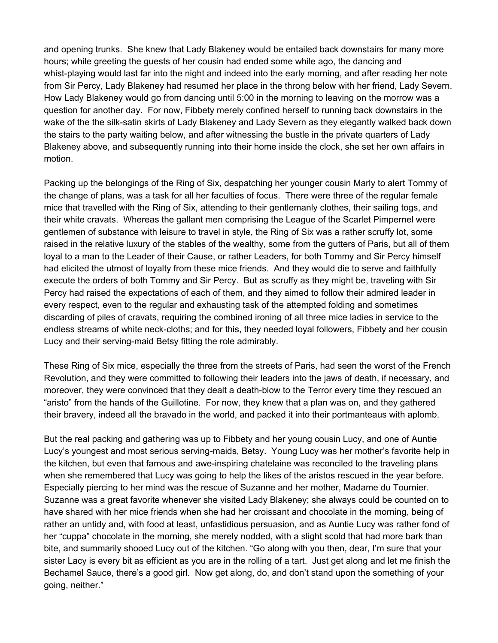and opening trunks. She knew that Lady Blakeney would be entailed back downstairs for many more hours; while greeting the guests of her cousin had ended some while ago, the dancing and whist-playing would last far into the night and indeed into the early morning, and after reading her note from Sir Percy, Lady Blakeney had resumed her place in the throng below with her friend, Lady Severn. How Lady Blakeney would go from dancing until 5:00 in the morning to leaving on the morrow was a question for another day. For now, Fibbety merely confined herself to running back downstairs in the wake of the the silk-satin skirts of Lady Blakeney and Lady Severn as they elegantly walked back down the stairs to the party waiting below, and after witnessing the bustle in the private quarters of Lady Blakeney above, and subsequently running into their home inside the clock, she set her own affairs in motion.

Packing up the belongings of the Ring of Six, despatching her younger cousin Marly to alert Tommy of the change of plans, was a task for all her faculties of focus. There were three of the regular female mice that travelled with the Ring of Six, attending to their gentlemanly clothes, their sailing togs, and their white cravats. Whereas the gallant men comprising the League of the Scarlet Pimpernel were gentlemen of substance with leisure to travel in style, the Ring of Six was a rather scruffy lot, some raised in the relative luxury of the stables of the wealthy, some from the gutters of Paris, but all of them loyal to a man to the Leader of their Cause, or rather Leaders, for both Tommy and Sir Percy himself had elicited the utmost of loyalty from these mice friends. And they would die to serve and faithfully execute the orders of both Tommy and Sir Percy. But as scruffy as they might be, traveling with Sir Percy had raised the expectations of each of them, and they aimed to follow their admired leader in every respect, even to the regular and exhausting task of the attempted folding and sometimes discarding of piles of cravats, requiring the combined ironing of all three mice ladies in service to the endless streams of white neck-cloths; and for this, they needed loyal followers, Fibbety and her cousin Lucy and their serving-maid Betsy fitting the role admirably.

These Ring of Six mice, especially the three from the streets of Paris, had seen the worst of the French Revolution, and they were committed to following their leaders into the jaws of death, if necessary, and moreover, they were convinced that they dealt a death-blow to the Terror every time they rescued an "aristo" from the hands of the Guillotine. For now, they knew that a plan was on, and they gathered their bravery, indeed all the bravado in the world, and packed it into their portmanteaus with aplomb.

But the real packing and gathering was up to Fibbety and her young cousin Lucy, and one of Auntie Lucy's youngest and most serious serving-maids, Betsy. Young Lucy was her mother's favorite help in the kitchen, but even that famous and awe-inspiring chatelaine was reconciled to the traveling plans when she remembered that Lucy was going to help the likes of the aristos rescued in the year before. Especially piercing to her mind was the rescue of Suzanne and her mother, Madame du Tournier. Suzanne was a great favorite whenever she visited Lady Blakeney; she always could be counted on to have shared with her mice friends when she had her croissant and chocolate in the morning, being of rather an untidy and, with food at least, unfastidious persuasion, and as Auntie Lucy was rather fond of her "cuppa" chocolate in the morning, she merely nodded, with a slight scold that had more bark than bite, and summarily shooed Lucy out of the kitchen. "Go along with you then, dear, I'm sure that your sister Lacy is every bit as efficient as you are in the rolling of a tart. Just get along and let me finish the Bechamel Sauce, there's a good girl. Now get along, do, and don't stand upon the something of your going, neither."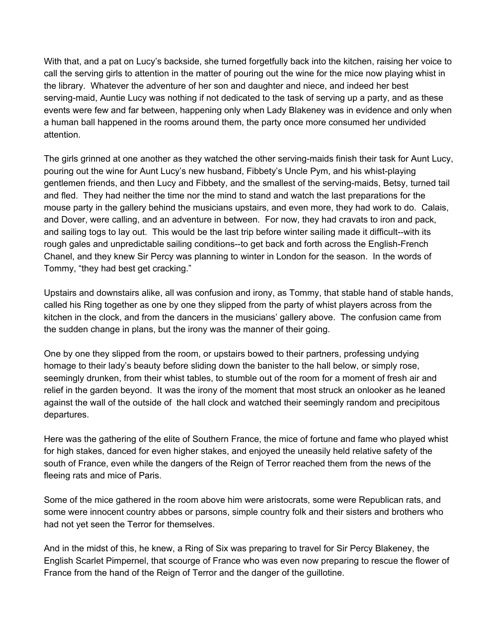With that, and a pat on Lucy's backside, she turned forgetfully back into the kitchen, raising her voice to call the serving girls to attention in the matter of pouring out the wine for the mice now playing whist in the library. Whatever the adventure of her son and daughter and niece, and indeed her best serving-maid, Auntie Lucy was nothing if not dedicated to the task of serving up a party, and as these events were few and far between, happening only when Lady Blakeney was in evidence and only when a human ball happened in the rooms around them, the party once more consumed her undivided attention.

The girls grinned at one another as they watched the other serving-maids finish their task for Aunt Lucy, pouring out the wine for Aunt Lucy's new husband, Fibbety's Uncle Pym, and his whist-playing gentlemen friends, and then Lucy and Fibbety, and the smallest of the serving-maids, Betsy, turned tail and fled. They had neither the time nor the mind to stand and watch the last preparations for the mouse party in the gallery behind the musicians upstairs, and even more, they had work to do. Calais, and Dover, were calling, and an adventure in between. For now, they had cravats to iron and pack, and sailing togs to lay out. This would be the last trip before winter sailing made it difficult--with its rough gales and unpredictable sailing conditions--to get back and forth across the English-French Chanel, and they knew Sir Percy was planning to winter in London for the season. In the words of Tommy, "they had best get cracking."

Upstairs and downstairs alike, all was confusion and irony, as Tommy, that stable hand of stable hands, called his Ring together as one by one they slipped from the party of whist players across from the kitchen in the clock, and from the dancers in the musicians' gallery above. The confusion came from the sudden change in plans, but the irony was the manner of their going.

One by one they slipped from the room, or upstairs bowed to their partners, professing undying homage to their lady's beauty before sliding down the banister to the hall below, or simply rose, seemingly drunken, from their whist tables, to stumble out of the room for a moment of fresh air and relief in the garden beyond. It was the irony of the moment that most struck an onlooker as he leaned against the wall of the outside of the hall clock and watched their seemingly random and precipitous departures.

Here was the gathering of the elite of Southern France, the mice of fortune and fame who played whist for high stakes, danced for even higher stakes, and enjoyed the uneasily held relative safety of the south of France, even while the dangers of the Reign of Terror reached them from the news of the fleeing rats and mice of Paris.

Some of the mice gathered in the room above him were aristocrats, some were Republican rats, and some were innocent country abbes or parsons, simple country folk and their sisters and brothers who had not yet seen the Terror for themselves.

And in the midst of this, he knew, a Ring of Six was preparing to travel for Sir Percy Blakeney, the English Scarlet Pimpernel, that scourge of France who was even now preparing to rescue the flower of France from the hand of the Reign of Terror and the danger of the guillotine.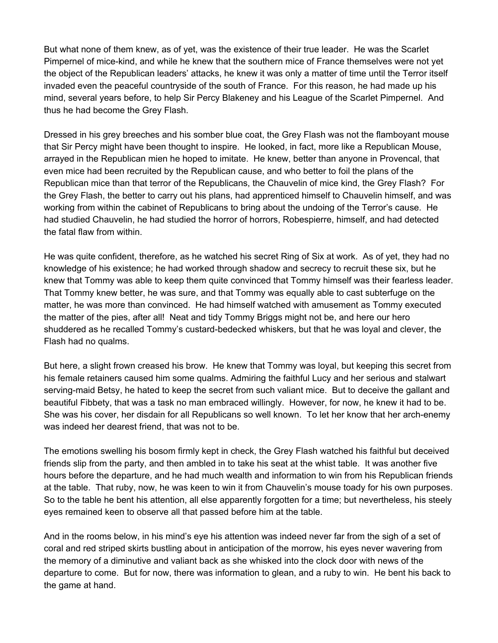But what none of them knew, as of yet, was the existence of their true leader. He was the Scarlet Pimpernel of mice-kind, and while he knew that the southern mice of France themselves were not yet the object of the Republican leaders' attacks, he knew it was only a matter of time until the Terror itself invaded even the peaceful countryside of the south of France. For this reason, he had made up his mind, several years before, to help Sir Percy Blakeney and his League of the Scarlet Pimpernel. And thus he had become the Grey Flash.

Dressed in his grey breeches and his somber blue coat, the Grey Flash was not the flamboyant mouse that Sir Percy might have been thought to inspire. He looked, in fact, more like a Republican Mouse, arrayed in the Republican mien he hoped to imitate. He knew, better than anyone in Provencal, that even mice had been recruited by the Republican cause, and who better to foil the plans of the Republican mice than that terror of the Republicans, the Chauvelin of mice kind, the Grey Flash? For the Grey Flash, the better to carry out his plans, had apprenticed himself to Chauvelin himself, and was working from within the cabinet of Republicans to bring about the undoing of the Terror's cause. He had studied Chauvelin, he had studied the horror of horrors, Robespierre, himself, and had detected the fatal flaw from within.

He was quite confident, therefore, as he watched his secret Ring of Six at work. As of yet, they had no knowledge of his existence; he had worked through shadow and secrecy to recruit these six, but he knew that Tommy was able to keep them quite convinced that Tommy himself was their fearless leader. That Tommy knew better, he was sure, and that Tommy was equally able to cast subterfuge on the matter, he was more than convinced. He had himself watched with amusement as Tommy executed the matter of the pies, after all! Neat and tidy Tommy Briggs might not be, and here our hero shuddered as he recalled Tommy's custard-bedecked whiskers, but that he was loyal and clever, the Flash had no qualms.

But here, a slight frown creased his brow. He knew that Tommy was loyal, but keeping this secret from his female retainers caused him some qualms. Admiring the faithful Lucy and her serious and stalwart serving-maid Betsy, he hated to keep the secret from such valiant mice. But to deceive the gallant and beautiful Fibbety, that was a task no man embraced willingly. However, for now, he knew it had to be. She was his cover, her disdain for all Republicans so well known. To let her know that her arch-enemy was indeed her dearest friend, that was not to be.

The emotions swelling his bosom firmly kept in check, the Grey Flash watched his faithful but deceived friends slip from the party, and then ambled in to take his seat at the whist table. It was another five hours before the departure, and he had much wealth and information to win from his Republican friends at the table. That ruby, now, he was keen to win it from Chauvelin's mouse toady for his own purposes. So to the table he bent his attention, all else apparently forgotten for a time; but nevertheless, his steely eyes remained keen to observe all that passed before him at the table.

And in the rooms below, in his mind's eye his attention was indeed never far from the sigh of a set of coral and red striped skirts bustling about in anticipation of the morrow, his eyes never wavering from the memory of a diminutive and valiant back as she whisked into the clock door with news of the departure to come. But for now, there was information to glean, and a ruby to win. He bent his back to the game at hand.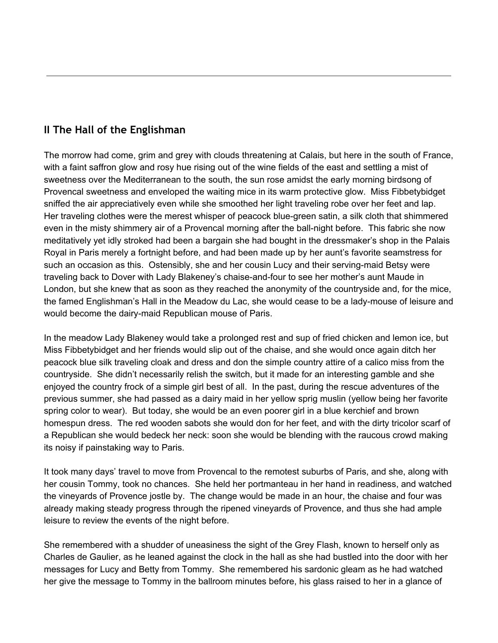# <span id="page-8-0"></span>**II The Hall of the Englishman**

The morrow had come, grim and grey with clouds threatening at Calais, but here in the south of France, with a faint saffron glow and rosy hue rising out of the wine fields of the east and settling a mist of sweetness over the Mediterranean to the south, the sun rose amidst the early morning birdsong of Provencal sweetness and enveloped the waiting mice in its warm protective glow. Miss Fibbetybidget sniffed the air appreciatively even while she smoothed her light traveling robe over her feet and lap. Her traveling clothes were the merest whisper of peacock blue-green satin, a silk cloth that shimmered even in the misty shimmery air of a Provencal morning after the ball-night before. This fabric she now meditatively yet idly stroked had been a bargain she had bought in the dressmaker's shop in the Palais Royal in Paris merely a fortnight before, and had been made up by her aunt's favorite seamstress for such an occasion as this. Ostensibly, she and her cousin Lucy and their serving-maid Betsy were traveling back to Dover with Lady Blakeney's chaise-and-four to see her mother's aunt Maude in London, but she knew that as soon as they reached the anonymity of the countryside and, for the mice, the famed Englishman's Hall in the Meadow du Lac, she would cease to be a lady-mouse of leisure and would become the dairy-maid Republican mouse of Paris.

In the meadow Lady Blakeney would take a prolonged rest and sup of fried chicken and lemon ice, but Miss Fibbetybidget and her friends would slip out of the chaise, and she would once again ditch her peacock blue silk traveling cloak and dress and don the simple country attire of a calico miss from the countryside. She didn't necessarily relish the switch, but it made for an interesting gamble and she enjoyed the country frock of a simple girl best of all. In the past, during the rescue adventures of the previous summer, she had passed as a dairy maid in her yellow sprig muslin (yellow being her favorite spring color to wear). But today, she would be an even poorer girl in a blue kerchief and brown homespun dress. The red wooden sabots she would don for her feet, and with the dirty tricolor scarf of a Republican she would bedeck her neck: soon she would be blending with the raucous crowd making its noisy if painstaking way to Paris.

It took many days' travel to move from Provencal to the remotest suburbs of Paris, and she, along with her cousin Tommy, took no chances. She held her portmanteau in her hand in readiness, and watched the vineyards of Provence jostle by. The change would be made in an hour, the chaise and four was already making steady progress through the ripened vineyards of Provence, and thus she had ample leisure to review the events of the night before.

She remembered with a shudder of uneasiness the sight of the Grey Flash, known to herself only as Charles de Gaulier, as he leaned against the clock in the hall as she had bustled into the door with her messages for Lucy and Betty from Tommy. She remembered his sardonic gleam as he had watched her give the message to Tommy in the ballroom minutes before, his glass raised to her in a glance of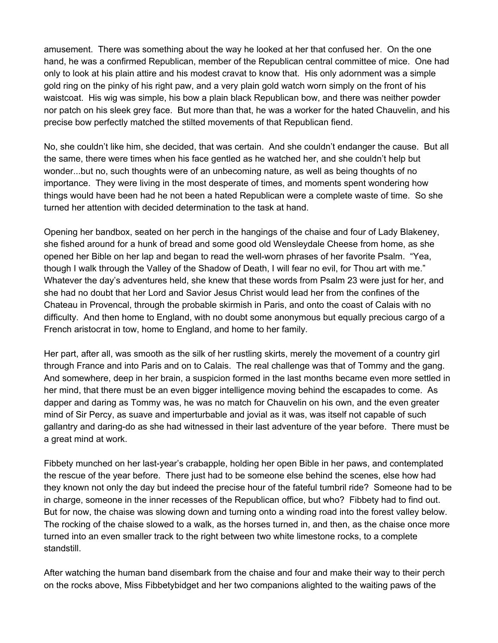amusement. There was something about the way he looked at her that confused her. On the one hand, he was a confirmed Republican, member of the Republican central committee of mice. One had only to look at his plain attire and his modest cravat to know that. His only adornment was a simple gold ring on the pinky of his right paw, and a very plain gold watch worn simply on the front of his waistcoat. His wig was simple, his bow a plain black Republican bow, and there was neither powder nor patch on his sleek grey face. But more than that, he was a worker for the hated Chauvelin, and his precise bow perfectly matched the stilted movements of that Republican fiend.

No, she couldn't like him, she decided, that was certain. And she couldn't endanger the cause. But all the same, there were times when his face gentled as he watched her, and she couldn't help but wonder...but no, such thoughts were of an unbecoming nature, as well as being thoughts of no importance. They were living in the most desperate of times, and moments spent wondering how things would have been had he not been a hated Republican were a complete waste of time. So she turned her attention with decided determination to the task at hand.

Opening her bandbox, seated on her perch in the hangings of the chaise and four of Lady Blakeney, she fished around for a hunk of bread and some good old Wensleydale Cheese from home, as she opened her Bible on her lap and began to read the well-worn phrases of her favorite Psalm. "Yea, though I walk through the Valley of the Shadow of Death, I will fear no evil, for Thou art with me." Whatever the day's adventures held, she knew that these words from Psalm 23 were just for her, and she had no doubt that her Lord and Savior Jesus Christ would lead her from the confines of the Chateau in Provencal, through the probable skirmish in Paris, and onto the coast of Calais with no difficulty. And then home to England, with no doubt some anonymous but equally precious cargo of a French aristocrat in tow, home to England, and home to her family.

Her part, after all, was smooth as the silk of her rustling skirts, merely the movement of a country girl through France and into Paris and on to Calais. The real challenge was that of Tommy and the gang. And somewhere, deep in her brain, a suspicion formed in the last months became even more settled in her mind, that there must be an even bigger intelligence moving behind the escapades to come. As dapper and daring as Tommy was, he was no match for Chauvelin on his own, and the even greater mind of Sir Percy, as suave and imperturbable and jovial as it was, was itself not capable of such gallantry and daring-do as she had witnessed in their last adventure of the year before. There must be a great mind at work.

Fibbety munched on her last-year's crabapple, holding her open Bible in her paws, and contemplated the rescue of the year before. There just had to be someone else behind the scenes, else how had they known not only the day but indeed the precise hour of the fateful tumbril ride? Someone had to be in charge, someone in the inner recesses of the Republican office, but who? Fibbety had to find out. But for now, the chaise was slowing down and turning onto a winding road into the forest valley below. The rocking of the chaise slowed to a walk, as the horses turned in, and then, as the chaise once more turned into an even smaller track to the right between two white limestone rocks, to a complete standstill.

After watching the human band disembark from the chaise and four and make their way to their perch on the rocks above, Miss Fibbetybidget and her two companions alighted to the waiting paws of the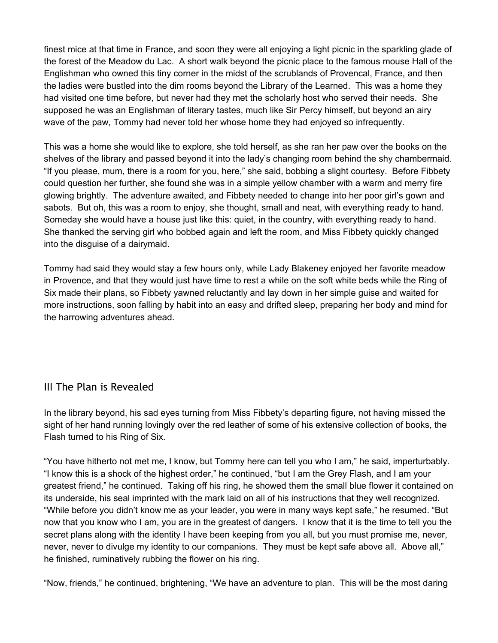finest mice at that time in France, and soon they were all enjoying a light picnic in the sparkling glade of the forest of the Meadow du Lac. A short walk beyond the picnic place to the famous mouse Hall of the Englishman who owned this tiny corner in the midst of the scrublands of Provencal, France, and then the ladies were bustled into the dim rooms beyond the Library of the Learned. This was a home they had visited one time before, but never had they met the scholarly host who served their needs. She supposed he was an Englishman of literary tastes, much like Sir Percy himself, but beyond an airy wave of the paw, Tommy had never told her whose home they had enjoyed so infrequently.

This was a home she would like to explore, she told herself, as she ran her paw over the books on the shelves of the library and passed beyond it into the lady's changing room behind the shy chambermaid. "If you please, mum, there is a room for you, here," she said, bobbing a slight courtesy. Before Fibbety could question her further, she found she was in a simple yellow chamber with a warm and merry fire glowing brightly. The adventure awaited, and Fibbety needed to change into her poor girl's gown and sabots. But oh, this was a room to enjoy, she thought, small and neat, with everything ready to hand. Someday she would have a house just like this: quiet, in the country, with everything ready to hand. She thanked the serving girl who bobbed again and left the room, and Miss Fibbety quickly changed into the disguise of a dairymaid.

Tommy had said they would stay a few hours only, while Lady Blakeney enjoyed her favorite meadow in Provence, and that they would just have time to rest a while on the soft white beds while the Ring of Six made their plans, so Fibbety yawned reluctantly and lay down in her simple guise and waited for more instructions, soon falling by habit into an easy and drifted sleep, preparing her body and mind for the harrowing adventures ahead.

## <span id="page-10-0"></span>III The Plan is Revealed

In the library beyond, his sad eyes turning from Miss Fibbety's departing figure, not having missed the sight of her hand running lovingly over the red leather of some of his extensive collection of books, the Flash turned to his Ring of Six.

"You have hitherto not met me, I know, but Tommy here can tell you who I am," he said, imperturbably. "I know this is a shock of the highest order," he continued, "but I am the Grey Flash, and I am your greatest friend," he continued. Taking off his ring, he showed them the small blue flower it contained on its underside, his seal imprinted with the mark laid on all of his instructions that they well recognized. "While before you didn't know me as your leader, you were in many ways kept safe," he resumed. "But now that you know who I am, you are in the greatest of dangers. I know that it is the time to tell you the secret plans along with the identity I have been keeping from you all, but you must promise me, never, never, never to divulge my identity to our companions. They must be kept safe above all. Above all," he finished, ruminatively rubbing the flower on his ring.

"Now, friends," he continued, brightening, "We have an adventure to plan. This will be the most daring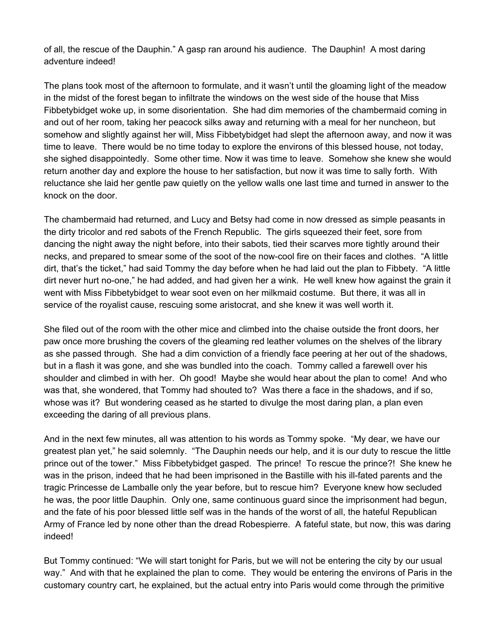of all, the rescue of the Dauphin." A gasp ran around his audience. The Dauphin! A most daring adventure indeed!

The plans took most of the afternoon to formulate, and it wasn't until the gloaming light of the meadow in the midst of the forest began to infiltrate the windows on the west side of the house that Miss Fibbetybidget woke up, in some disorientation. She had dim memories of the chambermaid coming in and out of her room, taking her peacock silks away and returning with a meal for her nuncheon, but somehow and slightly against her will, Miss Fibbetybidget had slept the afternoon away, and now it was time to leave. There would be no time today to explore the environs of this blessed house, not today, she sighed disappointedly. Some other time. Now it was time to leave. Somehow she knew she would return another day and explore the house to her satisfaction, but now it was time to sally forth. With reluctance she laid her gentle paw quietly on the yellow walls one last time and turned in answer to the knock on the door.

The chambermaid had returned, and Lucy and Betsy had come in now dressed as simple peasants in the dirty tricolor and red sabots of the French Republic. The girls squeezed their feet, sore from dancing the night away the night before, into their sabots, tied their scarves more tightly around their necks, and prepared to smear some of the soot of the now-cool fire on their faces and clothes. "A little dirt, that's the ticket," had said Tommy the day before when he had laid out the plan to Fibbety. "A little dirt never hurt no-one," he had added, and had given her a wink. He well knew how against the grain it went with Miss Fibbetybidget to wear soot even on her milkmaid costume. But there, it was all in service of the royalist cause, rescuing some aristocrat, and she knew it was well worth it.

She filed out of the room with the other mice and climbed into the chaise outside the front doors, her paw once more brushing the covers of the gleaming red leather volumes on the shelves of the library as she passed through. She had a dim conviction of a friendly face peering at her out of the shadows, but in a flash it was gone, and she was bundled into the coach. Tommy called a farewell over his shoulder and climbed in with her. Oh good! Maybe she would hear about the plan to come! And who was that, she wondered, that Tommy had shouted to? Was there a face in the shadows, and if so, whose was it? But wondering ceased as he started to divulge the most daring plan, a plan even exceeding the daring of all previous plans.

And in the next few minutes, all was attention to his words as Tommy spoke. "My dear, we have our greatest plan yet," he said solemnly. "The Dauphin needs our help, and it is our duty to rescue the little prince out of the tower." Miss Fibbetybidget gasped. The prince! To rescue the prince?! She knew he was in the prison, indeed that he had been imprisoned in the Bastille with his ill-fated parents and the tragic Princesse de Lamballe only the year before, but to rescue him? Everyone knew how secluded he was, the poor little Dauphin. Only one, same continuous guard since the imprisonment had begun, and the fate of his poor blessed little self was in the hands of the worst of all, the hateful Republican Army of France led by none other than the dread Robespierre. A fateful state, but now, this was daring indeed!

But Tommy continued: "We will start tonight for Paris, but we will not be entering the city by our usual way." And with that he explained the plan to come. They would be entering the environs of Paris in the customary country cart, he explained, but the actual entry into Paris would come through the primitive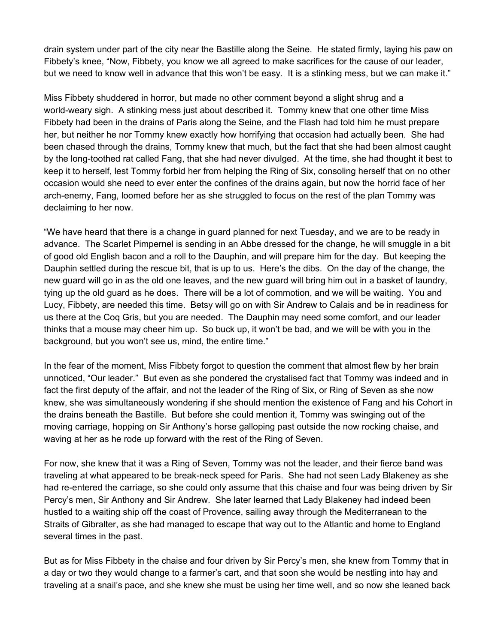drain system under part of the city near the Bastille along the Seine. He stated firmly, laying his paw on Fibbety's knee, "Now, Fibbety, you know we all agreed to make sacrifices for the cause of our leader, but we need to know well in advance that this won't be easy. It is a stinking mess, but we can make it."

Miss Fibbety shuddered in horror, but made no other comment beyond a slight shrug and a world-weary sigh. A stinking mess just about described it. Tommy knew that one other time Miss Fibbety had been in the drains of Paris along the Seine, and the Flash had told him he must prepare her, but neither he nor Tommy knew exactly how horrifying that occasion had actually been. She had been chased through the drains, Tommy knew that much, but the fact that she had been almost caught by the long-toothed rat called Fang, that she had never divulged. At the time, she had thought it best to keep it to herself, lest Tommy forbid her from helping the Ring of Six, consoling herself that on no other occasion would she need to ever enter the confines of the drains again, but now the horrid face of her arch-enemy, Fang, loomed before her as she struggled to focus on the rest of the plan Tommy was declaiming to her now.

"We have heard that there is a change in guard planned for next Tuesday, and we are to be ready in advance. The Scarlet Pimpernel is sending in an Abbe dressed for the change, he will smuggle in a bit of good old English bacon and a roll to the Dauphin, and will prepare him for the day. But keeping the Dauphin settled during the rescue bit, that is up to us. Here's the dibs. On the day of the change, the new guard will go in as the old one leaves, and the new guard will bring him out in a basket of laundry, tying up the old guard as he does. There will be a lot of commotion, and we will be waiting. You and Lucy, Fibbety, are needed this time. Betsy will go on with Sir Andrew to Calais and be in readiness for us there at the Coq Gris, but you are needed. The Dauphin may need some comfort, and our leader thinks that a mouse may cheer him up. So buck up, it won't be bad, and we will be with you in the background, but you won't see us, mind, the entire time."

In the fear of the moment, Miss Fibbety forgot to question the comment that almost flew by her brain unnoticed, "Our leader." But even as she pondered the crystalised fact that Tommy was indeed and in fact the first deputy of the affair, and not the leader of the Ring of Six, or Ring of Seven as she now knew, she was simultaneously wondering if she should mention the existence of Fang and his Cohort in the drains beneath the Bastille. But before she could mention it, Tommy was swinging out of the moving carriage, hopping on Sir Anthony's horse galloping past outside the now rocking chaise, and waving at her as he rode up forward with the rest of the Ring of Seven.

For now, she knew that it was a Ring of Seven, Tommy was not the leader, and their fierce band was traveling at what appeared to be break-neck speed for Paris. She had not seen Lady Blakeney as she had re-entered the carriage, so she could only assume that this chaise and four was being driven by Sir Percy's men, Sir Anthony and Sir Andrew. She later learned that Lady Blakeney had indeed been hustled to a waiting ship off the coast of Provence, sailing away through the Mediterranean to the Straits of Gibralter, as she had managed to escape that way out to the Atlantic and home to England several times in the past.

But as for Miss Fibbety in the chaise and four driven by Sir Percy's men, she knew from Tommy that in a day or two they would change to a farmer's cart, and that soon she would be nestling into hay and traveling at a snail's pace, and she knew she must be using her time well, and so now she leaned back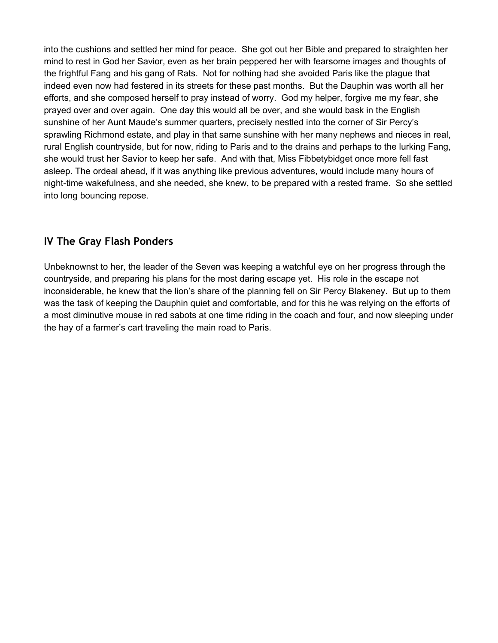into the cushions and settled her mind for peace. She got out her Bible and prepared to straighten her mind to rest in God her Savior, even as her brain peppered her with fearsome images and thoughts of the frightful Fang and his gang of Rats. Not for nothing had she avoided Paris like the plague that indeed even now had festered in its streets for these past months. But the Dauphin was worth all her efforts, and she composed herself to pray instead of worry. God my helper, forgive me my fear, she prayed over and over again. One day this would all be over, and she would bask in the English sunshine of her Aunt Maude's summer quarters, precisely nestled into the corner of Sir Percy's sprawling Richmond estate, and play in that same sunshine with her many nephews and nieces in real, rural English countryside, but for now, riding to Paris and to the drains and perhaps to the lurking Fang, she would trust her Savior to keep her safe. And with that, Miss Fibbetybidget once more fell fast asleep. The ordeal ahead, if it was anything like previous adventures, would include many hours of night-time wakefulness, and she needed, she knew, to be prepared with a rested frame. So she settled into long bouncing repose.

## <span id="page-13-0"></span>**IV The Gray Flash Ponders**

Unbeknownst to her, the leader of the Seven was keeping a watchful eye on her progress through the countryside, and preparing his plans for the most daring escape yet. His role in the escape not inconsiderable, he knew that the lion's share of the planning fell on Sir Percy Blakeney. But up to them was the task of keeping the Dauphin quiet and comfortable, and for this he was relying on the efforts of a most diminutive mouse in red sabots at one time riding in the coach and four, and now sleeping under the hay of a farmer's cart traveling the main road to Paris.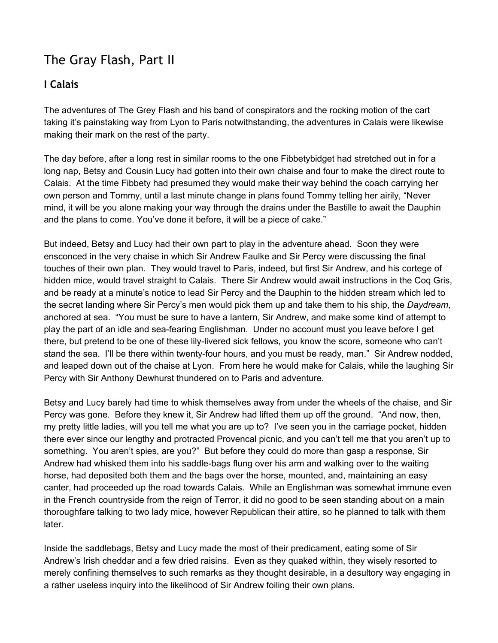# <span id="page-15-0"></span>The Gray Flash, Part II

# <span id="page-15-1"></span>**I Calais**

The adventures of The Grey Flash and his band of conspirators and the rocking motion of the cart taking it's painstaking way from Lyon to Paris notwithstanding, the adventures in Calais were likewise making their mark on the rest of the party.

The day before, after a long rest in similar rooms to the one Fibbetybidget had stretched out in for a long nap, Betsy and Cousin Lucy had gotten into their own chaise and four to make the direct route to Calais. At the time Fibbety had presumed they would make their way behind the coach carrying her own person and Tommy, until a last minute change in plans found Tommy telling her airily, "Never mind, it will be you alone making your way through the drains under the Bastille to await the Dauphin and the plans to come. You've done it before, it will be a piece of cake."

But indeed, Betsy and Lucy had their own part to play in the adventure ahead. Soon they were ensconced in the very chaise in which Sir Andrew Faulke and Sir Percy were discussing the final touches of their own plan. They would travel to Paris, indeed, but first Sir Andrew, and his cortege of hidden mice, would travel straight to Calais. There Sir Andrew would await instructions in the Coq Gris, and be ready at a minute's notice to lead Sir Percy and the Dauphin to the hidden stream which led to the secret landing where Sir Percy's men would pick them up and take them to his ship, the *Daydream*, anchored at sea. "You must be sure to have a lantern, Sir Andrew, and make some kind of attempt to play the part of an idle and sea-fearing Englishman. Under no account must you leave before I get there, but pretend to be one of these lily-livered sick fellows, you know the score, someone who can't stand the sea. I'll be there within twenty-four hours, and you must be ready, man." Sir Andrew nodded, and leaped down out of the chaise at Lyon. From here he would make for Calais, while the laughing Sir Percy with Sir Anthony Dewhurst thundered on to Paris and adventure.

Betsy and Lucy barely had time to whisk themselves away from under the wheels of the chaise, and Sir Percy was gone. Before they knew it, Sir Andrew had lifted them up off the ground. "And now, then, my pretty little ladies, will you tell me what you are up to? I've seen you in the carriage pocket, hidden there ever since our lengthy and protracted Provencal picnic, and you can't tell me that you aren't up to something. You aren't spies, are you?" But before they could do more than gasp a response, Sir Andrew had whisked them into his saddle-bags flung over his arm and walking over to the waiting horse, had deposited both them and the bags over the horse, mounted, and, maintaining an easy canter, had proceeded up the road towards Calais. While an Englishman was somewhat immune even in the French countryside from the reign of Terror, it did no good to be seen standing about on a main thoroughfare talking to two lady mice, however Republican their attire, so he planned to talk with them later.

Inside the saddlebags, Betsy and Lucy made the most of their predicament, eating some of Sir Andrew's Irish cheddar and a few dried raisins. Even as they quaked within, they wisely resorted to merely confining themselves to such remarks as they thought desirable, in a desultory way engaging in a rather useless inquiry into the likelihood of Sir Andrew foiling their own plans.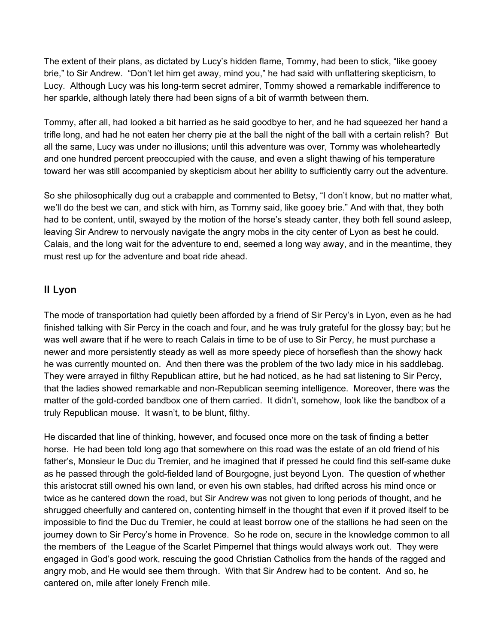The extent of their plans, as dictated by Lucy's hidden flame, Tommy, had been to stick, "like gooey brie," to Sir Andrew. "Don't let him get away, mind you," he had said with unflattering skepticism, to Lucy. Although Lucy was his long-term secret admirer, Tommy showed a remarkable indifference to her sparkle, although lately there had been signs of a bit of warmth between them.

Tommy, after all, had looked a bit harried as he said goodbye to her, and he had squeezed her hand a trifle long, and had he not eaten her cherry pie at the ball the night of the ball with a certain relish? But all the same, Lucy was under no illusions; until this adventure was over, Tommy was wholeheartedly and one hundred percent preoccupied with the cause, and even a slight thawing of his temperature toward her was still accompanied by skepticism about her ability to sufficiently carry out the adventure.

So she philosophically dug out a crabapple and commented to Betsy, "I don't know, but no matter what, we'll do the best we can, and stick with him, as Tommy said, like gooey brie." And with that, they both had to be content, until, swayed by the motion of the horse's steady canter, they both fell sound asleep, leaving Sir Andrew to nervously navigate the angry mobs in the city center of Lyon as best he could. Calais, and the long wait for the adventure to end, seemed a long way away, and in the meantime, they must rest up for the adventure and boat ride ahead.

### <span id="page-16-0"></span>**II Lyon**

The mode of transportation had quietly been afforded by a friend of Sir Percy's in Lyon, even as he had finished talking with Sir Percy in the coach and four, and he was truly grateful for the glossy bay; but he was well aware that if he were to reach Calais in time to be of use to Sir Percy, he must purchase a newer and more persistently steady as well as more speedy piece of horseflesh than the showy hack he was currently mounted on. And then there was the problem of the two lady mice in his saddlebag. They were arrayed in filthy Republican attire, but he had noticed, as he had sat listening to Sir Percy, that the ladies showed remarkable and non-Republican seeming intelligence. Moreover, there was the matter of the gold-corded bandbox one of them carried. It didn't, somehow, look like the bandbox of a truly Republican mouse. It wasn't, to be blunt, filthy.

He discarded that line of thinking, however, and focused once more on the task of finding a better horse. He had been told long ago that somewhere on this road was the estate of an old friend of his father's, Monsieur le Duc du Tremier, and he imagined that if pressed he could find this self-same duke as he passed through the gold-fielded land of Bourgogne, just beyond Lyon. The question of whether this aristocrat still owned his own land, or even his own stables, had drifted across his mind once or twice as he cantered down the road, but Sir Andrew was not given to long periods of thought, and he shrugged cheerfully and cantered on, contenting himself in the thought that even if it proved itself to be impossible to find the Duc du Tremier, he could at least borrow one of the stallions he had seen on the journey down to Sir Percy's home in Provence. So he rode on, secure in the knowledge common to all the members of the League of the Scarlet Pimpernel that things would always work out. They were engaged in God's good work, rescuing the good Christian Catholics from the hands of the ragged and angry mob, and He would see them through. With that Sir Andrew had to be content. And so, he cantered on, mile after lonely French mile.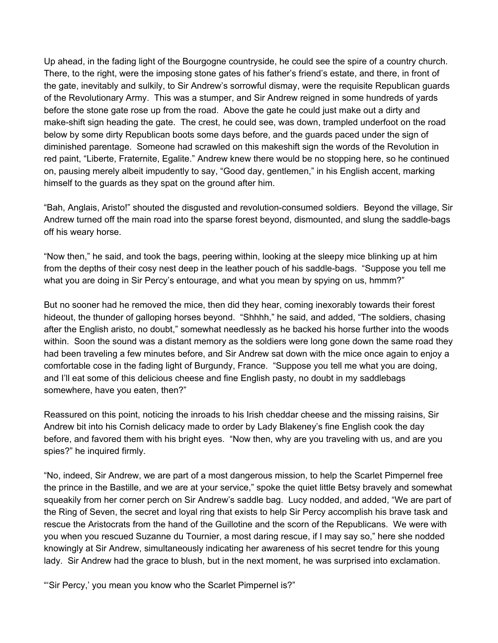Up ahead, in the fading light of the Bourgogne countryside, he could see the spire of a country church. There, to the right, were the imposing stone gates of his father's friend's estate, and there, in front of the gate, inevitably and sulkily, to Sir Andrew's sorrowful dismay, were the requisite Republican guards of the Revolutionary Army. This was a stumper, and Sir Andrew reigned in some hundreds of yards before the stone gate rose up from the road. Above the gate he could just make out a dirty and make-shift sign heading the gate. The crest, he could see, was down, trampled underfoot on the road below by some dirty Republican boots some days before, and the guards paced under the sign of diminished parentage. Someone had scrawled on this makeshift sign the words of the Revolution in red paint, "Liberte, Fraternite, Egalite." Andrew knew there would be no stopping here, so he continued on, pausing merely albeit impudently to say, "Good day, gentlemen," in his English accent, marking himself to the guards as they spat on the ground after him.

"Bah, Anglais, Aristo!" shouted the disgusted and revolution-consumed soldiers. Beyond the village, Sir Andrew turned off the main road into the sparse forest beyond, dismounted, and slung the saddle-bags off his weary horse.

"Now then," he said, and took the bags, peering within, looking at the sleepy mice blinking up at him from the depths of their cosy nest deep in the leather pouch of his saddle-bags. "Suppose you tell me what you are doing in Sir Percy's entourage, and what you mean by spying on us, hmmm?"

But no sooner had he removed the mice, then did they hear, coming inexorably towards their forest hideout, the thunder of galloping horses beyond. "Shhhh," he said, and added, "The soldiers, chasing after the English aristo, no doubt," somewhat needlessly as he backed his horse further into the woods within. Soon the sound was a distant memory as the soldiers were long gone down the same road they had been traveling a few minutes before, and Sir Andrew sat down with the mice once again to enjoy a comfortable cose in the fading light of Burgundy, France. "Suppose you tell me what you are doing, and I'll eat some of this delicious cheese and fine English pasty, no doubt in my saddlebags somewhere, have you eaten, then?"

Reassured on this point, noticing the inroads to his Irish cheddar cheese and the missing raisins, Sir Andrew bit into his Cornish delicacy made to order by Lady Blakeney's fine English cook the day before, and favored them with his bright eyes. "Now then, why are you traveling with us, and are you spies?" he inquired firmly.

"No, indeed, Sir Andrew, we are part of a most dangerous mission, to help the Scarlet Pimpernel free the prince in the Bastille, and we are at your service," spoke the quiet little Betsy bravely and somewhat squeakily from her corner perch on Sir Andrew's saddle bag. Lucy nodded, and added, "We are part of the Ring of Seven, the secret and loyal ring that exists to help Sir Percy accomplish his brave task and rescue the Aristocrats from the hand of the Guillotine and the scorn of the Republicans. We were with you when you rescued Suzanne du Tournier, a most daring rescue, if I may say so," here she nodded knowingly at Sir Andrew, simultaneously indicating her awareness of his secret tendre for this young lady. Sir Andrew had the grace to blush, but in the next moment, he was surprised into exclamation.

"'Sir Percy,' you mean you know who the Scarlet Pimpernel is?"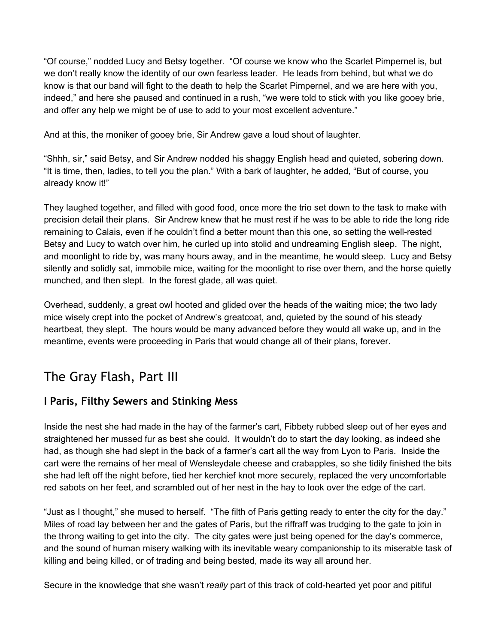"Of course," nodded Lucy and Betsy together. "Of course we know who the Scarlet Pimpernel is, but we don't really know the identity of our own fearless leader. He leads from behind, but what we do know is that our band will fight to the death to help the Scarlet Pimpernel, and we are here with you, indeed," and here she paused and continued in a rush, "we were told to stick with you like gooey brie, and offer any help we might be of use to add to your most excellent adventure."

And at this, the moniker of gooey brie, Sir Andrew gave a loud shout of laughter.

"Shhh, sir," said Betsy, and Sir Andrew nodded his shaggy English head and quieted, sobering down. "It is time, then, ladies, to tell you the plan." With a bark of laughter, he added, "But of course, you already know it!"

They laughed together, and filled with good food, once more the trio set down to the task to make with precision detail their plans. Sir Andrew knew that he must rest if he was to be able to ride the long ride remaining to Calais, even if he couldn't find a better mount than this one, so setting the well-rested Betsy and Lucy to watch over him, he curled up into stolid and undreaming English sleep. The night, and moonlight to ride by, was many hours away, and in the meantime, he would sleep. Lucy and Betsy silently and solidly sat, immobile mice, waiting for the moonlight to rise over them, and the horse quietly munched, and then slept. In the forest glade, all was quiet.

Overhead, suddenly, a great owl hooted and glided over the heads of the waiting mice; the two lady mice wisely crept into the pocket of Andrew's greatcoat, and, quieted by the sound of his steady heartbeat, they slept. The hours would be many advanced before they would all wake up, and in the meantime, events were proceeding in Paris that would change all of their plans, forever.

# <span id="page-18-0"></span>The Gray Flash, Part III

## <span id="page-18-1"></span>**I Paris, Filthy Sewers and Stinking Mess**

Inside the nest she had made in the hay of the farmer's cart, Fibbety rubbed sleep out of her eyes and straightened her mussed fur as best she could. It wouldn't do to start the day looking, as indeed she had, as though she had slept in the back of a farmer's cart all the way from Lyon to Paris. Inside the cart were the remains of her meal of Wensleydale cheese and crabapples, so she tidily finished the bits she had left off the night before, tied her kerchief knot more securely, replaced the very uncomfortable red sabots on her feet, and scrambled out of her nest in the hay to look over the edge of the cart.

"Just as I thought," she mused to herself. "The filth of Paris getting ready to enter the city for the day." Miles of road lay between her and the gates of Paris, but the riffraff was trudging to the gate to join in the throng waiting to get into the city. The city gates were just being opened for the day's commerce, and the sound of human misery walking with its inevitable weary companionship to its miserable task of killing and being killed, or of trading and being bested, made its way all around her.

Secure in the knowledge that she wasn't *really* part of this track of cold-hearted yet poor and pitiful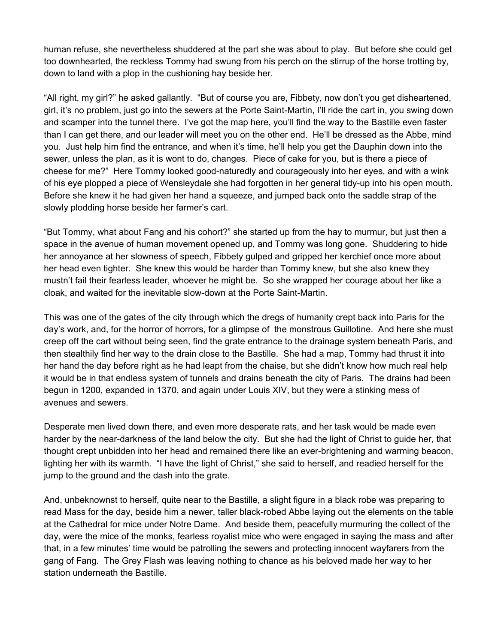human refuse, she nevertheless shuddered at the part she was about to play. But before she could get too downhearted, the reckless Tommy had swung from his perch on the stirrup of the horse trotting by, down to land with a plop in the cushioning hay beside her.

"All right, my girl?" he asked gallantly. "But of course you are, Fibbety, now don't you get disheartened, girl, it's no problem, just go into the sewers at the Porte Saint-Martin, I'll ride the cart in, you swing down and scamper into the tunnel there. I've got the map here, you'll find the way to the Bastille even faster than I can get there, and our leader will meet you on the other end. He'll be dressed as the Abbe, mind you. Just help him find the entrance, and when it's time, he'll help you get the Dauphin down into the sewer, unless the plan, as it is wont to do, changes. Piece of cake for you, but is there a piece of cheese for me?" Here Tommy looked good-naturedly and courageously into her eyes, and with a wink of his eye plopped a piece of Wensleydale she had forgotten in her general tidy-up into his open mouth. Before she knew it he had given her hand a squeeze, and jumped back onto the saddle strap of the slowly plodding horse beside her farmer's cart.

"But Tommy, what about Fang and his cohort?" she started up from the hay to murmur, but just then a space in the avenue of human movement opened up, and Tommy was long gone. Shuddering to hide her annoyance at her slowness of speech, Fibbety gulped and gripped her kerchief once more about her head even tighter. She knew this would be harder than Tommy knew, but she also knew they mustn't fail their fearless leader, whoever he might be. So she wrapped her courage about her like a cloak, and waited for the inevitable slow-down at the Porte Saint-Martin.

This was one of the gates of the city through which the dregs of humanity crept back into Paris for the day's work, and, for the horror of horrors, for a glimpse of the monstrous Guillotine. And here she must creep off the cart without being seen, find the grate entrance to the drainage system beneath Paris, and then stealthily find her way to the drain close to the Bastille. She had a map, Tommy had thrust it into her hand the day before right as he had leapt from the chaise, but she didn't know how much real help it would be in that endless system of tunnels and drains beneath the city of Paris. The drains had been begun in 1200, expanded in 1370, and again under Louis XIV, but they were a stinking mess of avenues and sewers.

Desperate men lived down there, and even more desperate rats, and her task would be made even harder by the near-darkness of the land below the city. But she had the light of Christ to guide her, that thought crept unbidden into her head and remained there like an ever-brightening and warming beacon, lighting her with its warmth. "I have the light of Christ," she said to herself, and readied herself for the jump to the ground and the dash into the grate.

And, unbeknownst to herself, quite near to the Bastille, a slight figure in a black robe was preparing to read Mass for the day, beside him a newer, taller black-robed Abbe laying out the elements on the table at the Cathedral for mice under Notre Dame. And beside them, peacefully murmuring the collect of the day, were the mice of the monks, fearless royalist mice who were engaged in saying the mass and after that, in a few minutes' time would be patrolling the sewers and protecting innocent wayfarers from the gang of Fang. The Grey Flash was leaving nothing to chance as his beloved made her way to her station underneath the Bastille.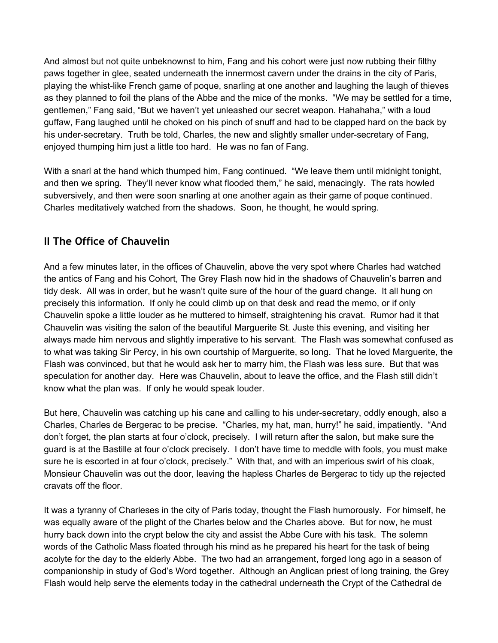And almost but not quite unbeknownst to him, Fang and his cohort were just now rubbing their filthy paws together in glee, seated underneath the innermost cavern under the drains in the city of Paris, playing the whist-like French game of poque, snarling at one another and laughing the laugh of thieves as they planned to foil the plans of the Abbe and the mice of the monks. "We may be settled for a time, gentlemen," Fang said, "But we haven't yet unleashed our secret weapon. Hahahaha," with a loud guffaw, Fang laughed until he choked on his pinch of snuff and had to be clapped hard on the back by his under-secretary. Truth be told, Charles, the new and slightly smaller under-secretary of Fang, enjoyed thumping him just a little too hard. He was no fan of Fang.

With a snarl at the hand which thumped him, Fang continued. "We leave them until midnight tonight, and then we spring. They'll never know what flooded them," he said, menacingly. The rats howled subversively, and then were soon snarling at one another again as their game of poque continued. Charles meditatively watched from the shadows. Soon, he thought, he would spring.

# <span id="page-20-0"></span>**II The Office of Chauvelin**

And a few minutes later, in the offices of Chauvelin, above the very spot where Charles had watched the antics of Fang and his Cohort, The Grey Flash now hid in the shadows of Chauvelin's barren and tidy desk. All was in order, but he wasn't quite sure of the hour of the guard change. It all hung on precisely this information. If only he could climb up on that desk and read the memo, or if only Chauvelin spoke a little louder as he muttered to himself, straightening his cravat. Rumor had it that Chauvelin was visiting the salon of the beautiful Marguerite St. Juste this evening, and visiting her always made him nervous and slightly imperative to his servant. The Flash was somewhat confused as to what was taking Sir Percy, in his own courtship of Marguerite, so long. That he loved Marguerite, the Flash was convinced, but that he would ask her to marry him, the Flash was less sure. But that was speculation for another day. Here was Chauvelin, about to leave the office, and the Flash still didn't know what the plan was. If only he would speak louder.

But here, Chauvelin was catching up his cane and calling to his under-secretary, oddly enough, also a Charles, Charles de Bergerac to be precise. "Charles, my hat, man, hurry!" he said, impatiently. "And don't forget, the plan starts at four o'clock, precisely. I will return after the salon, but make sure the guard is at the Bastille at four o'clock precisely. I don't have time to meddle with fools, you must make sure he is escorted in at four o'clock, precisely." With that, and with an imperious swirl of his cloak, Monsieur Chauvelin was out the door, leaving the hapless Charles de Bergerac to tidy up the rejected cravats off the floor.

It was a tyranny of Charleses in the city of Paris today, thought the Flash humorously. For himself, he was equally aware of the plight of the Charles below and the Charles above. But for now, he must hurry back down into the crypt below the city and assist the Abbe Cure with his task. The solemn words of the Catholic Mass floated through his mind as he prepared his heart for the task of being acolyte for the day to the elderly Abbe. The two had an arrangement, forged long ago in a season of companionship in study of God's Word together. Although an Anglican priest of long training, the Grey Flash would help serve the elements today in the cathedral underneath the Crypt of the Cathedral de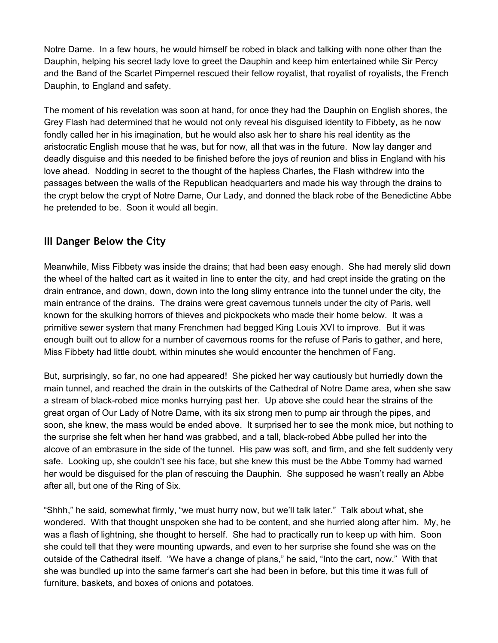Notre Dame. In a few hours, he would himself be robed in black and talking with none other than the Dauphin, helping his secret lady love to greet the Dauphin and keep him entertained while Sir Percy and the Band of the Scarlet Pimpernel rescued their fellow royalist, that royalist of royalists, the French Dauphin, to England and safety.

The moment of his revelation was soon at hand, for once they had the Dauphin on English shores, the Grey Flash had determined that he would not only reveal his disguised identity to Fibbety, as he now fondly called her in his imagination, but he would also ask her to share his real identity as the aristocratic English mouse that he was, but for now, all that was in the future. Now lay danger and deadly disguise and this needed to be finished before the joys of reunion and bliss in England with his love ahead. Nodding in secret to the thought of the hapless Charles, the Flash withdrew into the passages between the walls of the Republican headquarters and made his way through the drains to the crypt below the crypt of Notre Dame, Our Lady, and donned the black robe of the Benedictine Abbe he pretended to be. Soon it would all begin.

## <span id="page-21-0"></span>**III Danger Below the City**

Meanwhile, Miss Fibbety was inside the drains; that had been easy enough. She had merely slid down the wheel of the halted cart as it waited in line to enter the city, and had crept inside the grating on the drain entrance, and down, down, down into the long slimy entrance into the tunnel under the city, the main entrance of the drains. The drains were great cavernous tunnels under the city of Paris, well known for the skulking horrors of thieves and pickpockets who made their home below. It was a primitive sewer system that many Frenchmen had begged King Louis XVI to improve. But it was enough built out to allow for a number of cavernous rooms for the refuse of Paris to gather, and here, Miss Fibbety had little doubt, within minutes she would encounter the henchmen of Fang.

But, surprisingly, so far, no one had appeared! She picked her way cautiously but hurriedly down the main tunnel, and reached the drain in the outskirts of the Cathedral of Notre Dame area, when she saw a stream of black-robed mice monks hurrying past her. Up above she could hear the strains of the great organ of Our Lady of Notre Dame, with its six strong men to pump air through the pipes, and soon, she knew, the mass would be ended above. It surprised her to see the monk mice, but nothing to the surprise she felt when her hand was grabbed, and a tall, black-robed Abbe pulled her into the alcove of an embrasure in the side of the tunnel. His paw was soft, and firm, and she felt suddenly very safe. Looking up, she couldn't see his face, but she knew this must be the Abbe Tommy had warned her would be disguised for the plan of rescuing the Dauphin. She supposed he wasn't really an Abbe after all, but one of the Ring of Six.

"Shhh," he said, somewhat firmly, "we must hurry now, but we'll talk later." Talk about what, she wondered. With that thought unspoken she had to be content, and she hurried along after him. My, he was a flash of lightning, she thought to herself. She had to practically run to keep up with him. Soon she could tell that they were mounting upwards, and even to her surprise she found she was on the outside of the Cathedral itself. "We have a change of plans," he said, "Into the cart, now." With that she was bundled up into the same farmer's cart she had been in before, but this time it was full of furniture, baskets, and boxes of onions and potatoes.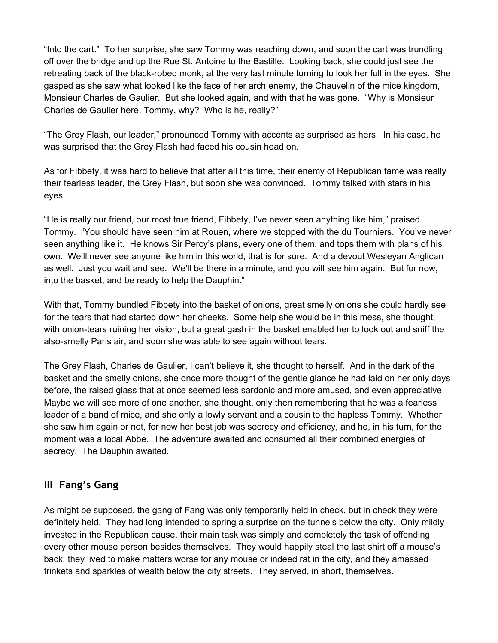"Into the cart." To her surprise, she saw Tommy was reaching down, and soon the cart was trundling off over the bridge and up the Rue St. Antoine to the Bastille. Looking back, she could just see the retreating back of the black-robed monk, at the very last minute turning to look her full in the eyes. She gasped as she saw what looked like the face of her arch enemy, the Chauvelin of the mice kingdom, Monsieur Charles de Gaulier. But she looked again, and with that he was gone. "Why is Monsieur Charles de Gaulier here, Tommy, why? Who is he, really?"

"The Grey Flash, our leader," pronounced Tommy with accents as surprised as hers. In his case, he was surprised that the Grey Flash had faced his cousin head on.

As for Fibbety, it was hard to believe that after all this time, their enemy of Republican fame was really their fearless leader, the Grey Flash, but soon she was convinced. Tommy talked with stars in his eyes.

"He is really our friend, our most true friend, Fibbety, I've never seen anything like him," praised Tommy. "You should have seen him at Rouen, where we stopped with the du Tourniers. You've never seen anything like it. He knows Sir Percy's plans, every one of them, and tops them with plans of his own. We'll never see anyone like him in this world, that is for sure. And a devout Wesleyan Anglican as well. Just you wait and see. We'll be there in a minute, and you will see him again. But for now, into the basket, and be ready to help the Dauphin."

With that, Tommy bundled Fibbety into the basket of onions, great smelly onions she could hardly see for the tears that had started down her cheeks. Some help she would be in this mess, she thought, with onion-tears ruining her vision, but a great gash in the basket enabled her to look out and sniff the also-smelly Paris air, and soon she was able to see again without tears.

The Grey Flash, Charles de Gaulier, I can't believe it, she thought to herself. And in the dark of the basket and the smelly onions, she once more thought of the gentle glance he had laid on her only days before, the raised glass that at once seemed less sardonic and more amused, and even appreciative. Maybe we will see more of one another, she thought, only then remembering that he was a fearless leader of a band of mice, and she only a lowly servant and a cousin to the hapless Tommy. Whether she saw him again or not, for now her best job was secrecy and efficiency, and he, in his turn, for the moment was a local Abbe. The adventure awaited and consumed all their combined energies of secrecy. The Dauphin awaited.

# <span id="page-22-0"></span>**III Fang's Gang**

As might be supposed, the gang of Fang was only temporarily held in check, but in check they were definitely held. They had long intended to spring a surprise on the tunnels below the city. Only mildly invested in the Republican cause, their main task was simply and completely the task of offending every other mouse person besides themselves. They would happily steal the last shirt off a mouse's back; they lived to make matters worse for any mouse or indeed rat in the city, and they amassed trinkets and sparkles of wealth below the city streets. They served, in short, themselves.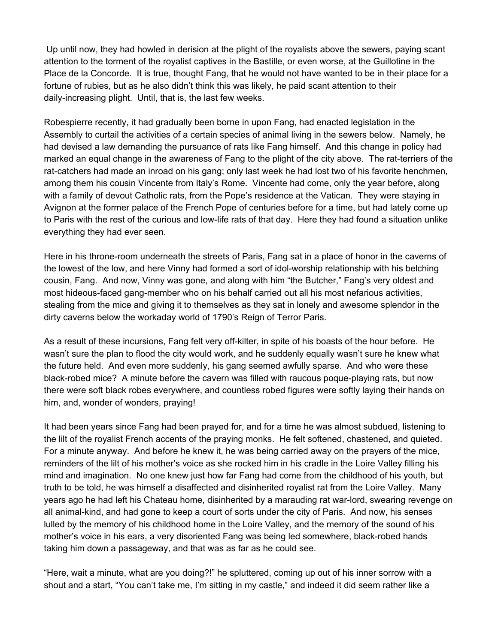Up until now, they had howled in derision at the plight of the royalists above the sewers, paying scant attention to the torment of the royalist captives in the Bastille, or even worse, at the Guillotine in the Place de la Concorde. It is true, thought Fang, that he would not have wanted to be in their place for a fortune of rubies, but as he also didn't think this was likely, he paid scant attention to their daily-increasing plight. Until, that is, the last few weeks.

Robespierre recently, it had gradually been borne in upon Fang, had enacted legislation in the Assembly to curtail the activities of a certain species of animal living in the sewers below. Namely, he had devised a law demanding the pursuance of rats like Fang himself. And this change in policy had marked an equal change in the awareness of Fang to the plight of the city above. The rat-terriers of the rat-catchers had made an inroad on his gang; only last week he had lost two of his favorite henchmen, among them his cousin Vincente from Italy's Rome. Vincente had come, only the year before, along with a family of devout Catholic rats, from the Pope's residence at the Vatican. They were staying in Avignon at the former palace of the French Pope of centuries before for a time, but had lately come up to Paris with the rest of the curious and low-life rats of that day. Here they had found a situation unlike everything they had ever seen.

Here in his throne-room underneath the streets of Paris, Fang sat in a place of honor in the caverns of the lowest of the low, and here Vinny had formed a sort of idol-worship relationship with his belching cousin, Fang. And now, Vinny was gone, and along with him "the Butcher," Fang's very oldest and most hideous-faced gang-member who on his behalf carried out all his most nefarious activities, stealing from the mice and giving it to themselves as they sat in lonely and awesome splendor in the dirty caverns below the workaday world of 1790's Reign of Terror Paris.

As a result of these incursions, Fang felt very off-kilter, in spite of his boasts of the hour before. He wasn't sure the plan to flood the city would work, and he suddenly equally wasn't sure he knew what the future held. And even more suddenly, his gang seemed awfully sparse. And who were these black-robed mice? A minute before the cavern was filled with raucous poque-playing rats, but now there were soft black robes everywhere, and countless robed figures were softly laying their hands on him, and, wonder of wonders, praying!

It had been years since Fang had been prayed for, and for a time he was almost subdued, listening to the lilt of the royalist French accents of the praying monks. He felt softened, chastened, and quieted. For a minute anyway. And before he knew it, he was being carried away on the prayers of the mice, reminders of the lilt of his mother's voice as she rocked him in his cradle in the Loire Valley filling his mind and imagination. No one knew just how far Fang had come from the childhood of his youth, but truth to be told, he was himself a disaffected and disinherited royalist rat from the Loire Valley. Many years ago he had left his Chateau home, disinherited by a marauding rat war-lord, swearing revenge on all animal-kind, and had gone to keep a court of sorts under the city of Paris. And now, his senses lulled by the memory of his childhood home in the Loire Valley, and the memory of the sound of his mother's voice in his ears, a very disoriented Fang was being led somewhere, black-robed hands taking him down a passageway, and that was as far as he could see.

"Here, wait a minute, what are you doing?!" he spluttered, coming up out of his inner sorrow with a shout and a start, "You can't take me, I'm sitting in my castle," and indeed it did seem rather like a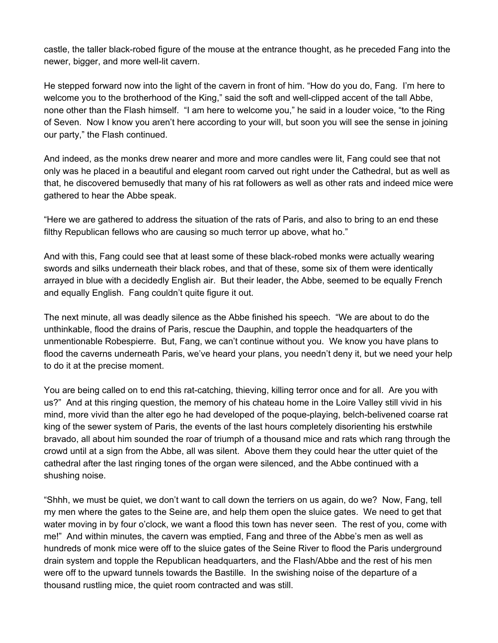castle, the taller black-robed figure of the mouse at the entrance thought, as he preceded Fang into the newer, bigger, and more well-lit cavern.

He stepped forward now into the light of the cavern in front of him. "How do you do, Fang. I'm here to welcome you to the brotherhood of the King," said the soft and well-clipped accent of the tall Abbe, none other than the Flash himself. "I am here to welcome you," he said in a louder voice, "to the Ring of Seven. Now I know you aren't here according to your will, but soon you will see the sense in joining our party," the Flash continued.

And indeed, as the monks drew nearer and more and more candles were lit, Fang could see that not only was he placed in a beautiful and elegant room carved out right under the Cathedral, but as well as that, he discovered bemusedly that many of his rat followers as well as other rats and indeed mice were gathered to hear the Abbe speak.

"Here we are gathered to address the situation of the rats of Paris, and also to bring to an end these filthy Republican fellows who are causing so much terror up above, what ho."

And with this, Fang could see that at least some of these black-robed monks were actually wearing swords and silks underneath their black robes, and that of these, some six of them were identically arrayed in blue with a decidedly English air. But their leader, the Abbe, seemed to be equally French and equally English. Fang couldn't quite figure it out.

The next minute, all was deadly silence as the Abbe finished his speech. "We are about to do the unthinkable, flood the drains of Paris, rescue the Dauphin, and topple the headquarters of the unmentionable Robespierre. But, Fang, we can't continue without you. We know you have plans to flood the caverns underneath Paris, we've heard your plans, you needn't deny it, but we need your help to do it at the precise moment.

You are being called on to end this rat-catching, thieving, killing terror once and for all. Are you with us?" And at this ringing question, the memory of his chateau home in the Loire Valley still vivid in his mind, more vivid than the alter ego he had developed of the poque-playing, belch-belivened coarse rat king of the sewer system of Paris, the events of the last hours completely disorienting his erstwhile bravado, all about him sounded the roar of triumph of a thousand mice and rats which rang through the crowd until at a sign from the Abbe, all was silent. Above them they could hear the utter quiet of the cathedral after the last ringing tones of the organ were silenced, and the Abbe continued with a shushing noise.

"Shhh, we must be quiet, we don't want to call down the terriers on us again, do we? Now, Fang, tell my men where the gates to the Seine are, and help them open the sluice gates. We need to get that water moving in by four o'clock, we want a flood this town has never seen. The rest of you, come with me!" And within minutes, the cavern was emptied, Fang and three of the Abbe's men as well as hundreds of monk mice were off to the sluice gates of the Seine River to flood the Paris underground drain system and topple the Republican headquarters, and the Flash/Abbe and the rest of his men were off to the upward tunnels towards the Bastille. In the swishing noise of the departure of a thousand rustling mice, the quiet room contracted and was still.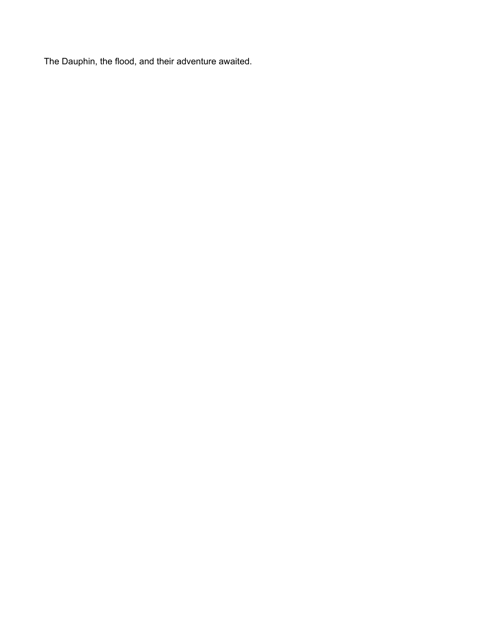The Dauphin, the flood, and their adventure awaited.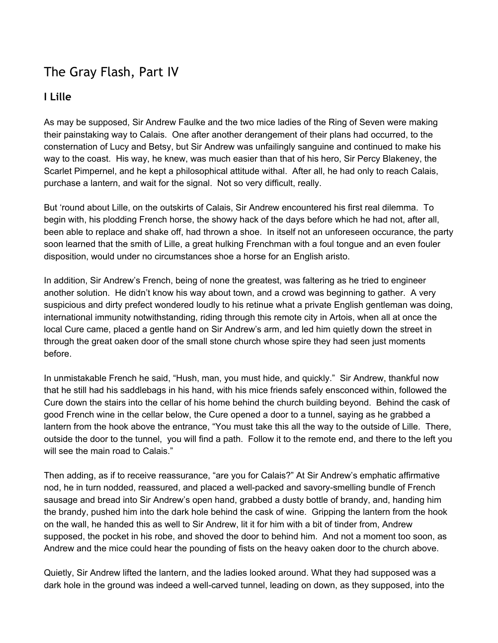# <span id="page-26-0"></span>The Gray Flash, Part IV

## <span id="page-26-1"></span>**I Lille**

As may be supposed, Sir Andrew Faulke and the two mice ladies of the Ring of Seven were making their painstaking way to Calais. One after another derangement of their plans had occurred, to the consternation of Lucy and Betsy, but Sir Andrew was unfailingly sanguine and continued to make his way to the coast. His way, he knew, was much easier than that of his hero, Sir Percy Blakeney, the Scarlet Pimpernel, and he kept a philosophical attitude withal. After all, he had only to reach Calais, purchase a lantern, and wait for the signal. Not so very difficult, really.

But 'round about Lille, on the outskirts of Calais, Sir Andrew encountered his first real dilemma. To begin with, his plodding French horse, the showy hack of the days before which he had not, after all, been able to replace and shake off, had thrown a shoe. In itself not an unforeseen occurance, the party soon learned that the smith of Lille, a great hulking Frenchman with a foul tongue and an even fouler disposition, would under no circumstances shoe a horse for an English aristo.

In addition, Sir Andrew's French, being of none the greatest, was faltering as he tried to engineer another solution. He didn't know his way about town, and a crowd was beginning to gather. A very suspicious and dirty prefect wondered loudly to his retinue what a private English gentleman was doing, international immunity notwithstanding, riding through this remote city in Artois, when all at once the local Cure came, placed a gentle hand on Sir Andrew's arm, and led him quietly down the street in through the great oaken door of the small stone church whose spire they had seen just moments before.

In unmistakable French he said, "Hush, man, you must hide, and quickly." Sir Andrew, thankful now that he still had his saddlebags in his hand, with his mice friends safely ensconced within, followed the Cure down the stairs into the cellar of his home behind the church building beyond. Behind the cask of good French wine in the cellar below, the Cure opened a door to a tunnel, saying as he grabbed a lantern from the hook above the entrance, "You must take this all the way to the outside of Lille. There, outside the door to the tunnel, you will find a path. Follow it to the remote end, and there to the left you will see the main road to Calais."

Then adding, as if to receive reassurance, "are you for Calais?" At Sir Andrew's emphatic affirmative nod, he in turn nodded, reassured, and placed a well-packed and savory-smelling bundle of French sausage and bread into Sir Andrew's open hand, grabbed a dusty bottle of brandy, and, handing him the brandy, pushed him into the dark hole behind the cask of wine. Gripping the lantern from the hook on the wall, he handed this as well to Sir Andrew, lit it for him with a bit of tinder from, Andrew supposed, the pocket in his robe, and shoved the door to behind him. And not a moment too soon, as Andrew and the mice could hear the pounding of fists on the heavy oaken door to the church above.

Quietly, Sir Andrew lifted the lantern, and the ladies looked around. What they had supposed was a dark hole in the ground was indeed a well-carved tunnel, leading on down, as they supposed, into the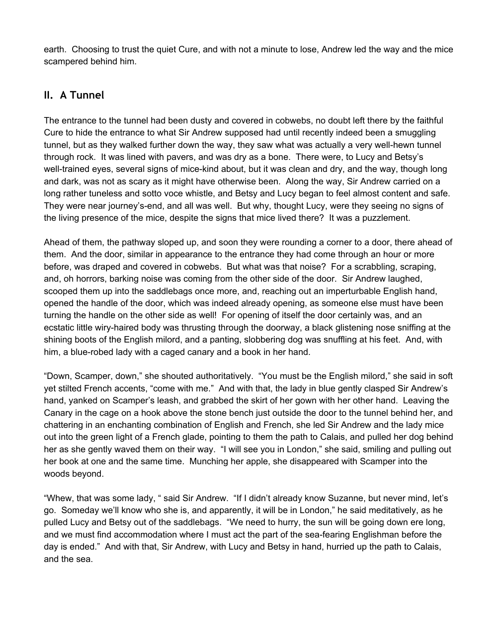earth. Choosing to trust the quiet Cure, and with not a minute to lose, Andrew led the way and the mice scampered behind him.

# <span id="page-27-0"></span>**II. A Tunnel**

The entrance to the tunnel had been dusty and covered in cobwebs, no doubt left there by the faithful Cure to hide the entrance to what Sir Andrew supposed had until recently indeed been a smuggling tunnel, but as they walked further down the way, they saw what was actually a very well-hewn tunnel through rock. It was lined with pavers, and was dry as a bone. There were, to Lucy and Betsy's well-trained eyes, several signs of mice-kind about, but it was clean and dry, and the way, though long and dark, was not as scary as it might have otherwise been. Along the way, Sir Andrew carried on a long rather tuneless and sotto voce whistle, and Betsy and Lucy began to feel almost content and safe. They were near journey's-end, and all was well. But why, thought Lucy, were they seeing no signs of the living presence of the mice, despite the signs that mice lived there? It was a puzzlement.

Ahead of them, the pathway sloped up, and soon they were rounding a corner to a door, there ahead of them. And the door, similar in appearance to the entrance they had come through an hour or more before, was draped and covered in cobwebs. But what was that noise? For a scrabbling, scraping, and, oh horrors, barking noise was coming from the other side of the door. Sir Andrew laughed, scooped them up into the saddlebags once more, and, reaching out an imperturbable English hand, opened the handle of the door, which was indeed already opening, as someone else must have been turning the handle on the other side as well! For opening of itself the door certainly was, and an ecstatic little wiry-haired body was thrusting through the doorway, a black glistening nose sniffing at the shining boots of the English milord, and a panting, slobbering dog was snuffling at his feet. And, with him, a blue-robed lady with a caged canary and a book in her hand.

"Down, Scamper, down," she shouted authoritatively. "You must be the English milord," she said in soft yet stilted French accents, "come with me." And with that, the lady in blue gently clasped Sir Andrew's hand, yanked on Scamper's leash, and grabbed the skirt of her gown with her other hand. Leaving the Canary in the cage on a hook above the stone bench just outside the door to the tunnel behind her, and chattering in an enchanting combination of English and French, she led Sir Andrew and the lady mice out into the green light of a French glade, pointing to them the path to Calais, and pulled her dog behind her as she gently waved them on their way. "I will see you in London," she said, smiling and pulling out her book at one and the same time. Munching her apple, she disappeared with Scamper into the woods beyond.

"Whew, that was some lady, " said Sir Andrew. "If I didn't already know Suzanne, but never mind, let's go. Someday we'll know who she is, and apparently, it will be in London," he said meditatively, as he pulled Lucy and Betsy out of the saddlebags. "We need to hurry, the sun will be going down ere long, and we must find accommodation where I must act the part of the sea-fearing Englishman before the day is ended." And with that, Sir Andrew, with Lucy and Betsy in hand, hurried up the path to Calais, and the sea.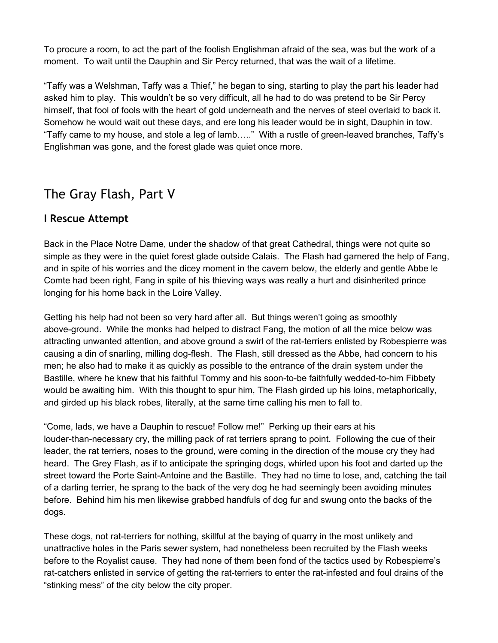To procure a room, to act the part of the foolish Englishman afraid of the sea, was but the work of a moment. To wait until the Dauphin and Sir Percy returned, that was the wait of a lifetime.

"Taffy was a Welshman, Taffy was a Thief," he began to sing, starting to play the part his leader had asked him to play. This wouldn't be so very difficult, all he had to do was pretend to be Sir Percy himself, that fool of fools with the heart of gold underneath and the nerves of steel overlaid to back it. Somehow he would wait out these days, and ere long his leader would be in sight, Dauphin in tow. "Taffy came to my house, and stole a leg of lamb….." With a rustle of green-leaved branches, Taffy's Englishman was gone, and the forest glade was quiet once more.

# <span id="page-28-0"></span>The Gray Flash, Part V

## <span id="page-28-1"></span>**I Rescue Attempt**

Back in the Place Notre Dame, under the shadow of that great Cathedral, things were not quite so simple as they were in the quiet forest glade outside Calais. The Flash had garnered the help of Fang, and in spite of his worries and the dicey moment in the cavern below, the elderly and gentle Abbe le Comte had been right, Fang in spite of his thieving ways was really a hurt and disinherited prince longing for his home back in the Loire Valley.

Getting his help had not been so very hard after all. But things weren't going as smoothly above-ground. While the monks had helped to distract Fang, the motion of all the mice below was attracting unwanted attention, and above ground a swirl of the rat-terriers enlisted by Robespierre was causing a din of snarling, milling dog-flesh. The Flash, still dressed as the Abbe, had concern to his men; he also had to make it as quickly as possible to the entrance of the drain system under the Bastille, where he knew that his faithful Tommy and his soon-to-be faithfully wedded-to-him Fibbety would be awaiting him. With this thought to spur him, The Flash girded up his loins, metaphorically, and girded up his black robes, literally, at the same time calling his men to fall to.

"Come, lads, we have a Dauphin to rescue! Follow me!" Perking up their ears at his louder-than-necessary cry, the milling pack of rat terriers sprang to point. Following the cue of their leader, the rat terriers, noses to the ground, were coming in the direction of the mouse cry they had heard. The Grey Flash, as if to anticipate the springing dogs, whirled upon his foot and darted up the street toward the Porte Saint-Antoine and the Bastille. They had no time to lose, and, catching the tail of a darting terrier, he sprang to the back of the very dog he had seemingly been avoiding minutes before. Behind him his men likewise grabbed handfuls of dog fur and swung onto the backs of the dogs.

These dogs, not rat-terriers for nothing, skillful at the baying of quarry in the most unlikely and unattractive holes in the Paris sewer system, had nonetheless been recruited by the Flash weeks before to the Royalist cause. They had none of them been fond of the tactics used by Robespierre's rat-catchers enlisted in service of getting the rat-terriers to enter the rat-infested and foul drains of the "stinking mess" of the city below the city proper.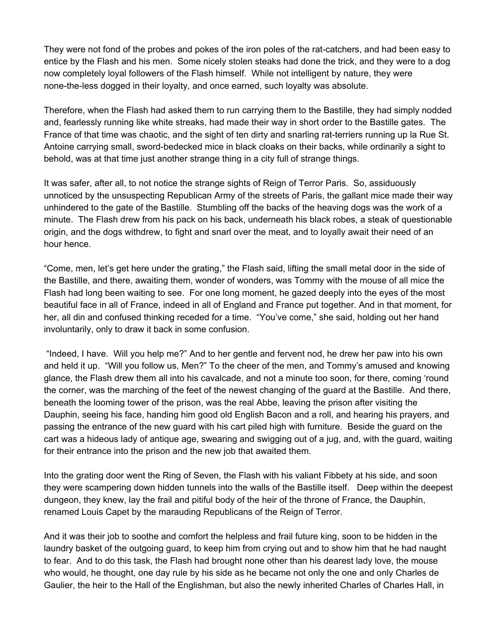They were not fond of the probes and pokes of the iron poles of the rat-catchers, and had been easy to entice by the Flash and his men. Some nicely stolen steaks had done the trick, and they were to a dog now completely loyal followers of the Flash himself. While not intelligent by nature, they were none-the-less dogged in their loyalty, and once earned, such loyalty was absolute.

Therefore, when the Flash had asked them to run carrying them to the Bastille, they had simply nodded and, fearlessly running like white streaks, had made their way in short order to the Bastille gates. The France of that time was chaotic, and the sight of ten dirty and snarling rat-terriers running up la Rue St. Antoine carrying small, sword-bedecked mice in black cloaks on their backs, while ordinarily a sight to behold, was at that time just another strange thing in a city full of strange things.

It was safer, after all, to not notice the strange sights of Reign of Terror Paris. So, assiduously unnoticed by the unsuspecting Republican Army of the streets of Paris, the gallant mice made their way unhindered to the gate of the Bastille. Stumbling off the backs of the heaving dogs was the work of a minute. The Flash drew from his pack on his back, underneath his black robes, a steak of questionable origin, and the dogs withdrew, to fight and snarl over the meat, and to loyally await their need of an hour hence.

"Come, men, let's get here under the grating," the Flash said, lifting the small metal door in the side of the Bastille, and there, awaiting them, wonder of wonders, was Tommy with the mouse of all mice the Flash had long been waiting to see. For one long moment, he gazed deeply into the eyes of the most beautiful face in all of France, indeed in all of England and France put together. And in that moment, for her, all din and confused thinking receded for a time. "You've come," she said, holding out her hand involuntarily, only to draw it back in some confusion.

"Indeed, I have. Will you help me?" And to her gentle and fervent nod, he drew her paw into his own and held it up. "Will you follow us, Men?" To the cheer of the men, and Tommy's amused and knowing glance, the Flash drew them all into his cavalcade, and not a minute too soon, for there, coming 'round the corner, was the marching of the feet of the newest changing of the guard at the Bastille. And there, beneath the looming tower of the prison, was the real Abbe, leaving the prison after visiting the Dauphin, seeing his face, handing him good old English Bacon and a roll, and hearing his prayers, and passing the entrance of the new guard with his cart piled high with furniture. Beside the guard on the cart was a hideous lady of antique age, swearing and swigging out of a jug, and, with the guard, waiting for their entrance into the prison and the new job that awaited them.

Into the grating door went the Ring of Seven, the Flash with his valiant Fibbety at his side, and soon they were scampering down hidden tunnels into the walls of the Bastille itself. Deep within the deepest dungeon, they knew, lay the frail and pitiful body of the heir of the throne of France, the Dauphin, renamed Louis Capet by the marauding Republicans of the Reign of Terror.

And it was their job to soothe and comfort the helpless and frail future king, soon to be hidden in the laundry basket of the outgoing guard, to keep him from crying out and to show him that he had naught to fear. And to do this task, the Flash had brought none other than his dearest lady love, the mouse who would, he thought, one day rule by his side as he became not only the one and only Charles de Gaulier, the heir to the Hall of the Englishman, but also the newly inherited Charles of Charles Hall, in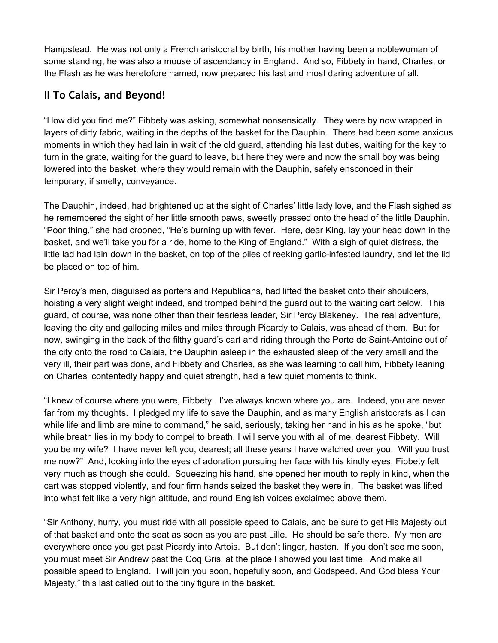Hampstead. He was not only a French aristocrat by birth, his mother having been a noblewoman of some standing, he was also a mouse of ascendancy in England. And so, Fibbety in hand, Charles, or the Flash as he was heretofore named, now prepared his last and most daring adventure of all.

# <span id="page-30-0"></span>**II To Calais, and Beyond!**

"How did you find me?" Fibbety was asking, somewhat nonsensically. They were by now wrapped in layers of dirty fabric, waiting in the depths of the basket for the Dauphin. There had been some anxious moments in which they had lain in wait of the old guard, attending his last duties, waiting for the key to turn in the grate, waiting for the guard to leave, but here they were and now the small boy was being lowered into the basket, where they would remain with the Dauphin, safely ensconced in their temporary, if smelly, conveyance.

The Dauphin, indeed, had brightened up at the sight of Charles' little lady love, and the Flash sighed as he remembered the sight of her little smooth paws, sweetly pressed onto the head of the little Dauphin. "Poor thing," she had crooned, "He's burning up with fever. Here, dear King, lay your head down in the basket, and we'll take you for a ride, home to the King of England." With a sigh of quiet distress, the little lad had lain down in the basket, on top of the piles of reeking garlic-infested laundry, and let the lid be placed on top of him.

Sir Percy's men, disguised as porters and Republicans, had lifted the basket onto their shoulders, hoisting a very slight weight indeed, and tromped behind the guard out to the waiting cart below. This guard, of course, was none other than their fearless leader, Sir Percy Blakeney. The real adventure, leaving the city and galloping miles and miles through Picardy to Calais, was ahead of them. But for now, swinging in the back of the filthy guard's cart and riding through the Porte de Saint-Antoine out of the city onto the road to Calais, the Dauphin asleep in the exhausted sleep of the very small and the very ill, their part was done, and Fibbety and Charles, as she was learning to call him, Fibbety leaning on Charles' contentedly happy and quiet strength, had a few quiet moments to think.

"I knew of course where you were, Fibbety. I've always known where you are. Indeed, you are never far from my thoughts. I pledged my life to save the Dauphin, and as many English aristocrats as I can while life and limb are mine to command," he said, seriously, taking her hand in his as he spoke, "but while breath lies in my body to compel to breath, I will serve you with all of me, dearest Fibbety. Will you be my wife? I have never left you, dearest; all these years I have watched over you. Will you trust me now?" And, looking into the eyes of adoration pursuing her face with his kindly eyes, Fibbety felt very much as though she could. Squeezing his hand, she opened her mouth to reply in kind, when the cart was stopped violently, and four firm hands seized the basket they were in. The basket was lifted into what felt like a very high altitude, and round English voices exclaimed above them.

"Sir Anthony, hurry, you must ride with all possible speed to Calais, and be sure to get His Majesty out of that basket and onto the seat as soon as you are past Lille. He should be safe there. My men are everywhere once you get past Picardy into Artois. But don't linger, hasten. If you don't see me soon, you must meet Sir Andrew past the Coq Gris, at the place I showed you last time. And make all possible speed to England. I will join you soon, hopefully soon, and Godspeed. And God bless Your Majesty," this last called out to the tiny figure in the basket.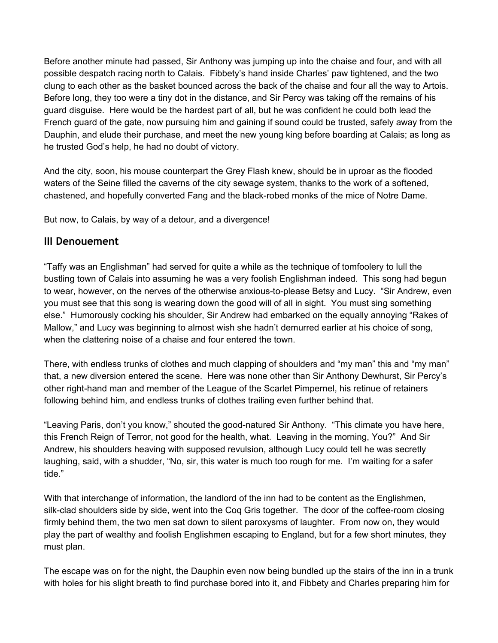Before another minute had passed, Sir Anthony was jumping up into the chaise and four, and with all possible despatch racing north to Calais. Fibbety's hand inside Charles' paw tightened, and the two clung to each other as the basket bounced across the back of the chaise and four all the way to Artois. Before long, they too were a tiny dot in the distance, and Sir Percy was taking off the remains of his guard disguise. Here would be the hardest part of all, but he was confident he could both lead the French guard of the gate, now pursuing him and gaining if sound could be trusted, safely away from the Dauphin, and elude their purchase, and meet the new young king before boarding at Calais; as long as he trusted God's help, he had no doubt of victory.

And the city, soon, his mouse counterpart the Grey Flash knew, should be in uproar as the flooded waters of the Seine filled the caverns of the city sewage system, thanks to the work of a softened, chastened, and hopefully converted Fang and the black-robed monks of the mice of Notre Dame.

But now, to Calais, by way of a detour, and a divergence!

### <span id="page-31-0"></span>**III Denouement**

"Taffy was an Englishman" had served for quite a while as the technique of tomfoolery to lull the bustling town of Calais into assuming he was a very foolish Englishman indeed. This song had begun to wear, however, on the nerves of the otherwise anxious-to-please Betsy and Lucy. "Sir Andrew, even you must see that this song is wearing down the good will of all in sight. You must sing something else." Humorously cocking his shoulder, Sir Andrew had embarked on the equally annoying "Rakes of Mallow," and Lucy was beginning to almost wish she hadn't demurred earlier at his choice of song, when the clattering noise of a chaise and four entered the town.

There, with endless trunks of clothes and much clapping of shoulders and "my man" this and "my man" that, a new diversion entered the scene. Here was none other than Sir Anthony Dewhurst, Sir Percy's other right-hand man and member of the League of the Scarlet Pimpernel, his retinue of retainers following behind him, and endless trunks of clothes trailing even further behind that.

"Leaving Paris, don't you know," shouted the good-natured Sir Anthony. "This climate you have here, this French Reign of Terror, not good for the health, what. Leaving in the morning, You?" And Sir Andrew, his shoulders heaving with supposed revulsion, although Lucy could tell he was secretly laughing, said, with a shudder, "No, sir, this water is much too rough for me. I'm waiting for a safer tide."

With that interchange of information, the landlord of the inn had to be content as the Englishmen, silk-clad shoulders side by side, went into the Coq Gris together. The door of the coffee-room closing firmly behind them, the two men sat down to silent paroxysms of laughter. From now on, they would play the part of wealthy and foolish Englishmen escaping to England, but for a few short minutes, they must plan.

The escape was on for the night, the Dauphin even now being bundled up the stairs of the inn in a trunk with holes for his slight breath to find purchase bored into it, and Fibbety and Charles preparing him for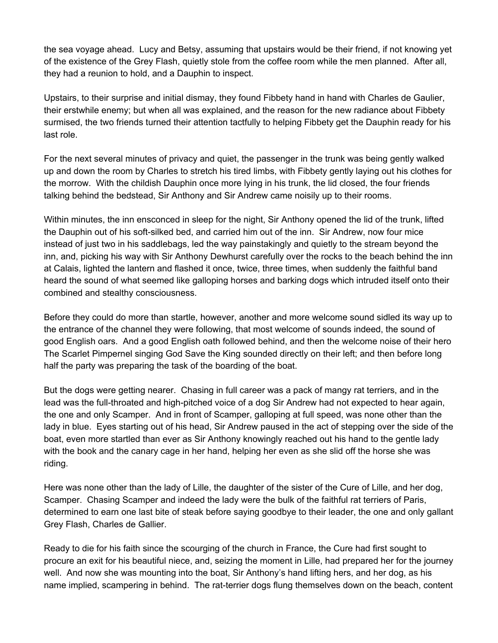the sea voyage ahead. Lucy and Betsy, assuming that upstairs would be their friend, if not knowing yet of the existence of the Grey Flash, quietly stole from the coffee room while the men planned. After all, they had a reunion to hold, and a Dauphin to inspect.

Upstairs, to their surprise and initial dismay, they found Fibbety hand in hand with Charles de Gaulier, their erstwhile enemy; but when all was explained, and the reason for the new radiance about Fibbety surmised, the two friends turned their attention tactfully to helping Fibbety get the Dauphin ready for his last role.

For the next several minutes of privacy and quiet, the passenger in the trunk was being gently walked up and down the room by Charles to stretch his tired limbs, with Fibbety gently laying out his clothes for the morrow. With the childish Dauphin once more lying in his trunk, the lid closed, the four friends talking behind the bedstead, Sir Anthony and Sir Andrew came noisily up to their rooms.

Within minutes, the inn ensconced in sleep for the night, Sir Anthony opened the lid of the trunk, lifted the Dauphin out of his soft-silked bed, and carried him out of the inn. Sir Andrew, now four mice instead of just two in his saddlebags, led the way painstakingly and quietly to the stream beyond the inn, and, picking his way with Sir Anthony Dewhurst carefully over the rocks to the beach behind the inn at Calais, lighted the lantern and flashed it once, twice, three times, when suddenly the faithful band heard the sound of what seemed like galloping horses and barking dogs which intruded itself onto their combined and stealthy consciousness.

Before they could do more than startle, however, another and more welcome sound sidled its way up to the entrance of the channel they were following, that most welcome of sounds indeed, the sound of good English oars. And a good English oath followed behind, and then the welcome noise of their hero The Scarlet Pimpernel singing God Save the King sounded directly on their left; and then before long half the party was preparing the task of the boarding of the boat.

But the dogs were getting nearer. Chasing in full career was a pack of mangy rat terriers, and in the lead was the full-throated and high-pitched voice of a dog Sir Andrew had not expected to hear again, the one and only Scamper. And in front of Scamper, galloping at full speed, was none other than the lady in blue. Eyes starting out of his head, Sir Andrew paused in the act of stepping over the side of the boat, even more startled than ever as Sir Anthony knowingly reached out his hand to the gentle lady with the book and the canary cage in her hand, helping her even as she slid off the horse she was riding.

Here was none other than the lady of Lille, the daughter of the sister of the Cure of Lille, and her dog, Scamper. Chasing Scamper and indeed the lady were the bulk of the faithful rat terriers of Paris, determined to earn one last bite of steak before saying goodbye to their leader, the one and only gallant Grey Flash, Charles de Gallier.

Ready to die for his faith since the scourging of the church in France, the Cure had first sought to procure an exit for his beautiful niece, and, seizing the moment in Lille, had prepared her for the journey well. And now she was mounting into the boat, Sir Anthony's hand lifting hers, and her dog, as his name implied, scampering in behind. The rat-terrier dogs flung themselves down on the beach, content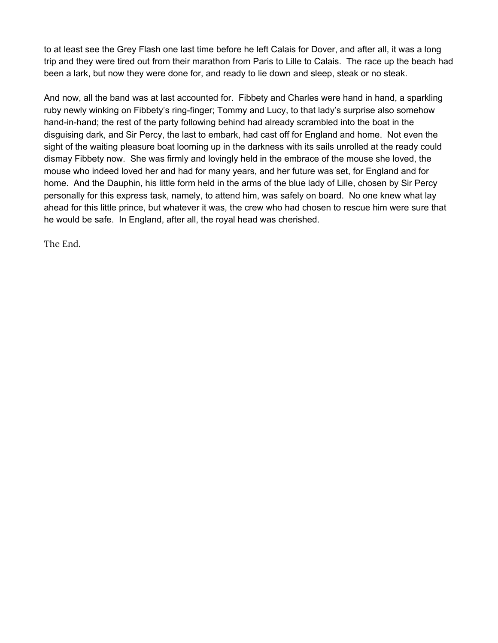to at least see the Grey Flash one last time before he left Calais for Dover, and after all, it was a long trip and they were tired out from their marathon from Paris to Lille to Calais. The race up the beach had been a lark, but now they were done for, and ready to lie down and sleep, steak or no steak.

And now, all the band was at last accounted for. Fibbety and Charles were hand in hand, a sparkling ruby newly winking on Fibbety's ring-finger; Tommy and Lucy, to that lady's surprise also somehow hand-in-hand; the rest of the party following behind had already scrambled into the boat in the disguising dark, and Sir Percy, the last to embark, had cast off for England and home. Not even the sight of the waiting pleasure boat looming up in the darkness with its sails unrolled at the ready could dismay Fibbety now. She was firmly and lovingly held in the embrace of the mouse she loved, the mouse who indeed loved her and had for many years, and her future was set, for England and for home. And the Dauphin, his little form held in the arms of the blue lady of Lille, chosen by Sir Percy personally for this express task, namely, to attend him, was safely on board. No one knew what lay ahead for this little prince, but whatever it was, the crew who had chosen to rescue him were sure that he would be safe. In England, after all, the royal head was cherished.

The End.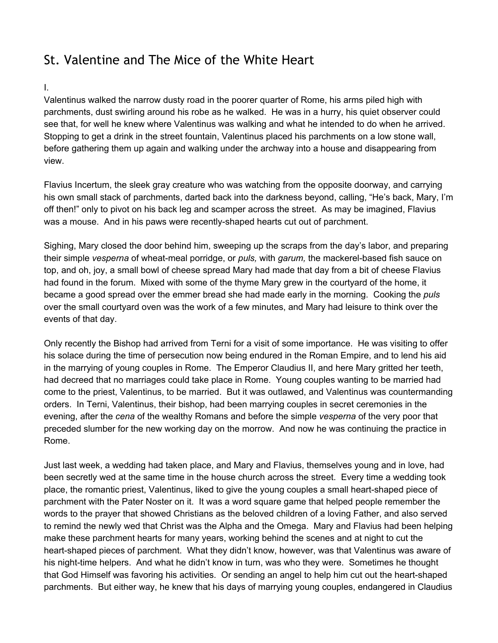# <span id="page-34-0"></span>St. Valentine and The Mice of the White Heart

#### I.

Valentinus walked the narrow dusty road in the poorer quarter of Rome, his arms piled high with parchments, dust swirling around his robe as he walked. He was in a hurry, his quiet observer could see that, for well he knew where Valentinus was walking and what he intended to do when he arrived. Stopping to get a drink in the street fountain, Valentinus placed his parchments on a low stone wall, before gathering them up again and walking under the archway into a house and disappearing from view.

Flavius Incertum, the sleek gray creature who was watching from the opposite doorway, and carrying his own small stack of parchments, darted back into the darkness beyond, calling, "He's back, Mary, I'm off then!" only to pivot on his back leg and scamper across the street. As may be imagined, Flavius was a mouse. And in his paws were recently-shaped hearts cut out of parchment.

Sighing, Mary closed the door behind him, sweeping up the scraps from the day's labor, and preparing their simple *vesperna* of wheat-meal porridge, or *puls,* with *garum,* the mackerel-based fish sauce on top, and oh, joy, a small bowl of cheese spread Mary had made that day from a bit of cheese Flavius had found in the forum. Mixed with some of the thyme Mary grew in the courtyard of the home, it became a good spread over the emmer bread she had made early in the morning. Cooking the *puls* over the small courtyard oven was the work of a few minutes, and Mary had leisure to think over the events of that day.

Only recently the Bishop had arrived from Terni for a visit of some importance. He was visiting to offer his solace during the time of persecution now being endured in the Roman Empire, and to lend his aid in the marrying of young couples in Rome. The Emperor Claudius II, and here Mary gritted her teeth, had decreed that no marriages could take place in Rome. Young couples wanting to be married had come to the priest, Valentinus, to be married. But it was outlawed, and Valentinus was countermanding orders. In Terni, Valentinus, their bishop, had been marrying couples in secret ceremonies in the evening, after the *cena* of the wealthy Romans and before the simple *vesperna* of the very poor that preceded slumber for the new working day on the morrow. And now he was continuing the practice in Rome.

Just last week, a wedding had taken place, and Mary and Flavius, themselves young and in love, had been secretly wed at the same time in the house church across the street. Every time a wedding took place, the romantic priest, Valentinus, liked to give the young couples a small heart-shaped piece of parchment with the Pater Noster on it. It was a word square game that helped people remember the words to the prayer that showed Christians as the beloved children of a loving Father, and also served to remind the newly wed that Christ was the Alpha and the Omega. Mary and Flavius had been helping make these parchment hearts for many years, working behind the scenes and at night to cut the heart-shaped pieces of parchment. What they didn't know, however, was that Valentinus was aware of his night-time helpers. And what he didn't know in turn, was who they were. Sometimes he thought that God Himself was favoring his activities. Or sending an angel to help him cut out the heart-shaped parchments. But either way, he knew that his days of marrying young couples, endangered in Claudius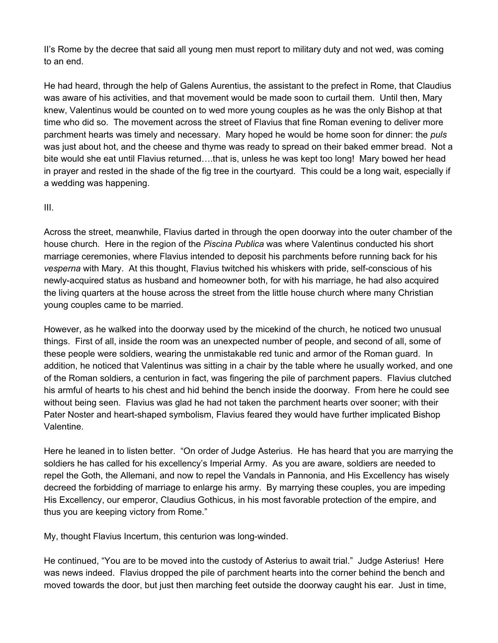II's Rome by the decree that said all young men must report to military duty and not wed, was coming to an end.

He had heard, through the help of Galens Aurentius, the assistant to the prefect in Rome, that Claudius was aware of his activities, and that movement would be made soon to curtail them. Until then, Mary knew, Valentinus would be counted on to wed more young couples as he was the only Bishop at that time who did so. The movement across the street of Flavius that fine Roman evening to deliver more parchment hearts was timely and necessary. Mary hoped he would be home soon for dinner: the *puls* was just about hot, and the cheese and thyme was ready to spread on their baked emmer bread. Not a bite would she eat until Flavius returned….that is, unless he was kept too long! Mary bowed her head in prayer and rested in the shade of the fig tree in the courtyard. This could be a long wait, especially if a wedding was happening.

#### III.

Across the street, meanwhile, Flavius darted in through the open doorway into the outer chamber of the house church*.* Here in the region of the *Piscina Publica* was where Valentinus conducted his short marriage ceremonies, where Flavius intended to deposit his parchments before running back for his *vesperna* with Mary. At this thought, Flavius twitched his whiskers with pride, self-conscious of his newly-acquired status as husband and homeowner both, for with his marriage, he had also acquired the living quarters at the house across the street from the little house church where many Christian young couples came to be married.

However, as he walked into the doorway used by the micekind of the church, he noticed two unusual things. First of all, inside the room was an unexpected number of people, and second of all, some of these people were soldiers, wearing the unmistakable red tunic and armor of the Roman guard. In addition, he noticed that Valentinus was sitting in a chair by the table where he usually worked, and one of the Roman soldiers, a centurion in fact, was fingering the pile of parchment papers. Flavius clutched his armful of hearts to his chest and hid behind the bench inside the doorway. From here he could see without being seen. Flavius was glad he had not taken the parchment hearts over sooner; with their Pater Noster and heart-shaped symbolism, Flavius feared they would have further implicated Bishop Valentine.

Here he leaned in to listen better. "On order of Judge Asterius. He has heard that you are marrying the soldiers he has called for his excellency's Imperial Army. As you are aware, soldiers are needed to repel the Goth, the Allemani, and now to repel the Vandals in Pannonia, and His Excellency has wisely decreed the forbidding of marriage to enlarge his army. By marrying these couples, you are impeding His Excellency, our emperor, Claudius Gothicus, in his most favorable protection of the empire, and thus you are keeping victory from Rome."

My, thought Flavius Incertum, this centurion was long-winded.

He continued, "You are to be moved into the custody of Asterius to await trial." Judge Asterius! Here was news indeed. Flavius dropped the pile of parchment hearts into the corner behind the bench and moved towards the door, but just then marching feet outside the doorway caught his ear. Just in time,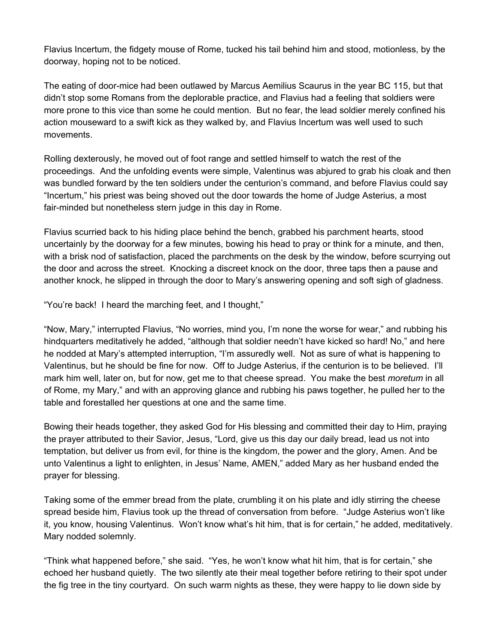Flavius Incertum, the fidgety mouse of Rome, tucked his tail behind him and stood, motionless, by the doorway, hoping not to be noticed.

The eating of door-mice had been outlawed by Marcus Aemilius Scaurus in the year BC 115, but that didn't stop some Romans from the deplorable practice, and Flavius had a feeling that soldiers were more prone to this vice than some he could mention. But no fear, the lead soldier merely confined his action mouseward to a swift kick as they walked by, and Flavius Incertum was well used to such movements.

Rolling dexterously, he moved out of foot range and settled himself to watch the rest of the proceedings. And the unfolding events were simple, Valentinus was abjured to grab his cloak and then was bundled forward by the ten soldiers under the centurion's command, and before Flavius could say "Incertum," his priest was being shoved out the door towards the home of Judge Asterius, a most fair-minded but nonetheless stern judge in this day in Rome.

Flavius scurried back to his hiding place behind the bench, grabbed his parchment hearts, stood uncertainly by the doorway for a few minutes, bowing his head to pray or think for a minute, and then, with a brisk nod of satisfaction, placed the parchments on the desk by the window, before scurrying out the door and across the street. Knocking a discreet knock on the door, three taps then a pause and another knock, he slipped in through the door to Mary's answering opening and soft sigh of gladness.

"You're back! I heard the marching feet, and I thought,"

"Now, Mary," interrupted Flavius, "No worries, mind you, I'm none the worse for wear," and rubbing his hindquarters meditatively he added, "although that soldier needn't have kicked so hard! No," and here he nodded at Mary's attempted interruption, "I'm assuredly well. Not as sure of what is happening to Valentinus, but he should be fine for now. Off to Judge Asterius, if the centurion is to be believed. I'll mark him well, later on, but for now, get me to that cheese spread. You make the best *moretum* in all of Rome, my Mary," and with an approving glance and rubbing his paws together, he pulled her to the table and forestalled her questions at one and the same time.

Bowing their heads together, they asked God for His blessing and committed their day to Him, praying the prayer attributed to their Savior, Jesus, "Lord, give us this day our daily bread, lead us not into temptation, but deliver us from evil, for thine is the kingdom, the power and the glory, Amen. And be unto Valentinus a light to enlighten, in Jesus' Name, AMEN," added Mary as her husband ended the prayer for blessing.

Taking some of the emmer bread from the plate, crumbling it on his plate and idly stirring the cheese spread beside him, Flavius took up the thread of conversation from before. "Judge Asterius won't like it, you know, housing Valentinus. Won't know what's hit him, that is for certain," he added, meditatively. Mary nodded solemnly.

"Think what happened before," she said. "Yes, he won't know what hit him, that is for certain," she echoed her husband quietly. The two silently ate their meal together before retiring to their spot under the fig tree in the tiny courtyard. On such warm nights as these, they were happy to lie down side by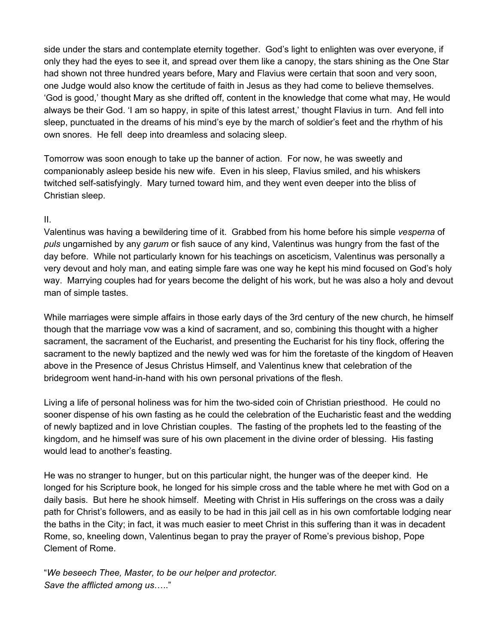side under the stars and contemplate eternity together. God's light to enlighten was over everyone, if only they had the eyes to see it, and spread over them like a canopy, the stars shining as the One Star had shown not three hundred years before, Mary and Flavius were certain that soon and very soon, one Judge would also know the certitude of faith in Jesus as they had come to believe themselves. 'God is good,' thought Mary as she drifted off, content in the knowledge that come what may, He would always be their God. 'I am so happy, in spite of this latest arrest,' thought Flavius in turn. And fell into sleep, punctuated in the dreams of his mind's eye by the march of soldier's feet and the rhythm of his own snores. He fell deep into dreamless and solacing sleep.

Tomorrow was soon enough to take up the banner of action. For now, he was sweetly and companionably asleep beside his new wife. Even in his sleep, Flavius smiled, and his whiskers twitched self-satisfyingly. Mary turned toward him, and they went even deeper into the bliss of Christian sleep.

#### II.

Valentinus was having a bewildering time of it. Grabbed from his home before his simple *vesperna* of *puls* ungarnished by any *garum* or fish sauce of any kind, Valentinus was hungry from the fast of the day before. While not particularly known for his teachings on asceticism, Valentinus was personally a very devout and holy man, and eating simple fare was one way he kept his mind focused on God's holy way. Marrying couples had for years become the delight of his work, but he was also a holy and devout man of simple tastes.

While marriages were simple affairs in those early days of the 3rd century of the new church, he himself though that the marriage vow was a kind of sacrament, and so, combining this thought with a higher sacrament, the sacrament of the Eucharist, and presenting the Eucharist for his tiny flock, offering the sacrament to the newly baptized and the newly wed was for him the foretaste of the kingdom of Heaven above in the Presence of Jesus Christus Himself, and Valentinus knew that celebration of the bridegroom went hand-in-hand with his own personal privations of the flesh.

Living a life of personal holiness was for him the two-sided coin of Christian priesthood. He could no sooner dispense of his own fasting as he could the celebration of the Eucharistic feast and the wedding of newly baptized and in love Christian couples. The fasting of the prophets led to the feasting of the kingdom, and he himself was sure of his own placement in the divine order of blessing. His fasting would lead to another's feasting.

He was no stranger to hunger, but on this particular night, the hunger was of the deeper kind. He longed for his Scripture book, he longed for his simple cross and the table where he met with God on a daily basis. But here he shook himself. Meeting with Christ in His sufferings on the cross was a daily path for Christ's followers, and as easily to be had in this jail cell as in his own comfortable lodging near the baths in the City; in fact, it was much easier to meet Christ in this suffering than it was in decadent Rome, so, kneeling down, Valentinus began to pray the prayer of Rome's previous bishop, Pope Clement of Rome.

"*We beseech Thee, Master, to be our helper and protector. Save the afflicted among us*….."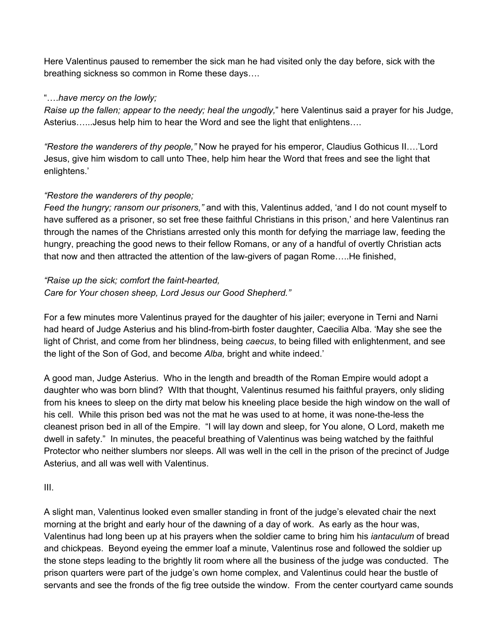Here Valentinus paused to remember the sick man he had visited only the day before, sick with the breathing sickness so common in Rome these days….

#### "….*have mercy on the lowly;*

*Raise up the fallen; appear to the needy; heal the ungodly,*" here Valentinus said a prayer for his Judge, Asterius…...Jesus help him to hear the Word and see the light that enlightens….

*"Restore the wanderers of thy people,"* Now he prayed for his emperor, Claudius Gothicus II….'Lord Jesus, give him wisdom to call unto Thee, help him hear the Word that frees and see the light that enlightens.'

### *"Restore the wanderers of thy people;*

*Feed the hungry; ransom our prisoners,"* and with this, Valentinus added, 'and I do not count myself to have suffered as a prisoner, so set free these faithful Christians in this prison,' and here Valentinus ran through the names of the Christians arrested only this month for defying the marriage law, feeding the hungry, preaching the good news to their fellow Romans, or any of a handful of overtly Christian acts that now and then attracted the attention of the law-givers of pagan Rome…..He finished,

### *"Raise up the sick; comfort the faint-hearted, Care for Your chosen sheep, Lord Jesus our Good Shepherd."*

For a few minutes more Valentinus prayed for the daughter of his jailer; everyone in Terni and Narni had heard of Judge Asterius and his blind-from-birth foster daughter, Caecilia Alba. 'May she see the light of Christ, and come from her blindness, being *caecus*, to being filled with enlightenment, and see the light of the Son of God, and become *Alba,* bright and white indeed.'

A good man, Judge Asterius. Who in the length and breadth of the Roman Empire would adopt a daughter who was born blind? WIth that thought, Valentinus resumed his faithful prayers, only sliding from his knees to sleep on the dirty mat below his kneeling place beside the high window on the wall of his cell. While this prison bed was not the mat he was used to at home, it was none-the-less the cleanest prison bed in all of the Empire. "I will lay down and sleep, for You alone, O Lord, maketh me dwell in safety." In minutes, the peaceful breathing of Valentinus was being watched by the faithful Protector who neither slumbers nor sleeps. All was well in the cell in the prison of the precinct of Judge Asterius, and all was well with Valentinus.

III.

A slight man, Valentinus looked even smaller standing in front of the judge's elevated chair the next morning at the bright and early hour of the dawning of a day of work. As early as the hour was, Valentinus had long been up at his prayers when the soldier came to bring him his *iantaculum* of bread and chickpeas. Beyond eyeing the emmer loaf a minute, Valentinus rose and followed the soldier up the stone steps leading to the brightly lit room where all the business of the judge was conducted. The prison quarters were part of the judge's own home complex, and Valentinus could hear the bustle of servants and see the fronds of the fig tree outside the window. From the center courtyard came sounds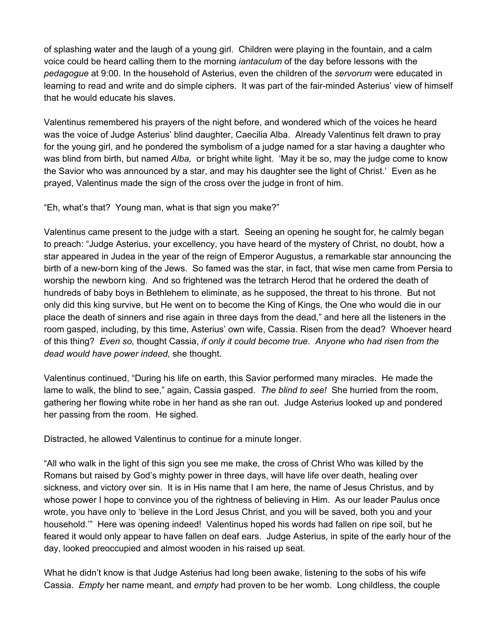of splashing water and the laugh of a young girl. Children were playing in the fountain, and a calm voice could be heard calling them to the morning *iantaculum* of the day before lessons with the *pedagogue* at 9:00. In the household of Asterius, even the children of the *servorum* were educated in learning to read and write and do simple ciphers. It was part of the fair-minded Asterius' view of himself that he would educate his slaves.

Valentinus remembered his prayers of the night before, and wondered which of the voices he heard was the voice of Judge Asterius' blind daughter, Caecilia Alba. Already Valentinus felt drawn to pray for the young girl, and he pondered the symbolism of a judge named for a star having a daughter who was blind from birth, but named *Alba,* or bright white light. 'May it be so, may the judge come to know the Savior who was announced by a star, and may his daughter see the light of Christ.' Even as he prayed, Valentinus made the sign of the cross over the judge in front of him.

"Eh, what's that? Young man, what is that sign you make?"

Valentinus came present to the judge with a start. Seeing an opening he sought for, he calmly began to preach: "Judge Asterius, your excellency, you have heard of the mystery of Christ, no doubt, how a star appeared in Judea in the year of the reign of Emperor Augustus, a remarkable star announcing the birth of a new-born king of the Jews. So famed was the star, in fact, that wise men came from Persia to worship the newborn king. And so frightened was the tetrarch Herod that he ordered the death of hundreds of baby boys in Bethlehem to eliminate, as he supposed, the threat to his throne. But not only did this king survive, but He went on to become the King of Kings, the One who would die in our place the death of sinners and rise again in three days from the dead," and here all the listeners in the room gasped, including, by this time, Asterius' own wife, Cassia. Risen from the dead? Whoever heard of this thing? *Even so,* thought Cassia, *if only it could become true. Anyone who had risen from the dead would have power indeed,* she thought.

Valentinus continued, "During his life on earth, this Savior performed many miracles. He made the lame to walk, the blind to see," again, Cassia gasped. *The blind to see!* She hurried from the room, gathering her flowing white robe in her hand as she ran out. Judge Asterius looked up and pondered her passing from the room. He sighed.

Distracted, he allowed Valentinus to continue for a minute longer.

"All who walk in the light of this sign you see me make, the cross of Christ Who was killed by the Romans but raised by God's mighty power in three days, will have life over death, healing over sickness, and victory over sin. It is in His name that I am here, the name of Jesus Christus, and by whose power I hope to convince you of the rightness of believing in Him. As our leader Paulus once wrote, you have only to 'believe in the Lord Jesus Christ, and you will be saved, both you and your household.'" Here was opening indeed! Valentinus hoped his words had fallen on ripe soil, but he feared it would only appear to have fallen on deaf ears. Judge Asterius, in spite of the early hour of the day, looked preoccupied and almost wooden in his raised up seat.

What he didn't know is that Judge Asterius had long been awake, listening to the sobs of his wife Cassia. *Empty* her name meant, and *empty* had proven to be her womb. Long childless, the couple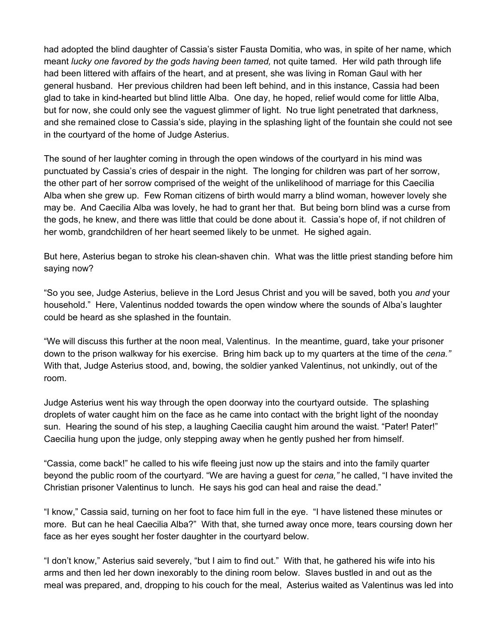had adopted the blind daughter of Cassia's sister Fausta Domitia, who was, in spite of her name, which meant *lucky one favored by the gods having been tamed,* not quite tamed. Her wild path through life had been littered with affairs of the heart, and at present, she was living in Roman Gaul with her general husband. Her previous children had been left behind, and in this instance, Cassia had been glad to take in kind-hearted but blind little Alba. One day, he hoped, relief would come for little Alba, but for now, she could only see the vaguest glimmer of light. No true light penetrated that darkness, and she remained close to Cassia's side, playing in the splashing light of the fountain she could not see in the courtyard of the home of Judge Asterius.

The sound of her laughter coming in through the open windows of the courtyard in his mind was punctuated by Cassia's cries of despair in the night. The longing for children was part of her sorrow, the other part of her sorrow comprised of the weight of the unlikelihood of marriage for this Caecilia Alba when she grew up. Few Roman citizens of birth would marry a blind woman, however lovely she may be. And Caecilia Alba was lovely, he had to grant her that. But being born blind was a curse from the gods, he knew, and there was little that could be done about it. Cassia's hope of, if not children of her womb, grandchildren of her heart seemed likely to be unmet. He sighed again.

But here, Asterius began to stroke his clean-shaven chin. What was the little priest standing before him saying now?

"So you see, Judge Asterius, believe in the Lord Jesus Christ and you will be saved, both you *and* your household." Here, Valentinus nodded towards the open window where the sounds of Alba's laughter could be heard as she splashed in the fountain.

"We will discuss this further at the noon meal, Valentinus. In the meantime, guard, take your prisoner down to the prison walkway for his exercise. Bring him back up to my quarters at the time of the *cena."* With that, Judge Asterius stood, and, bowing, the soldier yanked Valentinus, not unkindly, out of the room.

Judge Asterius went his way through the open doorway into the courtyard outside. The splashing droplets of water caught him on the face as he came into contact with the bright light of the noonday sun. Hearing the sound of his step, a laughing Caecilia caught him around the waist. "Pater! Pater!" Caecilia hung upon the judge, only stepping away when he gently pushed her from himself.

"Cassia, come back!" he called to his wife fleeing just now up the stairs and into the family quarter beyond the public room of the courtyard. "We are having a guest for *cena,"* he called, "I have invited the Christian prisoner Valentinus to lunch. He says his god can heal and raise the dead."

"I know," Cassia said, turning on her foot to face him full in the eye. "I have listened these minutes or more. But can he heal Caecilia Alba?" With that, she turned away once more, tears coursing down her face as her eyes sought her foster daughter in the courtyard below.

"I don't know," Asterius said severely, "but I aim to find out." With that, he gathered his wife into his arms and then led her down inexorably to the dining room below. Slaves bustled in and out as the meal was prepared, and, dropping to his couch for the meal, Asterius waited as Valentinus was led into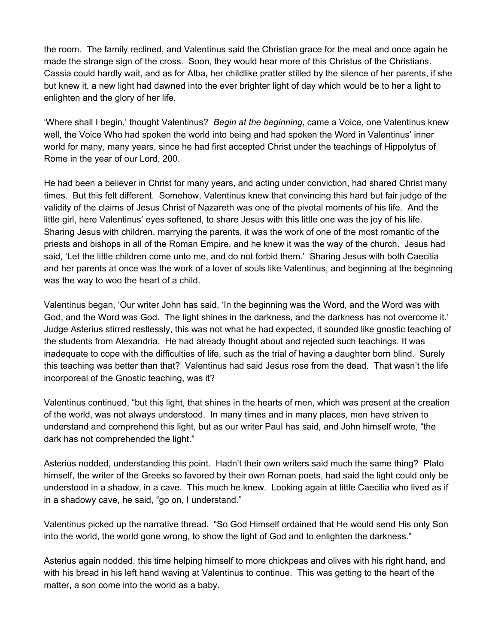the room. The family reclined, and Valentinus said the Christian grace for the meal and once again he made the strange sign of the cross. Soon, they would hear more of this Christus of the Christians. Cassia could hardly wait, and as for Alba, her childlike pratter stilled by the silence of her parents, if she but knew it, a new light had dawned into the ever brighter light of day which would be to her a light to enlighten and the glory of her life.

'Where shall I begin,' thought Valentinus? *Begin at the beginning*, came a Voice, one Valentinus knew well, the Voice Who had spoken the world into being and had spoken the Word in Valentinus' inner world for many, many years, since he had first accepted Christ under the teachings of Hippolytus of Rome in the year of our Lord, 200.

He had been a believer in Christ for many years, and acting under conviction, had shared Christ many times. But this felt different. Somehow, Valentinus knew that convincing this hard but fair judge of the validity of the claims of Jesus Christ of Nazareth was one of the pivotal moments of his life. And the little girl, here Valentinus' eyes softened, to share Jesus with this little one was the joy of his life. Sharing Jesus with children, marrying the parents, it was the work of one of the most romantic of the priests and bishops in all of the Roman Empire, and he knew it was the way of the church. Jesus had said, 'Let the little children come unto me, and do not forbid them.' Sharing Jesus with both Caecilia and her parents at once was the work of a lover of souls like Valentinus, and beginning at the beginning was the way to woo the heart of a child.

Valentinus began, 'Our writer John has said, 'In the beginning was the Word, and the Word was with God, and the Word was God. The light shines in the darkness, and the darkness has not overcome it.' Judge Asterius stirred restlessly, this was not what he had expected, it sounded like gnostic teaching of the students from Alexandria. He had already thought about and rejected such teachings. It was inadequate to cope with the difficulties of life, such as the trial of having a daughter born blind. Surely this teaching was better than that? Valentinus had said Jesus rose from the dead. That wasn't the life incorporeal of the Gnostic teaching, was it?

Valentinus continued, "but this light, that shines in the hearts of men, which was present at the creation of the world, was not always understood. In many times and in many places, men have striven to understand and comprehend this light, but as our writer Paul has said, and John himself wrote, "the dark has not comprehended the light."

Asterius nodded, understanding this point. Hadn't their own writers said much the same thing? Plato himself, the writer of the Greeks so favored by their own Roman poets, had said the light could only be understood in a shadow, in a cave. This much he knew. Looking again at little Caecilia who lived as if in a shadowy cave, he said, "go on, I understand."

Valentinus picked up the narrative thread. "So God Himself ordained that He would send His only Son into the world, the world gone wrong, to show the light of God and to enlighten the darkness."

Asterius again nodded, this time helping himself to more chickpeas and olives with his right hand, and with his bread in his left hand waving at Valentinus to continue. This was getting to the heart of the matter, a son come into the world as a baby.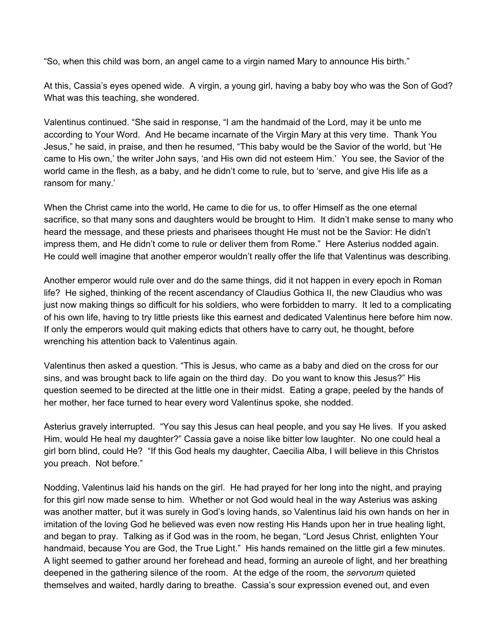"So, when this child was born, an angel came to a virgin named Mary to announce His birth."

At this, Cassia's eyes opened wide. A virgin, a young girl, having a baby boy who was the Son of God? What was this teaching, she wondered.

Valentinus continued. "She said in response, "I am the handmaid of the Lord, may it be unto me according to Your Word. And He became incarnate of the Virgin Mary at this very time. Thank You Jesus," he said, in praise, and then he resumed, "This baby would be the Savior of the world, but 'He came to His own,' the writer John says, 'and His own did not esteem Him.' You see, the Savior of the world came in the flesh, as a baby, and he didn't come to rule, but to 'serve, and give His life as a ransom for many.'

When the Christ came into the world, He came to die for us, to offer Himself as the one eternal sacrifice, so that many sons and daughters would be brought to Him. It didn't make sense to many who heard the message, and these priests and pharisees thought He must not be the Savior: He didn't impress them, and He didn't come to rule or deliver them from Rome." Here Asterius nodded again. He could well imagine that another emperor wouldn't really offer the life that Valentinus was describing.

Another emperor would rule over and do the same things, did it not happen in every epoch in Roman life? He sighed, thinking of the recent ascendancy of Claudius Gothica II, the new Claudius who was just now making things so difficult for his soldiers, who were forbidden to marry. It led to a complicating of his own life, having to try little priests like this earnest and dedicated Valentinus here before him now. If only the emperors would quit making edicts that others have to carry out, he thought, before wrenching his attention back to Valentinus again.

Valentinus then asked a question. "This is Jesus, who came as a baby and died on the cross for our sins, and was brought back to life again on the third day. Do you want to know this Jesus?" His question seemed to be directed at the little one in their midst. Eating a grape, peeled by the hands of her mother, her face turned to hear every word Valentinus spoke, she nodded.

Asterius gravely interrupted. "You say this Jesus can heal people, and you say He lives. If you asked Him, would He heal my daughter?" Cassia gave a noise like bitter low laughter. No one could heal a girl born blind, could He? "If this God heals my daughter, Caecilia Alba, I will believe in this Christos you preach. Not before."

Nodding, Valentinus laid his hands on the girl. He had prayed for her long into the night, and praying for this girl now made sense to him. Whether or not God would heal in the way Asterius was asking was another matter, but it was surely in God's loving hands, so Valentinus laid his own hands on her in imitation of the loving God he believed was even now resting His Hands upon her in true healing light, and began to pray. Talking as if God was in the room, he began, "Lord Jesus Christ, enlighten Your handmaid, because You are God, the True Light." His hands remained on the little girl a few minutes. A light seemed to gather around her forehead and head, forming an aureole of light, and her breathing deepened in the gathering silence of the room. At the edge of the room, the *servorum* quieted themselves and waited, hardly daring to breathe. Cassia's sour expression evened out, and even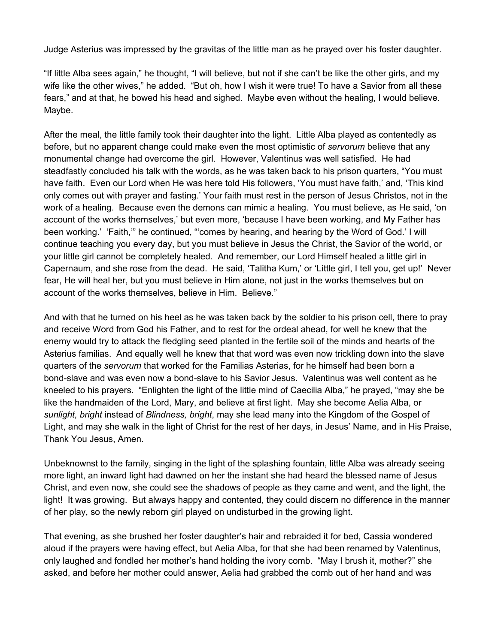Judge Asterius was impressed by the gravitas of the little man as he prayed over his foster daughter.

"If little Alba sees again," he thought, "I will believe, but not if she can't be like the other girls, and my wife like the other wives," he added. "But oh, how I wish it were true! To have a Savior from all these fears," and at that, he bowed his head and sighed. Maybe even without the healing, I would believe. Maybe.

After the meal, the little family took their daughter into the light. Little Alba played as contentedly as before, but no apparent change could make even the most optimistic of *servorum* believe that any monumental change had overcome the girl. However, Valentinus was well satisfied. He had steadfastly concluded his talk with the words, as he was taken back to his prison quarters, "You must have faith. Even our Lord when He was here told His followers, 'You must have faith,' and, 'This kind only comes out with prayer and fasting.' Your faith must rest in the person of Jesus Christos, not in the work of a healing. Because even the demons can mimic a healing. You must believe, as He said, 'on account of the works themselves,' but even more, 'because I have been working, and My Father has been working.' 'Faith,'" he continued, "'comes by hearing, and hearing by the Word of God.' I will continue teaching you every day, but you must believe in Jesus the Christ, the Savior of the world, or your little girl cannot be completely healed. And remember, our Lord Himself healed a little girl in Capernaum, and she rose from the dead. He said, 'Talitha Kum,' or 'Little girl, I tell you, get up!' Never fear, He will heal her, but you must believe in Him alone, not just in the works themselves but on account of the works themselves, believe in Him. Believe."

And with that he turned on his heel as he was taken back by the soldier to his prison cell, there to pray and receive Word from God his Father, and to rest for the ordeal ahead, for well he knew that the enemy would try to attack the fledgling seed planted in the fertile soil of the minds and hearts of the Asterius familias. And equally well he knew that that word was even now trickling down into the slave quarters of the *servorum* that worked for the Familias Asterias, for he himself had been born a bond-slave and was even now a bond-slave to his Savior Jesus. Valentinus was well content as he kneeled to his prayers. "Enlighten the light of the little mind of Caecilia Alba," he prayed, "may she be like the handmaiden of the Lord, Mary, and believe at first light. May she become Aelia Alba, or *sunlight, bright* instead of *Blindness, bright*, may she lead many into the Kingdom of the Gospel of Light, and may she walk in the light of Christ for the rest of her days, in Jesus' Name, and in His Praise, Thank You Jesus, Amen.

Unbeknownst to the family, singing in the light of the splashing fountain, little Alba was already seeing more light, an inward light had dawned on her the instant she had heard the blessed name of Jesus Christ, and even now, she could see the shadows of people as they came and went, and the light, the light! It was growing. But always happy and contented, they could discern no difference in the manner of her play, so the newly reborn girl played on undisturbed in the growing light.

That evening, as she brushed her foster daughter's hair and rebraided it for bed, Cassia wondered aloud if the prayers were having effect, but Aelia Alba, for that she had been renamed by Valentinus, only laughed and fondled her mother's hand holding the ivory comb. "May I brush it, mother?" she asked, and before her mother could answer, Aelia had grabbed the comb out of her hand and was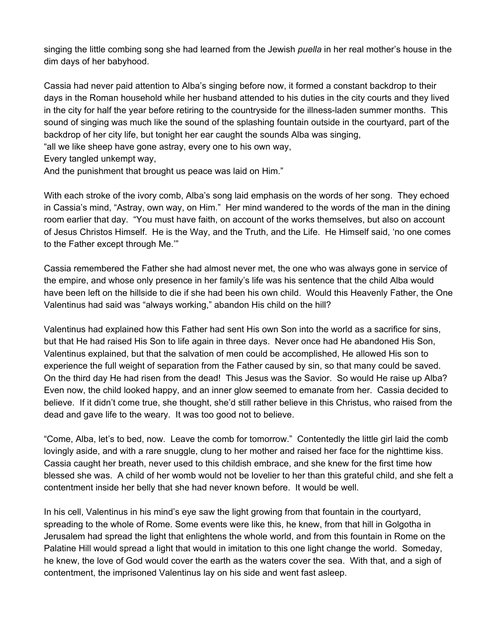singing the little combing song she had learned from the Jewish *puella* in her real mother's house in the dim days of her babyhood.

Cassia had never paid attention to Alba's singing before now, it formed a constant backdrop to their days in the Roman household while her husband attended to his duties in the city courts and they lived in the city for half the year before retiring to the countryside for the illness-laden summer months. This sound of singing was much like the sound of the splashing fountain outside in the courtyard, part of the backdrop of her city life, but tonight her ear caught the sounds Alba was singing,

"all we like sheep have gone astray, every one to his own way,

Every tangled unkempt way,

And the punishment that brought us peace was laid on Him."

With each stroke of the ivory comb, Alba's song laid emphasis on the words of her song. They echoed in Cassia's mind, "Astray, own way, on Him." Her mind wandered to the words of the man in the dining room earlier that day. "You must have faith, on account of the works themselves, but also on account of Jesus Christos Himself. He is the Way, and the Truth, and the Life. He Himself said, 'no one comes to the Father except through Me.'"

Cassia remembered the Father she had almost never met, the one who was always gone in service of the empire, and whose only presence in her family's life was his sentence that the child Alba would have been left on the hillside to die if she had been his own child. Would this Heavenly Father, the One Valentinus had said was "always working," abandon His child on the hill?

Valentinus had explained how this Father had sent His own Son into the world as a sacrifice for sins, but that He had raised His Son to life again in three days. Never once had He abandoned His Son, Valentinus explained, but that the salvation of men could be accomplished, He allowed His son to experience the full weight of separation from the Father caused by sin, so that many could be saved. On the third day He had risen from the dead! This Jesus was the Savior. So would He raise up Alba? Even now, the child looked happy, and an inner glow seemed to emanate from her. Cassia decided to believe. If it didn't come true, she thought, she'd still rather believe in this Christus, who raised from the dead and gave life to the weary. It was too good not to believe.

"Come, Alba, let's to bed, now. Leave the comb for tomorrow." Contentedly the little girl laid the comb lovingly aside, and with a rare snuggle, clung to her mother and raised her face for the nighttime kiss. Cassia caught her breath, never used to this childish embrace, and she knew for the first time how blessed she was. A child of her womb would not be lovelier to her than this grateful child, and she felt a contentment inside her belly that she had never known before. It would be well.

In his cell, Valentinus in his mind's eye saw the light growing from that fountain in the courtyard, spreading to the whole of Rome. Some events were like this, he knew, from that hill in Golgotha in Jerusalem had spread the light that enlightens the whole world, and from this fountain in Rome on the Palatine Hill would spread a light that would in imitation to this one light change the world. Someday, he knew, the love of God would cover the earth as the waters cover the sea. With that, and a sigh of contentment, the imprisoned Valentinus lay on his side and went fast asleep.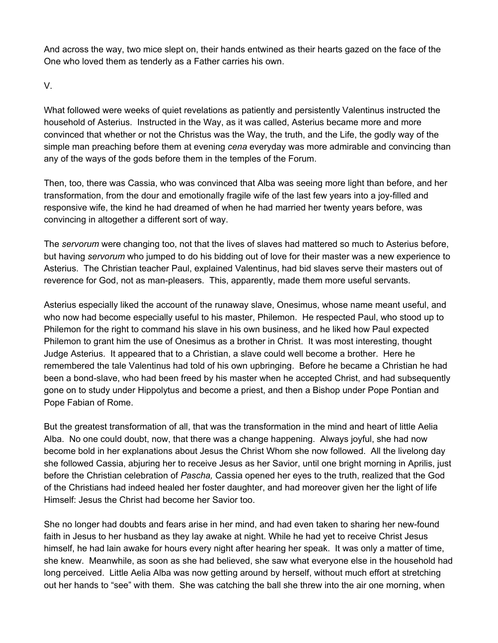And across the way, two mice slept on, their hands entwined as their hearts gazed on the face of the One who loved them as tenderly as a Father carries his own.

V.

What followed were weeks of quiet revelations as patiently and persistently Valentinus instructed the household of Asterius. Instructed in the Way, as it was called, Asterius became more and more convinced that whether or not the Christus was the Way, the truth, and the Life, the godly way of the simple man preaching before them at evening *cena* everyday was more admirable and convincing than any of the ways of the gods before them in the temples of the Forum.

Then, too, there was Cassia, who was convinced that Alba was seeing more light than before, and her transformation, from the dour and emotionally fragile wife of the last few years into a joy-filled and responsive wife, the kind he had dreamed of when he had married her twenty years before, was convincing in altogether a different sort of way.

The *servorum* were changing too, not that the lives of slaves had mattered so much to Asterius before, but having *servorum* who jumped to do his bidding out of love for their master was a new experience to Asterius. The Christian teacher Paul, explained Valentinus, had bid slaves serve their masters out of reverence for God, not as man-pleasers. This, apparently, made them more useful servants.

Asterius especially liked the account of the runaway slave, Onesimus, whose name meant useful, and who now had become especially useful to his master, Philemon. He respected Paul, who stood up to Philemon for the right to command his slave in his own business, and he liked how Paul expected Philemon to grant him the use of Onesimus as a brother in Christ. It was most interesting, thought Judge Asterius. It appeared that to a Christian, a slave could well become a brother. Here he remembered the tale Valentinus had told of his own upbringing. Before he became a Christian he had been a bond-slave, who had been freed by his master when he accepted Christ, and had subsequently gone on to study under Hippolytus and become a priest, and then a Bishop under Pope Pontian and Pope Fabian of Rome.

But the greatest transformation of all, that was the transformation in the mind and heart of little Aelia Alba. No one could doubt, now, that there was a change happening. Always joyful, she had now become bold in her explanations about Jesus the Christ Whom she now followed. All the livelong day she followed Cassia, abjuring her to receive Jesus as her Savior, until one bright morning in Aprilis, just before the Christian celebration of *Pascha,* Cassia opened her eyes to the truth, realized that the God of the Christians had indeed healed her foster daughter, and had moreover given her the light of life Himself: Jesus the Christ had become her Savior too.

She no longer had doubts and fears arise in her mind, and had even taken to sharing her new-found faith in Jesus to her husband as they lay awake at night. While he had yet to receive Christ Jesus himself, he had lain awake for hours every night after hearing her speak. It was only a matter of time, she knew. Meanwhile, as soon as she had believed, she saw what everyone else in the household had long perceived. Little Aelia Alba was now getting around by herself, without much effort at stretching out her hands to "see" with them. She was catching the ball she threw into the air one morning, when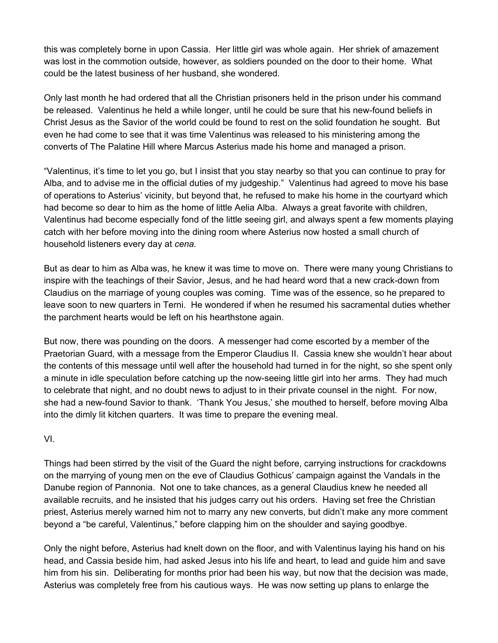this was completely borne in upon Cassia. Her little girl was whole again. Her shriek of amazement was lost in the commotion outside, however, as soldiers pounded on the door to their home. What could be the latest business of her husband, she wondered.

Only last month he had ordered that all the Christian prisoners held in the prison under his command be released. Valentinus he held a while longer, until he could be sure that his new-found beliefs in Christ Jesus as the Savior of the world could be found to rest on the solid foundation he sought. But even he had come to see that it was time Valentinus was released to his ministering among the converts of The Palatine Hill where Marcus Asterius made his home and managed a prison.

"Valentinus, it's time to let you go, but I insist that you stay nearby so that you can continue to pray for Alba, and to advise me in the official duties of my judgeship." Valentinus had agreed to move his base of operations to Asterius' vicinity, but beyond that, he refused to make his home in the courtyard which had become so dear to him as the home of little Aelia Alba. Always a great favorite with children, Valentinus had become especially fond of the little seeing girl, and always spent a few moments playing catch with her before moving into the dining room where Asterius now hosted a small church of household listeners every day at *cena.*

But as dear to him as Alba was, he knew it was time to move on. There were many young Christians to inspire with the teachings of their Savior, Jesus, and he had heard word that a new crack-down from Claudius on the marriage of young couples was coming. Time was of the essence, so he prepared to leave soon to new quarters in Terni. He wondered if when he resumed his sacramental duties whether the parchment hearts would be left on his hearthstone again.

But now, there was pounding on the doors. A messenger had come escorted by a member of the Praetorian Guard*,* with a message from the Emperor Claudius II. Cassia knew she wouldn't hear about the contents of this message until well after the household had turned in for the night, so she spent only a minute in idle speculation before catching up the now-seeing little girl into her arms. They had much to celebrate that night, and no doubt news to adjust to in their private counsel in the night. For now, she had a new-found Savior to thank. 'Thank You Jesus,' she mouthed to herself, before moving Alba into the dimly lit kitchen quarters. It was time to prepare the evening meal.

VI.

Things had been stirred by the visit of the Guard the night before, carrying instructions for crackdowns on the marrying of young men on the eve of Claudius Gothicus' campaign against the Vandals in the Danube region of Pannonia. Not one to take chances, as a general Claudius knew he needed all available recruits, and he insisted that his judges carry out his orders. Having set free the Christian priest, Asterius merely warned him not to marry any new converts, but didn't make any more comment beyond a "be careful, Valentinus," before clapping him on the shoulder and saying goodbye.

Only the night before, Asterius had knelt down on the floor, and with Valentinus laying his hand on his head, and Cassia beside him, had asked Jesus into his life and heart, to lead and guide him and save him from his sin. Deliberating for months prior had been his way, but now that the decision was made, Asterius was completely free from his cautious ways. He was now setting up plans to enlarge the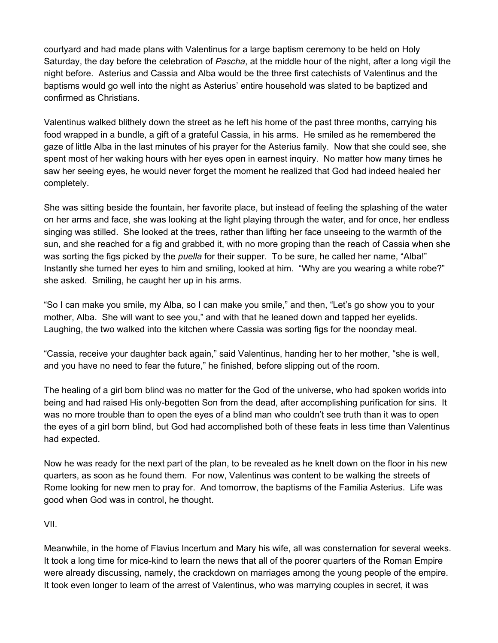courtyard and had made plans with Valentinus for a large baptism ceremony to be held on Holy Saturday, the day before the celebration of *Pascha*, at the middle hour of the night, after a long vigil the night before. Asterius and Cassia and Alba would be the three first catechists of Valentinus and the baptisms would go well into the night as Asterius' entire household was slated to be baptized and confirmed as Christians.

Valentinus walked blithely down the street as he left his home of the past three months, carrying his food wrapped in a bundle, a gift of a grateful Cassia, in his arms. He smiled as he remembered the gaze of little Alba in the last minutes of his prayer for the Asterius family. Now that she could see, she spent most of her waking hours with her eyes open in earnest inquiry. No matter how many times he saw her seeing eyes, he would never forget the moment he realized that God had indeed healed her completely.

She was sitting beside the fountain, her favorite place, but instead of feeling the splashing of the water on her arms and face, she was looking at the light playing through the water, and for once, her endless singing was stilled. She looked at the trees, rather than lifting her face unseeing to the warmth of the sun, and she reached for a fig and grabbed it, with no more groping than the reach of Cassia when she was sorting the figs picked by the *puella* for their supper. To be sure, he called her name, "Alba!" Instantly she turned her eyes to him and smiling, looked at him. "Why are you wearing a white robe?" she asked. Smiling, he caught her up in his arms.

"So I can make you smile, my Alba, so I can make you smile," and then, "Let's go show you to your mother, Alba. She will want to see you," and with that he leaned down and tapped her eyelids. Laughing, the two walked into the kitchen where Cassia was sorting figs for the noonday meal.

"Cassia, receive your daughter back again," said Valentinus, handing her to her mother, "she is well, and you have no need to fear the future," he finished, before slipping out of the room.

The healing of a girl born blind was no matter for the God of the universe, who had spoken worlds into being and had raised His only-begotten Son from the dead, after accomplishing purification for sins. It was no more trouble than to open the eyes of a blind man who couldn't see truth than it was to open the eyes of a girl born blind, but God had accomplished both of these feats in less time than Valentinus had expected.

Now he was ready for the next part of the plan, to be revealed as he knelt down on the floor in his new quarters, as soon as he found them. For now, Valentinus was content to be walking the streets of Rome looking for new men to pray for. And tomorrow, the baptisms of the Familia Asterius. Life was good when God was in control, he thought.

### VII.

Meanwhile, in the home of Flavius Incertum and Mary his wife, all was consternation for several weeks. It took a long time for mice-kind to learn the news that all of the poorer quarters of the Roman Empire were already discussing, namely, the crackdown on marriages among the young people of the empire. It took even longer to learn of the arrest of Valentinus, who was marrying couples in secret, it was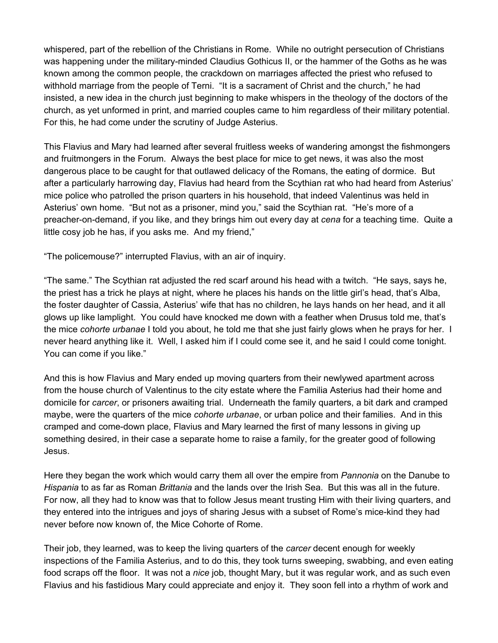whispered, part of the rebellion of the Christians in Rome. While no outright persecution of Christians was happening under the military-minded Claudius Gothicus II, or the hammer of the Goths as he was known among the common people, the crackdown on marriages affected the priest who refused to withhold marriage from the people of Terni. "It is a sacrament of Christ and the church," he had insisted, a new idea in the church just beginning to make whispers in the theology of the doctors of the church, as yet unformed in print, and married couples came to him regardless of their military potential. For this, he had come under the scrutiny of Judge Asterius.

This Flavius and Mary had learned after several fruitless weeks of wandering amongst the fishmongers and fruitmongers in the Forum. Always the best place for mice to get news, it was also the most dangerous place to be caught for that outlawed delicacy of the Romans, the eating of dormice. But after a particularly harrowing day, Flavius had heard from the Scythian rat who had heard from Asterius' mice police who patrolled the prison quarters in his household, that indeed Valentinus was held in Asterius' own home. "But not as a prisoner, mind you," said the Scythian rat. "He's more of a preacher-on-demand, if you like, and they brings him out every day at *cena* for a teaching time. Quite a little cosy job he has, if you asks me. And my friend,"

"The policemouse?" interrupted Flavius, with an air of inquiry.

"The same." The Scythian rat adjusted the red scarf around his head with a twitch. "He says, says he, the priest has a trick he plays at night, where he places his hands on the little girl's head, that's Alba, the foster daughter of Cassia, Asterius' wife that has no children, he lays hands on her head, and it all glows up like lamplight. You could have knocked me down with a feather when Drusus told me, that's the mice *cohorte urbanae* I told you about, he told me that she just fairly glows when he prays for her. I never heard anything like it. Well, I asked him if I could come see it, and he said I could come tonight. You can come if you like."

And this is how Flavius and Mary ended up moving quarters from their newlywed apartment across from the house church of Valentinus to the city estate where the Familia Asterius had their home and domicile for *carcer*, or prisoners awaiting trial. Underneath the family quarters, a bit dark and cramped maybe, were the quarters of the mice *cohorte urbanae*, or urban police and their families. And in this cramped and come-down place, Flavius and Mary learned the first of many lessons in giving up something desired, in their case a separate home to raise a family, for the greater good of following Jesus.

Here they began the work which would carry them all over the empire from *Pannonia* on the Danube to *Hispania* to as far as Roman *Brittania* and the lands over the Irish Sea. But this was all in the future. For now, all they had to know was that to follow Jesus meant trusting Him with their living quarters, and they entered into the intrigues and joys of sharing Jesus with a subset of Rome's mice-kind they had never before now known of, the Mice Cohorte of Rome.

Their job, they learned, was to keep the living quarters of the *carcer* decent enough for weekly inspections of the Familia Asterius, and to do this, they took turns sweeping, swabbing, and even eating food scraps off the floor. It was not a *nice* job, thought Mary, but it was regular work, and as such even Flavius and his fastidious Mary could appreciate and enjoy it. They soon fell into a rhythm of work and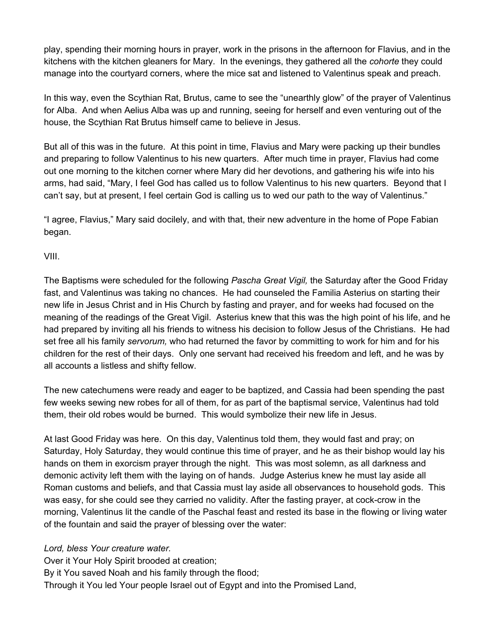play, spending their morning hours in prayer, work in the prisons in the afternoon for Flavius, and in the kitchens with the kitchen gleaners for Mary. In the evenings, they gathered all the *cohorte* they could manage into the courtyard corners, where the mice sat and listened to Valentinus speak and preach.

In this way, even the Scythian Rat, Brutus, came to see the "unearthly glow" of the prayer of Valentinus for Alba. And when Aelius Alba was up and running, seeing for herself and even venturing out of the house, the Scythian Rat Brutus himself came to believe in Jesus.

But all of this was in the future. At this point in time, Flavius and Mary were packing up their bundles and preparing to follow Valentinus to his new quarters. After much time in prayer, Flavius had come out one morning to the kitchen corner where Mary did her devotions, and gathering his wife into his arms, had said, "Mary, I feel God has called us to follow Valentinus to his new quarters. Beyond that I can't say, but at present, I feel certain God is calling us to wed our path to the way of Valentinus."

"I agree, Flavius," Mary said docilely, and with that, their new adventure in the home of Pope Fabian began.

VIII.

The Baptisms were scheduled for the following *Pascha Great Vigil,* the Saturday after the Good Friday fast, and Valentinus was taking no chances. He had counseled the Familia Asterius on starting their new life in Jesus Christ and in His Church by fasting and prayer, and for weeks had focused on the meaning of the readings of the Great Vigil. Asterius knew that this was the high point of his life, and he had prepared by inviting all his friends to witness his decision to follow Jesus of the Christians. He had set free all his family *servorum,* who had returned the favor by committing to work for him and for his children for the rest of their days. Only one servant had received his freedom and left, and he was by all accounts a listless and shifty fellow.

The new catechumens were ready and eager to be baptized, and Cassia had been spending the past few weeks sewing new robes for all of them, for as part of the baptismal service, Valentinus had told them, their old robes would be burned. This would symbolize their new life in Jesus.

At last Good Friday was here. On this day, Valentinus told them, they would fast and pray; on Saturday, Holy Saturday, they would continue this time of prayer, and he as their bishop would lay his hands on them in exorcism prayer through the night. This was most solemn, as all darkness and demonic activity left them with the laying on of hands. Judge Asterius knew he must lay aside all Roman customs and beliefs, and that Cassia must lay aside all observances to household gods. This was easy, for she could see they carried no validity. After the fasting prayer, at cock-crow in the morning, Valentinus lit the candle of the Paschal feast and rested its base in the flowing or living water of the fountain and said the prayer of blessing over the water:

*Lord, bless Your creature water.*

Over it Your Holy Spirit brooded at creation;

By it You saved Noah and his family through the flood;

Through it You led Your people Israel out of Egypt and into the Promised Land,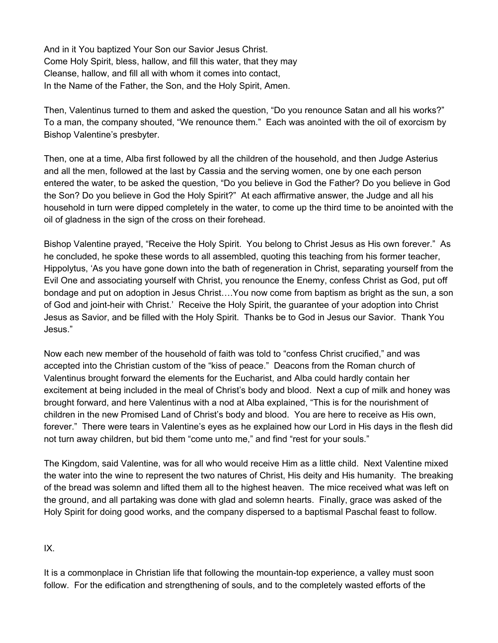And in it You baptized Your Son our Savior Jesus Christ. Come Holy Spirit, bless, hallow, and fill this water, that they may Cleanse, hallow, and fill all with whom it comes into contact, In the Name of the Father, the Son, and the Holy Spirit, Amen.

Then, Valentinus turned to them and asked the question, "Do you renounce Satan and all his works?" To a man, the company shouted, "We renounce them." Each was anointed with the oil of exorcism by Bishop Valentine's presbyter.

Then, one at a time, Alba first followed by all the children of the household, and then Judge Asterius and all the men, followed at the last by Cassia and the serving women, one by one each person entered the water, to be asked the question, "Do you believe in God the Father? Do you believe in God the Son? Do you believe in God the Holy Spirit?" At each affirmative answer, the Judge and all his household in turn were dipped completely in the water, to come up the third time to be anointed with the oil of gladness in the sign of the cross on their forehead.

Bishop Valentine prayed, "Receive the Holy Spirit. You belong to Christ Jesus as His own forever." As he concluded, he spoke these words to all assembled, quoting this teaching from his former teacher, Hippolytus, 'As you have gone down into the bath of regeneration in Christ, separating yourself from the Evil One and associating yourself with Christ, you renounce the Enemy, confess Christ as God, put off bondage and put on adoption in Jesus Christ….You now come from baptism as bright as the sun, a son of God and joint-heir with Christ.' Receive the Holy Spirit, the guarantee of your adoption into Christ Jesus as Savior, and be filled with the Holy Spirit. Thanks be to God in Jesus our Savior. Thank You Jesus."

Now each new member of the household of faith was told to "confess Christ crucified," and was accepted into the Christian custom of the "kiss of peace." Deacons from the Roman church of Valentinus brought forward the elements for the Eucharist, and Alba could hardly contain her excitement at being included in the meal of Christ's body and blood. Next a cup of milk and honey was brought forward, and here Valentinus with a nod at Alba explained, "This is for the nourishment of children in the new Promised Land of Christ's body and blood. You are here to receive as His own, forever." There were tears in Valentine's eyes as he explained how our Lord in His days in the flesh did not turn away children, but bid them "come unto me," and find "rest for your souls."

The Kingdom, said Valentine, was for all who would receive Him as a little child. Next Valentine mixed the water into the wine to represent the two natures of Christ, His deity and His humanity. The breaking of the bread was solemn and lifted them all to the highest heaven. The mice received what was left on the ground, and all partaking was done with glad and solemn hearts. Finally, grace was asked of the Holy Spirit for doing good works, and the company dispersed to a baptismal Paschal feast to follow.

IX.

It is a commonplace in Christian life that following the mountain-top experience, a valley must soon follow. For the edification and strengthening of souls, and to the completely wasted efforts of the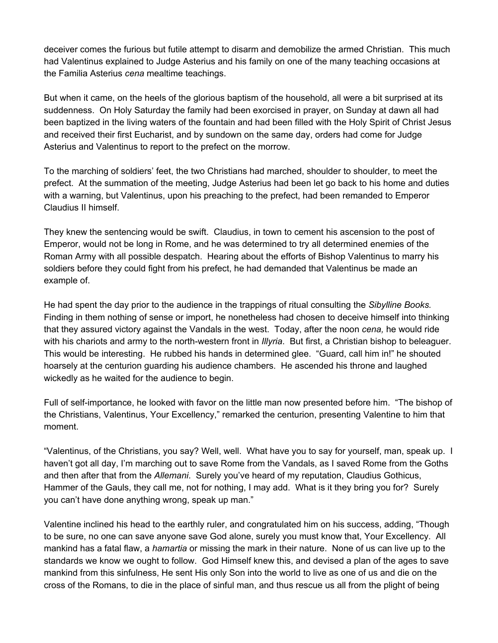deceiver comes the furious but futile attempt to disarm and demobilize the armed Christian. This much had Valentinus explained to Judge Asterius and his family on one of the many teaching occasions at the Familia Asterius *cena* mealtime teachings.

But when it came, on the heels of the glorious baptism of the household, all were a bit surprised at its suddenness. On Holy Saturday the family had been exorcised in prayer, on Sunday at dawn all had been baptized in the living waters of the fountain and had been filled with the Holy Spirit of Christ Jesus and received their first Eucharist, and by sundown on the same day, orders had come for Judge Asterius and Valentinus to report to the prefect on the morrow.

To the marching of soldiers' feet, the two Christians had marched, shoulder to shoulder, to meet the prefect. At the summation of the meeting, Judge Asterius had been let go back to his home and duties with a warning, but Valentinus, upon his preaching to the prefect, had been remanded to Emperor Claudius II himself.

They knew the sentencing would be swift. Claudius, in town to cement his ascension to the post of Emperor, would not be long in Rome, and he was determined to try all determined enemies of the Roman Army with all possible despatch. Hearing about the efforts of Bishop Valentinus to marry his soldiers before they could fight from his prefect, he had demanded that Valentinus be made an example of.

He had spent the day prior to the audience in the trappings of ritual consulting the *Sibylline Books.* Finding in them nothing of sense or import, he nonetheless had chosen to deceive himself into thinking that they assured victory against the Vandals in the west. Today, after the noon *cena,* he would ride with his chariots and army to the north-western front in *Illyria*. But first, a Christian bishop to beleaguer. This would be interesting. He rubbed his hands in determined glee. "Guard, call him in!" he shouted hoarsely at the centurion guarding his audience chambers. He ascended his throne and laughed wickedly as he waited for the audience to begin.

Full of self-importance, he looked with favor on the little man now presented before him. "The bishop of the Christians, Valentinus, Your Excellency," remarked the centurion, presenting Valentine to him that moment.

"Valentinus, of the Christians, you say? Well, well. What have you to say for yourself, man, speak up. I haven't got all day, I'm marching out to save Rome from the Vandals, as I saved Rome from the Goths and then after that from the *Allemani*. Surely you've heard of my reputation, Claudius Gothicus, Hammer of the Gauls, they call me, not for nothing, I may add. What is it they bring you for? Surely you can't have done anything wrong, speak up man."

Valentine inclined his head to the earthly ruler, and congratulated him on his success, adding, "Though to be sure, no one can save anyone save God alone, surely you must know that, Your Excellency. All mankind has a fatal flaw, a *hamartia* or missing the mark in their nature. None of us can live up to the standards we know we ought to follow. God Himself knew this, and devised a plan of the ages to save mankind from this sinfulness, He sent His only Son into the world to live as one of us and die on the cross of the Romans, to die in the place of sinful man, and thus rescue us all from the plight of being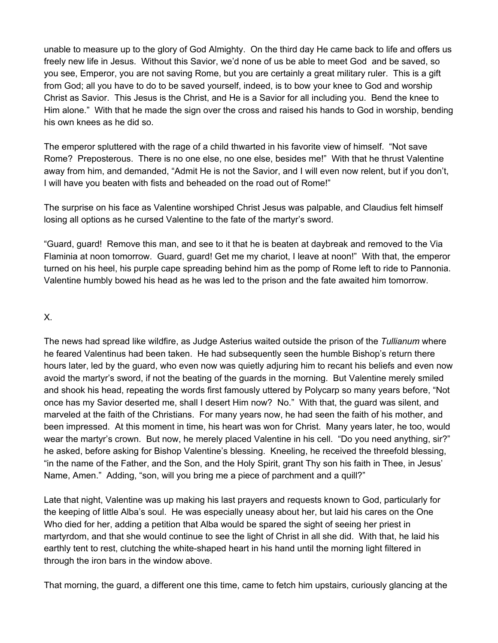unable to measure up to the glory of God Almighty. On the third day He came back to life and offers us freely new life in Jesus. Without this Savior, we'd none of us be able to meet God and be saved, so you see, Emperor, you are not saving Rome, but you are certainly a great military ruler. This is a gift from God; all you have to do to be saved yourself, indeed, is to bow your knee to God and worship Christ as Savior. This Jesus is the Christ, and He is a Savior for all including you. Bend the knee to Him alone." With that he made the sign over the cross and raised his hands to God in worship, bending his own knees as he did so.

The emperor spluttered with the rage of a child thwarted in his favorite view of himself. "Not save Rome? Preposterous. There is no one else, no one else, besides me!" With that he thrust Valentine away from him, and demanded, "Admit He is not the Savior, and I will even now relent, but if you don't, I will have you beaten with fists and beheaded on the road out of Rome!"

The surprise on his face as Valentine worshiped Christ Jesus was palpable, and Claudius felt himself losing all options as he cursed Valentine to the fate of the martyr's sword.

"Guard, guard! Remove this man, and see to it that he is beaten at daybreak and removed to the Via Flaminia at noon tomorrow. Guard, guard! Get me my chariot, I leave at noon!" With that, the emperor turned on his heel, his purple cape spreading behind him as the pomp of Rome left to ride to Pannonia. Valentine humbly bowed his head as he was led to the prison and the fate awaited him tomorrow.

#### X.

The news had spread like wildfire, as Judge Asterius waited outside the prison of the *Tullianum* where he feared Valentinus had been taken. He had subsequently seen the humble Bishop's return there hours later, led by the guard, who even now was quietly adjuring him to recant his beliefs and even now avoid the martyr's sword, if not the beating of the guards in the morning. But Valentine merely smiled and shook his head, repeating the words first famously uttered by Polycarp so many years before, "Not once has my Savior deserted me, shall I desert Him now? No." With that, the guard was silent, and marveled at the faith of the Christians. For many years now, he had seen the faith of his mother, and been impressed. At this moment in time, his heart was won for Christ. Many years later, he too, would wear the martyr's crown. But now, he merely placed Valentine in his cell. "Do you need anything, sir?" he asked, before asking for Bishop Valentine's blessing. Kneeling, he received the threefold blessing, "in the name of the Father, and the Son, and the Holy Spirit, grant Thy son his faith in Thee, in Jesus' Name, Amen." Adding, "son, will you bring me a piece of parchment and a quill?"

Late that night, Valentine was up making his last prayers and requests known to God, particularly for the keeping of little Alba's soul. He was especially uneasy about her, but laid his cares on the One Who died for her, adding a petition that Alba would be spared the sight of seeing her priest in martyrdom, and that she would continue to see the light of Christ in all she did. With that, he laid his earthly tent to rest, clutching the white-shaped heart in his hand until the morning light filtered in through the iron bars in the window above.

That morning, the guard, a different one this time, came to fetch him upstairs, curiously glancing at the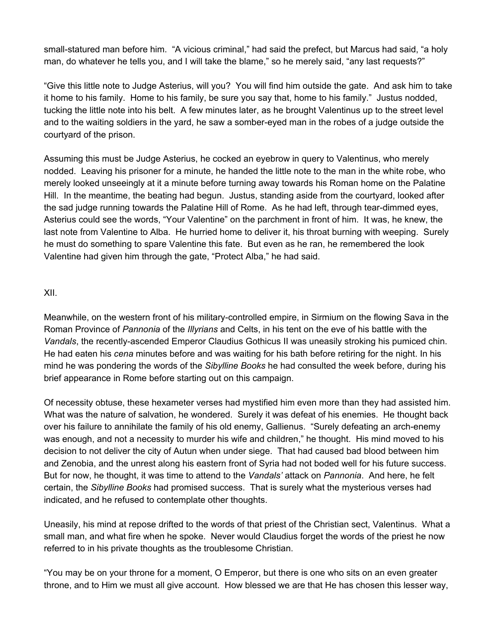small-statured man before him. "A vicious criminal," had said the prefect, but Marcus had said, "a holy man, do whatever he tells you, and I will take the blame," so he merely said, "any last requests?"

"Give this little note to Judge Asterius, will you? You will find him outside the gate. And ask him to take it home to his family. Home to his family, be sure you say that, home to his family." Justus nodded, tucking the little note into his belt. A few minutes later, as he brought Valentinus up to the street level and to the waiting soldiers in the yard, he saw a somber-eyed man in the robes of a judge outside the courtyard of the prison.

Assuming this must be Judge Asterius, he cocked an eyebrow in query to Valentinus, who merely nodded. Leaving his prisoner for a minute, he handed the little note to the man in the white robe, who merely looked unseeingly at it a minute before turning away towards his Roman home on the Palatine Hill. In the meantime, the beating had begun. Justus, standing aside from the courtyard, looked after the sad judge running towards the Palatine Hill of Rome. As he had left, through tear-dimmed eyes, Asterius could see the words, "Your Valentine" on the parchment in front of him. It was, he knew, the last note from Valentine to Alba. He hurried home to deliver it, his throat burning with weeping. Surely he must do something to spare Valentine this fate. But even as he ran, he remembered the look Valentine had given him through the gate, "Protect Alba," he had said.

#### XII.

Meanwhile, on the western front of his military-controlled empire, in Sirmium on the flowing Sava in the Roman Province of *Pannonia* of the *Illyrians* and Celts, in his tent on the eve of his battle with the *Vandals*, the recently-ascended Emperor Claudius Gothicus II was uneasily stroking his pumiced chin. He had eaten his *cena* minutes before and was waiting for his bath before retiring for the night. In his mind he was pondering the words of the *Sibylline Books* he had consulted the week before, during his brief appearance in Rome before starting out on this campaign.

Of necessity obtuse, these hexameter verses had mystified him even more than they had assisted him. What was the nature of salvation, he wondered. Surely it was defeat of his enemies. He thought back over his failure to annihilate the family of his old enemy, Gallienus. "Surely defeating an arch-enemy was enough, and not a necessity to murder his wife and children," he thought. His mind moved to his decision to not deliver the city of Autun when under siege. That had caused bad blood between him and Zenobia, and the unrest along his eastern front of Syria had not boded well for his future success. But for now, he thought, it was time to attend to the *Vandals'* attack on *Pannonia*. And here, he felt certain, the *Sibylline Books* had promised success. That is surely what the mysterious verses had indicated, and he refused to contemplate other thoughts.

Uneasily, his mind at repose drifted to the words of that priest of the Christian sect, Valentinus. What a small man, and what fire when he spoke. Never would Claudius forget the words of the priest he now referred to in his private thoughts as the troublesome Christian.

"You may be on your throne for a moment, O Emperor, but there is one who sits on an even greater throne, and to Him we must all give account. How blessed we are that He has chosen this lesser way,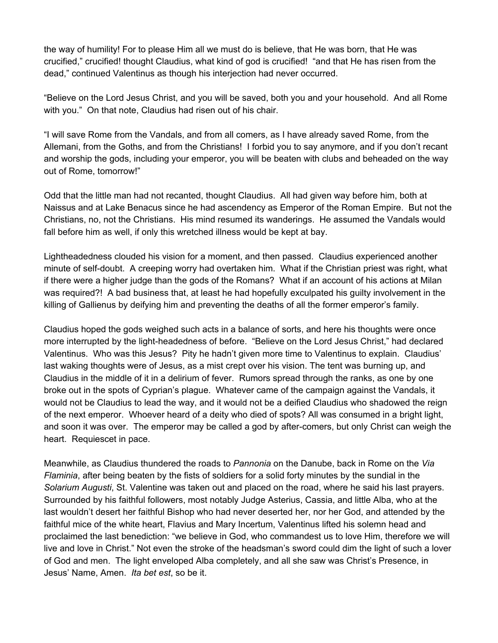the way of humility! For to please Him all we must do is believe, that He was born, that He was crucified," crucified! thought Claudius, what kind of god is crucified! "and that He has risen from the dead," continued Valentinus as though his interjection had never occurred.

"Believe on the Lord Jesus Christ, and you will be saved, both you and your household. And all Rome with you." On that note, Claudius had risen out of his chair.

"I will save Rome from the Vandals, and from all comers, as I have already saved Rome, from the Allemani, from the Goths, and from the Christians! I forbid you to say anymore, and if you don't recant and worship the gods, including your emperor, you will be beaten with clubs and beheaded on the way out of Rome, tomorrow!"

Odd that the little man had not recanted, thought Claudius. All had given way before him, both at Naissus and at Lake Benacus since he had ascendency as Emperor of the Roman Empire. But not the Christians, no, not the Christians. His mind resumed its wanderings. He assumed the Vandals would fall before him as well, if only this wretched illness would be kept at bay.

Lightheadedness clouded his vision for a moment, and then passed. Claudius experienced another minute of self-doubt. A creeping worry had overtaken him. What if the Christian priest was right, what if there were a higher judge than the gods of the Romans? What if an account of his actions at Milan was required?! A bad business that, at least he had hopefully exculpated his guilty involvement in the killing of Gallienus by deifying him and preventing the deaths of all the former emperor's family.

Claudius hoped the gods weighed such acts in a balance of sorts, and here his thoughts were once more interrupted by the light-headedness of before. "Believe on the Lord Jesus Christ," had declared Valentinus. Who was this Jesus? Pity he hadn't given more time to Valentinus to explain. Claudius' last waking thoughts were of Jesus, as a mist crept over his vision. The tent was burning up, and Claudius in the middle of it in a delirium of fever. Rumors spread through the ranks, as one by one broke out in the spots of Cyprian's plague. Whatever came of the campaign against the Vandals, it would not be Claudius to lead the way, and it would not be a deified Claudius who shadowed the reign of the next emperor. Whoever heard of a deity who died of spots? All was consumed in a bright light, and soon it was over. The emperor may be called a god by after-comers, but only Christ can weigh the heart. Requiescet in pace.

Meanwhile, as Claudius thundered the roads to *Pannonia* on the Danube, back in Rome on the *Via Flaminia*, after being beaten by the fists of soldiers for a solid forty minutes by the sundial in the *Solarium Augusti*, St. Valentine was taken out and placed on the road, where he said his last prayers. Surrounded by his faithful followers, most notably Judge Asterius, Cassia, and little Alba, who at the last wouldn't desert her faithful Bishop who had never deserted her, nor her God, and attended by the faithful mice of the white heart, Flavius and Mary Incertum, Valentinus lifted his solemn head and proclaimed the last benediction: "we believe in God, who commandest us to love Him, therefore we will live and love in Christ." Not even the stroke of the headsman's sword could dim the light of such a lover of God and men. The light enveloped Alba completely, and all she saw was Christ's Presence, in Jesus' Name, Amen. *Ita bet est*, so be it.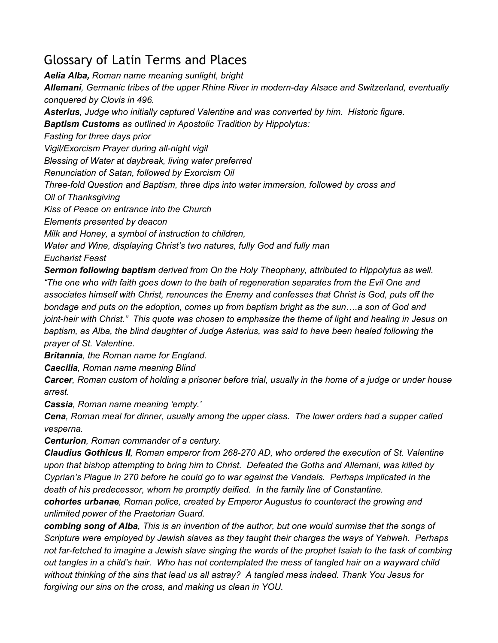# <span id="page-56-0"></span>Glossary of Latin Terms and Places

*Aelia Alba, Roman name meaning sunlight, bright Allemani, Germanic tribes of the upper Rhine River in modern-day Alsace and Switzerland, eventually conquered by Clovis in 496. Asterius, Judge who initially captured Valentine and was converted by him. Historic figure. Baptism Customs as outlined in Apostolic Tradition by Hippolytus: Fasting for three days prior Vigil/Exorcism Prayer during all-night vigil Blessing of Water at daybreak, living water preferred Renunciation of Satan, followed by Exorcism Oil Three-fold Question and Baptism, three dips into water immersion, followed by cross and Oil of Thanksgiving Kiss of Peace on entrance into the Church Elements presented by deacon Milk and Honey, a symbol of instruction to children, Water and Wine, displaying Christ's two natures, fully God and fully man Eucharist Feast Sermon following baptism derived from On the Holy Theophany, attributed to Hippolytus as well. "The one who with faith goes down to the bath of regeneration separates from the Evil One and associates himself with Christ, renounces the Enemy and confesses that Christ is God, puts off the bondage and puts on the adoption, comes up from baptism bright as the sun….a son of God and*

joint-heir with Christ." This quote was chosen to emphasize the theme of light and healing in Jesus on *baptism, as Alba, the blind daughter of Judge Asterius, was said to have been healed following the prayer of St. Valentine.*

*Britannia, the Roman name for England.*

*Caecilia, Roman name meaning Blind*

Carcer, Roman custom of holding a prisoner before trial, usually in the home of a judge or under house *arrest.*

*Cassia, Roman name meaning 'empty.'*

*Cena, Roman meal for dinner, usually among the upper class. The lower orders had a supper called vesperna.*

*Centurion, Roman commander of a century.*

*Claudius Gothicus II, Roman emperor from 268-270 AD, who ordered the execution of St. Valentine upon that bishop attempting to bring him to Christ. Defeated the Goths and Allemani, was killed by Cyprian's Plague in 270 before he could go to war against the Vandals. Perhaps implicated in the death of his predecessor, whom he promptly deified. In the family line of Constantine.*

*cohortes urbanae, Roman police, created by Emperor Augustus to counteract the growing and unlimited power of the Praetorian Guard.*

combing song of Alba. This is an invention of the author, but one would surmise that the songs of *Scripture were employed by Jewish slaves as they taught their charges the ways of Yahweh. Perhaps* not far-fetched to imagine a Jewish slave singing the words of the prophet Isaiah to the task of combing out tangles in a child's hair. Who has not contemplated the mess of tangled hair on a wayward child *without thinking of the sins that lead us all astray? A tangled mess indeed. Thank You Jesus for forgiving our sins on the cross, and making us clean in YOU.*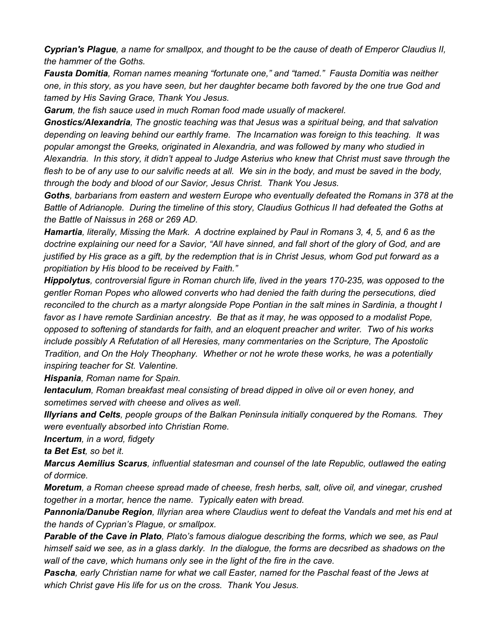Cyprian's Plague, a name for smallpox, and thought to be the cause of death of Emperor Claudius II, *the hammer of the Goths.*

*Fausta Domitia, Roman names meaning "fortunate one," and "tamed." Fausta Domitia was neither* one, in this story, as you have seen, but her daughter became both favored by the one true God and *tamed by His Saving Grace, Thank You Jesus.*

*Garum, the fish sauce used in much Roman food made usually of mackerel.*

*Gnostics/Alexandria, The gnostic teaching was that Jesus was a spiritual being, and that salvation depending on leaving behind our earthly frame. The Incarnation was foreign to this teaching. It was popular amongst the Greeks, originated in Alexandria, and was followed by many who studied in* Alexandria. In this story, it didn't appeal to Judge Asterius who knew that Christ must save through the flesh to be of any use to our salvific needs at all. We sin in the body, and must be saved in the body, *through the body and blood of our Savior, Jesus Christ. Thank You Jesus.*

*Goths, barbarians from eastern and western Europe who eventually defeated the Romans in 378 at the Battle of Adrianople. During the timeline of this story, Claudius Gothicus II had defeated the Goths at the Battle of Naissus in 268 or 269 AD.*

Hamartia, literally, Missing the Mark. A doctrine explained by Paul in Romans 3, 4, 5, and 6 as the doctrine explaining our need for a Savior, "All have sinned, and fall short of the glory of God, and are justified by His grace as a gift, by the redemption that is in Christ Jesus, whom God put forward as a *propitiation by His blood to be received by Faith."*

*Hippolytus, controversial figure in Roman church life, lived in the years 170-235, was opposed to the gentler Roman Popes who allowed converts who had denied the faith during the persecutions, died* reconciled to the church as a martyr alongside Pope Pontian in the salt mines in Sardinia, a thought I favor as I have remote Sardinian ancestry. Be that as it may, he was opposed to a modalist Pope, *opposed to softening of standards for faith, and an eloquent preacher and writer. Two of his works include possibly A Refutation of all Heresies, many commentaries on the Scripture, The Apostolic Tradition, and On the Holy Theophany. Whether or not he wrote these works, he was a potentially inspiring teacher for St. Valentine.*

*Hispania, Roman name for Spain.*

*Ientaculum, Roman breakfast meal consisting of bread dipped in olive oil or even honey, and sometimes served with cheese and olives as well.*

*Illyrians and Celts, people groups of the Balkan Peninsula initially conquered by the Romans. They were eventually absorbed into Christian Rome.*

*Incertum, in a word, fidgety*

*ta Bet Est, so bet it.*

*Marcus Aemilius Scarus, influential statesman and counsel of the late Republic, outlawed the eating of dormice.*

*Moretum, a Roman cheese spread made of cheese, fresh herbs, salt, olive oil, and vinegar, crushed together in a mortar, hence the name. Typically eaten with bread.*

*Pannonia/Danube Region, Illyrian area where Claudius went to defeat the Vandals and met his end at the hands of Cyprian's Plague, or smallpox.*

*Parable of the Cave in Plato, Plato's famous dialogue describing the forms, which we see, as Paul* himself said we see, as in a glass darkly. In the dialogue, the forms are decsribed as shadows on the *wall of the cave, which humans only see in the light of the fire in the cave.*

Pascha, early Christian name for what we call Easter, named for the Paschal feast of the Jews at *which Christ gave His life for us on the cross. Thank You Jesus.*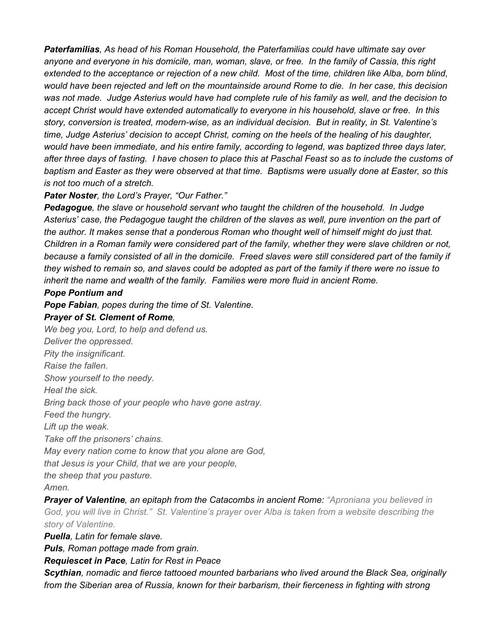*Paterfamilias, As head of his Roman Household, the Paterfamilias could have ultimate say over* anyone and everyone in his domicile, man, woman, slave, or free. In the family of Cassia, this right extended to the acceptance or rejection of a new child. Most of the time, children like Alba, born blind, would have been rejected and left on the mountainside around Rome to die. In her case, this decision was not made. Judge Asterius would have had complete rule of his family as well, and the decision to *accept Christ would have extended automatically to everyone in his household, slave or free. In this story, conversion is treated, modern-wise, as an individual decision. But in reality, in St. Valentine's time, Judge Asterius' decision to accept Christ, coming on the heels of the healing of his daughter, would have been immediate, and his entire family, according to legend, was baptized three days later,* after three days of fasting. I have chosen to place this at Paschal Feast so as to include the customs of baptism and Easter as they were observed at that time. Baptisms were usually done at Easter, so this *is not too much of a stretch.*

#### *Pater Noster, the Lord's Prayer, "Our Father."*

*Pedagogue, the slave or household servant who taught the children of the household. In Judge* Asterius' case, the Pedagogue taught the children of the slaves as well, pure invention on the part of *the author. It makes sense that a ponderous Roman who thought well of himself might do just that.* Children in a Roman family were considered part of the family, whether they were slave children or not, because a family consisted of all in the domicile. Freed slaves were still considered part of the family if they wished to remain so, and slaves could be adopted as part of the family if there were no issue to *inherit the name and wealth of the family. Families were more fluid in ancient Rome.*

### *Pope Pontium and*

*Pope Fabian, popes during the time of St. Valentine.*

### *Prayer of St. Clement of Rome,*

*We beg you, Lord, to help and defend us. Deliver the oppressed. Pity the insignificant. Raise the fallen. Show yourself to the needy. Heal the sick. Bring back those of your people who have gone astray. Feed the hungry. Lift up the weak. Take off the prisoners' chains. May every nation come to know that you alone are God, that Jesus is your Child, that we are your people, the sheep that you pasture. Amen.*

*Prayer of Valentine, an epitaph from the Catacombs in ancient Rome: "Aproniana you believed in* God, you will live in Christ." St. Valentine's prayer over Alba is taken from a website describing the *story of Valentine.*

*Puella, Latin for female slave.*

*Puls, Roman pottage made from grain.*

*Requiescet in Pace, Latin for Rest in Peace*

*Scythian, nomadic and fierce tattooed mounted barbarians who lived around the Black Sea, originally from the Siberian area of Russia, known for their barbarism, their fierceness in fighting with strong*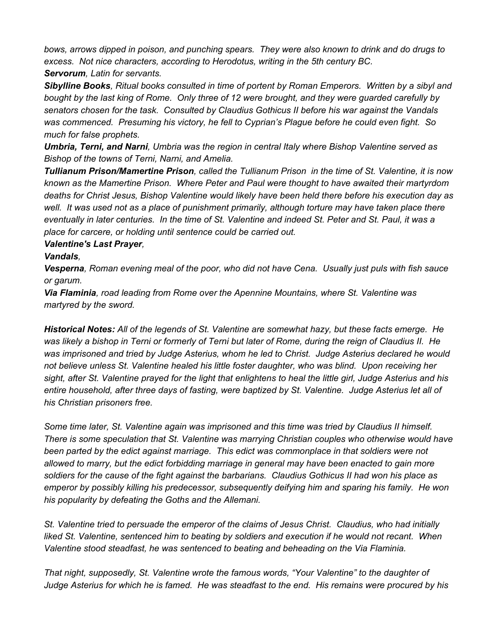*bows, arrows dipped in poison, and punching spears. They were also known to drink and do drugs to excess. Not nice characters, according to Herodotus, writing in the 5th century BC. Servorum, Latin for servants.*

Sibylline Books, Ritual books consulted in time of portent by Roman Emperors. Written by a sibyl and bought by the last king of Rome. Only three of 12 were brought, and they were guarded carefully by *senators chosen for the task. Consulted by Claudius Gothicus II before his war against the Vandals was commenced. Presuming his victory, he fell to Cyprian's Plague before he could even fight. So much for false prophets.*

*Umbria, Terni, and Narni, Umbria was the region in central Italy where Bishop Valentine served as Bishop of the towns of Terni, Narni, and Amelia.*

*Tullianum Prison/Mamertine Prison, called the Tullianum Prison in the time of St. Valentine, it is now known as the Mamertine Prison. Where Peter and Paul were thought to have awaited their martyrdom deaths for Christ Jesus, Bishop Valentine would likely have been held there before his execution day as* well. It was used not as a place of punishment primarily, although torture may have taken place there eventually in later centuries. In the time of St. Valentine and indeed St. Peter and St. Paul, it was a *place for carcere, or holding until sentence could be carried out.*

#### *Valentine's Last Prayer,*

#### *Vandals,*

Vesperna, Roman evening meal of the poor, who did not have Cena. Usually just puls with fish sauce *or garum.*

*Via Flaminia, road leading from Rome over the Apennine Mountains, where St. Valentine was martyred by the sword.*

*Historical Notes: All of the legends of St. Valentine are somewhat hazy, but these facts emerge. He* was likely a bishop in Terni or formerly of Terni but later of Rome, during the reign of Claudius II. He *was imprisoned and tried by Judge Asterius, whom he led to Christ. Judge Asterius declared he would not believe unless St. Valentine healed his little foster daughter, who was blind. Upon receiving her* sight, after St. Valentine prayed for the light that enlightens to heal the little girl, Judge Asterius and his *entire household, after three days of fasting, were baptized by St. Valentine. Judge Asterius let all of his Christian prisoners free.*

*Some time later, St. Valentine again was imprisoned and this time was tried by Claudius II himself. There is some speculation that St. Valentine was marrying Christian couples who otherwise would have been parted by the edict against marriage. This edict was commonplace in that soldiers were not allowed to marry, but the edict forbidding marriage in general may have been enacted to gain more* soldiers for the cause of the fight against the barbarians. Claudius Gothicus II had won his place as *emperor by possibly killing his predecessor, subsequently deifying him and sparing his family. He won his popularity by defeating the Goths and the Allemani.*

*St. Valentine tried to persuade the emperor of the claims of Jesus Christ. Claudius, who had initially liked St. Valentine, sentenced him to beating by soldiers and execution if he would not recant. When Valentine stood steadfast, he was sentenced to beating and beheading on the Via Flaminia.*

*That night, supposedly, St. Valentine wrote the famous words, "Your Valentine" to the daughter of* Judge Asterius for which he is famed. He was steadfast to the end. His remains were procured by his